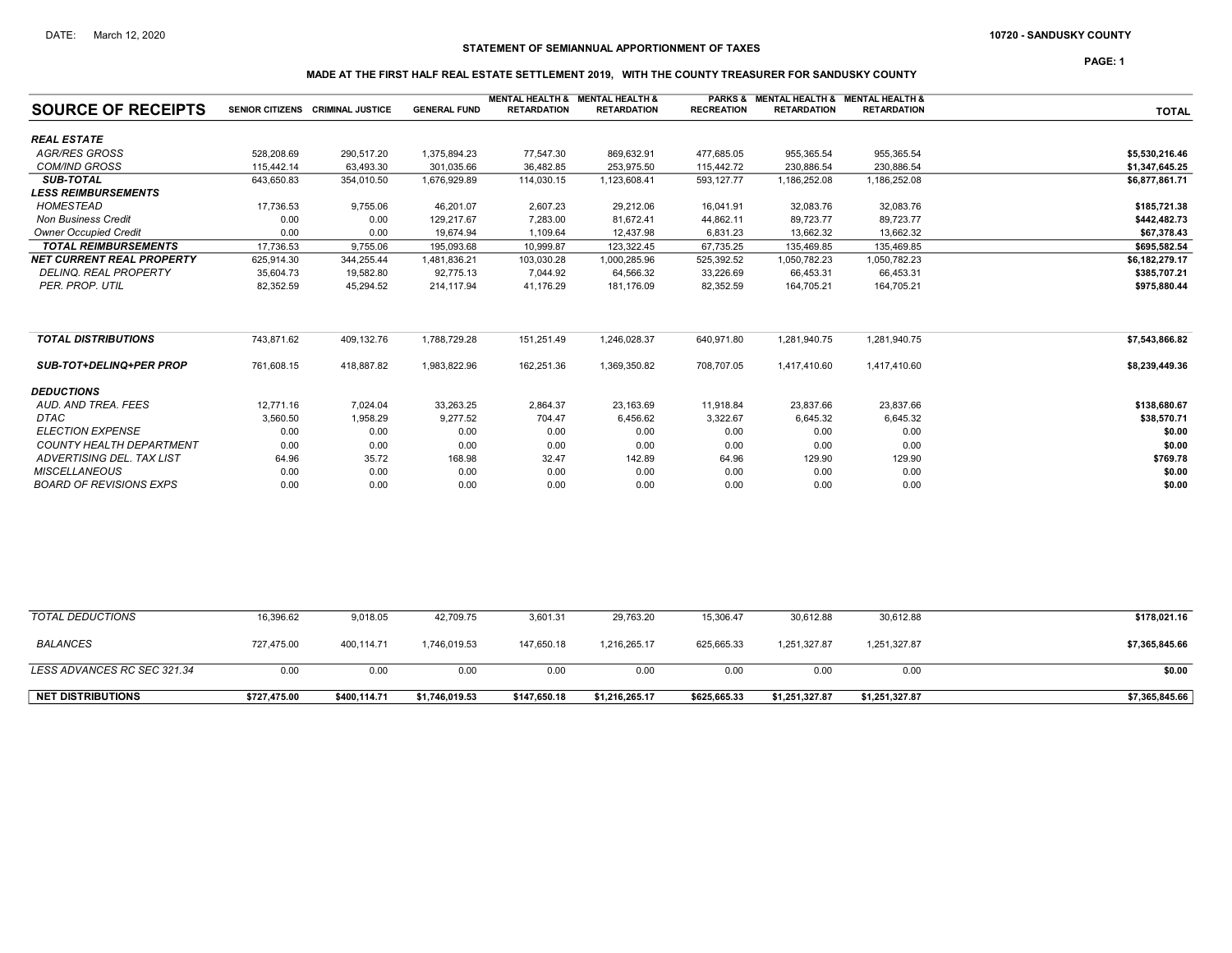PAGE: 1

# STATEMENT OF SEMIANNUAL APPORTIONMENT OF TAXES

# MADE AT THE FIRST HALF REAL ESTATE SETTLEMENT 2019, WITH THE COUNTY TREASURER FOR SANDUSKY COUNTY

| <b>SOURCE OF RECEIPTS</b>        |            | SENIOR CITIZENS CRIMINAL JUSTICE | <b>GENERAL FUND</b> | <b>MENTAL HEALTH &amp; MENTAL HEALTH &amp;</b><br><b>RETARDATION</b> | <b>RETARDATION</b> | <b>RECREATION</b> | PARKS & MENTAL HEALTH & MENTAL HEALTH &<br><b>RETARDATION</b> | <b>RETARDATION</b> | <b>TOTAL</b>   |
|----------------------------------|------------|----------------------------------|---------------------|----------------------------------------------------------------------|--------------------|-------------------|---------------------------------------------------------------|--------------------|----------------|
|                                  |            |                                  |                     |                                                                      |                    |                   |                                                               |                    |                |
| <b>REAL ESTATE</b>               |            |                                  |                     |                                                                      |                    |                   |                                                               |                    |                |
| <b>AGR/RES GROSS</b>             | 528,208.69 | 290,517.20                       | 1,375,894.23        | 77,547.30                                                            | 869,632.91         | 477,685.05        | 955,365.54                                                    | 955,365.54         | \$5,530,216.46 |
| <b>COM/IND GROSS</b>             | 115,442.14 | 63,493.30                        | 301,035.66          | 36,482.85                                                            | 253,975.50         | 115,442.72        | 230,886.54                                                    | 230,886.54         | \$1,347,645.25 |
| <b>SUB-TOTAL</b>                 | 643,650.83 | 354,010.50                       | 1,676,929.89        | 114,030.15                                                           | 1,123,608.41       | 593,127.77        | 1,186,252.08                                                  | 1,186,252.08       | \$6,877,861.71 |
| <b>LESS REIMBURSEMENTS</b>       |            |                                  |                     |                                                                      |                    |                   |                                                               |                    |                |
| HOMESTEAD                        | 17,736.53  | 9,755.06                         | 46.201.07           | 2,607.23                                                             | 29,212.06          | 16,041.91         | 32,083.76                                                     | 32,083.76          | \$185,721.38   |
| <b>Non Business Credit</b>       | 0.00       | 0.00                             | 129.217.67          | 7,283.00                                                             | 81,672.41          | 44,862.11         | 89,723.77                                                     | 89,723.77          | \$442,482.73   |
| <b>Owner Occupied Credit</b>     | 0.00       | 0.00                             | 19,674.94           | 1,109.64                                                             | 12,437.98          | 6,831.23          | 13,662.32                                                     | 13,662.32          | \$67,378.43    |
| <b>TOTAL REIMBURSEMENTS</b>      | 17,736.53  | 9,755.06                         | 195,093.68          | 10,999.87                                                            | 123.322.45         | 67,735.25         | 135,469.85                                                    | 135.469.85         | \$695.582.54   |
| <b>NET CURRENT REAL PROPERTY</b> | 625,914.30 | 344,255.44                       | 1,481,836.21        | 103,030.28                                                           | 1,000,285.96       | 525,392.52        | 1,050,782.23                                                  | 1,050,782.23       | \$6,182,279.17 |
| <b>DELINQ. REAL PROPERTY</b>     | 35,604.73  | 19,582.80                        | 92,775.13           | 7,044.92                                                             | 64,566.32          | 33,226.69         | 66,453.31                                                     | 66,453.31          | \$385,707.21   |
| PER. PROP. UTIL                  | 82,352.59  | 45,294.52                        | 214,117.94          | 41,176.29                                                            | 181,176.09         | 82,352.59         | 164,705.21                                                    | 164,705.21         | \$975,880.44   |
|                                  |            |                                  |                     |                                                                      |                    |                   |                                                               |                    |                |
| <b>TOTAL DISTRIBUTIONS</b>       | 743,871.62 | 409,132.76                       | 1,788,729.28        | 151,251.49                                                           | 1,246,028.37       | 640,971.80        | 1,281,940.75                                                  | 1,281,940.75       | \$7,543,866.82 |
| <b>SUB-TOT+DELINQ+PER PROP</b>   | 761,608.15 | 418,887.82                       | 1,983,822.96        | 162,251.36                                                           | 1,369,350.82       | 708,707.05        | 1,417,410.60                                                  | 1,417,410.60       | \$8,239,449.36 |
| <b>DEDUCTIONS</b>                |            |                                  |                     |                                                                      |                    |                   |                                                               |                    |                |
| AUD, AND TREA, FEES              | 12.771.16  | 7,024.04                         | 33,263.25           | 2,864.37                                                             | 23,163.69          | 11,918.84         | 23,837.66                                                     | 23,837.66          | \$138,680.67   |
| <b>DTAC</b>                      | 3,560.50   | 1,958.29                         | 9,277.52            | 704.47                                                               | 6,456.62           | 3,322.67          | 6,645.32                                                      | 6,645.32           | \$38,570.71    |
| <b>ELECTION EXPENSE</b>          | 0.00       | 0.00                             | 0.00                | 0.00                                                                 | 0.00               | 0.00              | 0.00                                                          | 0.00               | \$0.00         |
| <b>COUNTY HEALTH DEPARTMENT</b>  | 0.00       | 0.00                             | 0.00                | 0.00                                                                 | 0.00               | 0.00              | 0.00                                                          | 0.00               | \$0.00         |
| ADVERTISING DEL. TAX LIST        | 64.96      | 35.72                            | 168.98              | 32.47                                                                | 142.89             | 64.96             | 129.90                                                        | 129.90             | \$769.78       |
| <b>MISCELLANEOUS</b>             | 0.00       | 0.00                             | 0.00                | 0.00                                                                 | 0.00               | 0.00              | 0.00                                                          | 0.00               | \$0.00         |
| <b>BOARD OF REVISIONS EXPS</b>   | 0.00       | 0.00                             | 0.00                | 0.00                                                                 | 0.00               | 0.00              | 0.00                                                          | 0.00               | \$0.00         |

| TOTAL DEDUCTIONS            | 16,396.62    | 9,018.05     | 42,709.75      | 3,601.31     | 29,763.20      | 15,306.47    | 30.612.88      | 30,612.88      | \$178,021.16   |
|-----------------------------|--------------|--------------|----------------|--------------|----------------|--------------|----------------|----------------|----------------|
| BALANCES                    | 727,475.00   | 400,114.71   | ,746,019.53    | 147.650.18   | 1.216.265.17   | 625.665.33   | 1,251,327.87   | 1,251,327.87   | \$7,365,845.66 |
| LESS ADVANCES RC SEC 321.34 | 0.00         | 0.00         | 0.00           | 0.00         | 0.00           | 0.00         | 0.00           | 0.00           | \$0.00         |
| <b>NET DISTRIBUTIONS</b>    | \$727,475.00 | \$400,114.71 | \$1,746,019.53 | \$147,650.18 | \$1,216,265.17 | \$625,665.33 | \$1,251,327.87 | \$1,251,327.87 | \$7,365,845.66 |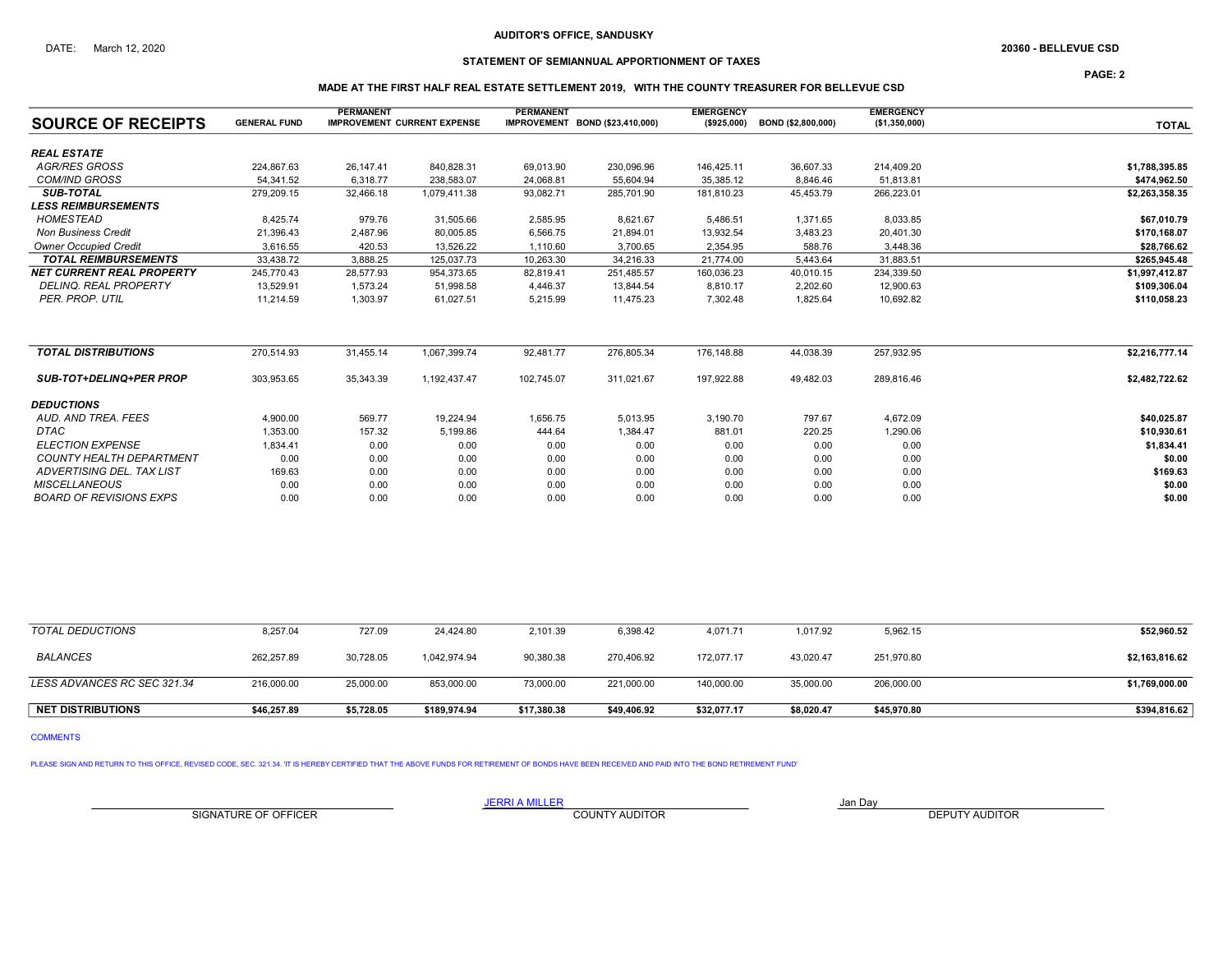## STATEMENT OF SEMIANNUAL APPORTIONMENT OF TAXES

PAGE: 2

## MADE AT THE FIRST HALF REAL ESTATE SETTLEMENT 2019, WITH THE COUNTY TREASURER FOR BELLEVUE CSD

| <b>SOURCE OF RECEIPTS</b>        | <b>GENERAL FUND</b> | <b>PERMANENT</b> | <b>IMPROVEMENT CURRENT EXPENSE</b> | <b>PERMANENT</b> | IMPROVEMENT BOND (\$23,410,000) | <b>EMERGENCY</b><br>(\$925,000) | BOND (\$2,800,000) | <b>EMERGENCY</b><br>(\$1,350,000) | <b>TOTAL</b>   |
|----------------------------------|---------------------|------------------|------------------------------------|------------------|---------------------------------|---------------------------------|--------------------|-----------------------------------|----------------|
| <b>REAL ESTATE</b>               |                     |                  |                                    |                  |                                 |                                 |                    |                                   |                |
| <b>AGR/RES GROSS</b>             | 224,867.63          | 26.147.41        | 840,828.31                         | 69,013.90        | 230,096.96                      | 146,425.11                      | 36,607.33          | 214,409.20                        | \$1,788,395.85 |
| <b>COM/IND GROSS</b>             | 54.341.52           | 6.318.77         | 238,583.07                         | 24,068.81        | 55,604.94                       | 35,385.12                       | 8,846.46           | 51.813.81                         | \$474,962.50   |
| <b>SUB-TOTAL</b>                 | 279,209.15          | 32,466.18        | 1,079,411.38                       | 93,082.71        | 285,701.90                      | 181,810.23                      | 45,453.79          | 266,223.01                        | \$2,263,358.35 |
| <b>LESS REIMBURSEMENTS</b>       |                     |                  |                                    |                  |                                 |                                 |                    |                                   |                |
| <b>HOMESTEAD</b>                 | 8,425.74            | 979.76           | 31,505.66                          | 2,585.95         | 8,621.67                        | 5,486.51                        | 1.371.65           | 8,033.85                          | \$67,010.79    |
| <b>Non Business Credit</b>       | 21,396.43           | 2,487.96         | 80,005.85                          | 6,566.75         | 21,894.01                       | 13,932.54                       | 3,483.23           | 20,401.30                         | \$170,168.07   |
| <b>Owner Occupied Credit</b>     | 3.616.55            | 420.53           | 13,526.22                          | 1,110.60         | 3,700.65                        | 2,354.95                        | 588.76             | 3,448.36                          | \$28,766.62    |
| <b>TOTAL REIMBURSEMENTS</b>      | 33,438.72           | 3,888.25         | 125,037.73                         | 10,263.30        | 34,216.33                       | 21,774.00                       | 5,443.64           | 31,883.51                         | \$265,945.48   |
| <b>NET CURRENT REAL PROPERTY</b> | 245,770.43          | 28,577.93        | 954,373.65                         | 82,819.41        | 251,485.57                      | 160,036.23                      | 40,010.15          | 234,339.50                        | \$1,997,412.87 |
| <b>DELINQ. REAL PROPERTY</b>     | 13,529.91           | 1,573.24         | 51,998.58                          | 4,446.37         | 13,844.54                       | 8,810.17                        | 2,202.60           | 12,900.63                         | \$109,306.04   |
| PER. PROP. UTIL                  | 11,214.59           | 1,303.97         | 61,027.51                          | 5,215.99         | 11,475.23                       | 7,302.48                        | 1,825.64           | 10,692.82                         | \$110,058.23   |
| <b>TOTAL DISTRIBUTIONS</b>       | 270,514.93          | 31,455.14        | 1,067,399.74                       | 92,481.77        | 276,805.34                      | 176,148.88                      | 44,038.39          | 257,932.95                        | \$2,216,777.14 |
| <b>SUB-TOT+DELINQ+PER PROP</b>   | 303,953.65          | 35,343.39        | 1,192,437.47                       | 102,745.07       | 311,021.67                      | 197,922.88                      | 49,482.03          | 289,816.46                        | \$2,482,722.62 |
| <b>DEDUCTIONS</b>                |                     |                  |                                    |                  |                                 |                                 |                    |                                   |                |
| AUD, AND TREA, FEES              | 4.900.00            | 569.77           | 19,224.94                          | 1,656.75         | 5,013.95                        | 3,190.70                        | 797.67             | 4,672.09                          | \$40,025.87    |
| <b>DTAC</b>                      | 1,353.00            | 157.32           | 5,199.86                           | 444.64           | 1,384.47                        | 881.01                          | 220.25             | 1,290.06                          | \$10,930.61    |
| <b>ELECTION EXPENSE</b>          | 1,834.41            | 0.00             | 0.00                               | 0.00             | 0.00                            | 0.00                            | 0.00               | 0.00                              | \$1,834.41     |
| <b>COUNTY HEALTH DEPARTMENT</b>  | 0.00                | 0.00             | 0.00                               | 0.00             | 0.00                            | 0.00                            | 0.00               | 0.00                              | \$0.00         |
| ADVERTISING DEL. TAX LIST        | 169.63              | 0.00             | 0.00                               | 0.00             | 0.00                            | 0.00                            | 0.00               | 0.00                              | \$169.63       |
| <b>MISCELLANEOUS</b>             | 0.00                | 0.00             | 0.00                               | 0.00             | 0.00                            | 0.00                            | 0.00               | 0.00                              | \$0.00         |
| <b>BOARD OF REVISIONS EXPS</b>   | 0.00                | 0.00             | 0.00                               | 0.00             | 0.00                            | 0.00                            | 0.00               | 0.00                              | \$0.00         |

| TOTAL DEDUCTIONS            | 8,257.04    | 727.09     | 24.424.80    | 2,101.39    | 6,398.42    | 4,071.71    | 1,017.92   | 5,962.15    | \$52,960.52    |
|-----------------------------|-------------|------------|--------------|-------------|-------------|-------------|------------|-------------|----------------|
| <b>BALANCES</b>             | 262.257.89  | 30.728.05  | 1,042,974.94 | 90.380.38   | 270.406.92  | 172.077.17  | 43,020.47  | 251,970.80  | \$2,163,816.62 |
| LESS ADVANCES RC SEC 321.34 | 216,000.00  | 25,000.00  | 853,000.00   | 73,000.00   | 221,000.00  | 140,000.00  | 35,000.00  | 206,000.00  | \$1,769,000.00 |
| <b>NET DISTRIBUTIONS</b>    | \$46,257.89 | \$5,728.05 | \$189,974.94 | \$17,380.38 | \$49,406.92 | \$32,077.17 | \$8,020.47 | \$45,970.80 | \$394,816.62   |

COMMENTS

PLEASE SIGN AND RETURN TO THIS OFFICE, REVISED CODE, SEC. 321.34. 'IT IS HEREBY CERTIFIED THAT THE ABOVE FUNDS FOR RETIREMENT OF BONDS HAVE BEEN RECEIVED AND PAID INTO THE BOND RETIREMENT FUND'

SIGNATURE OF OFFICER **EXECUTE A RELATION COUNTY AUDITOR** COUNTY AUDITOR **DEPUTY AUDITOR**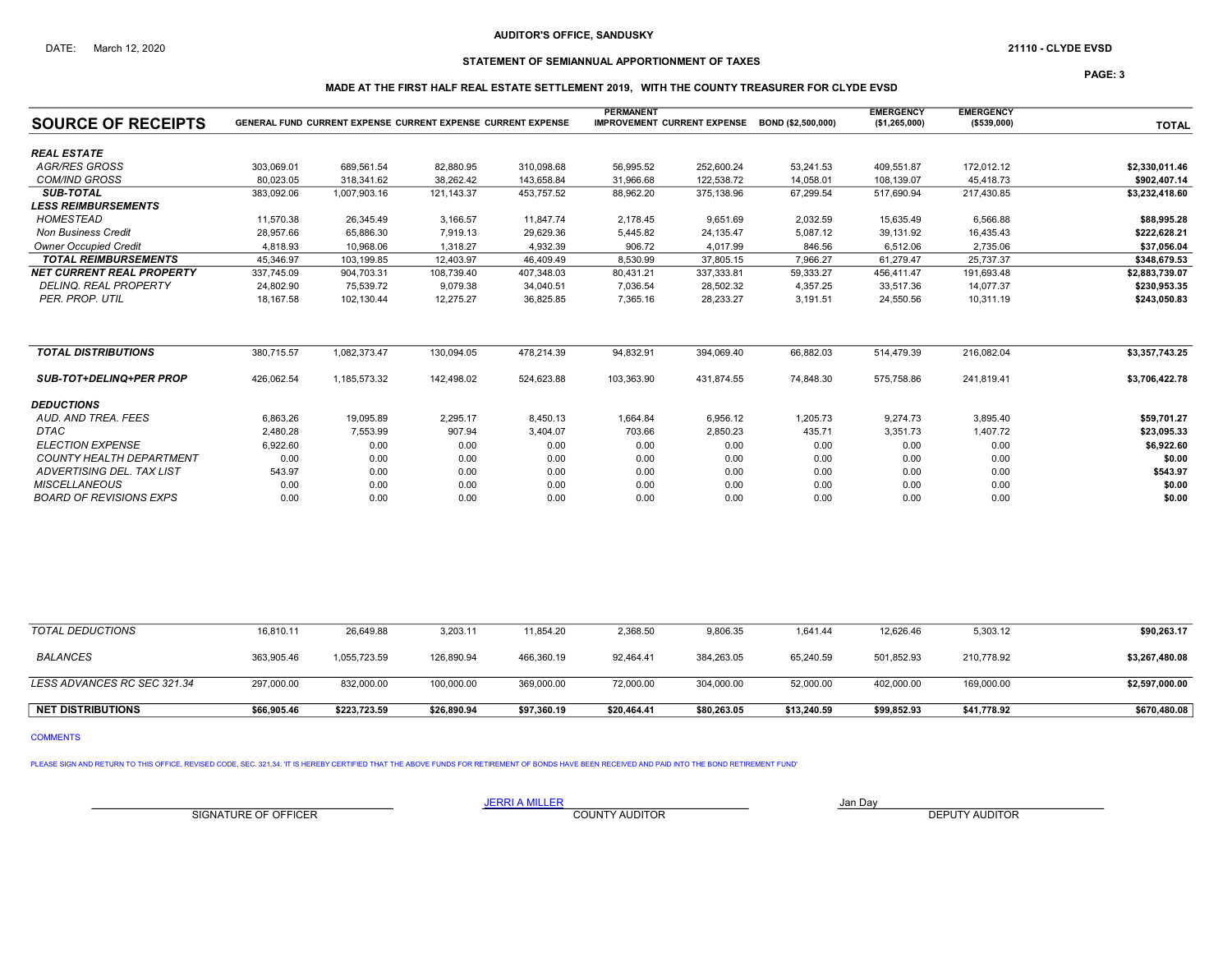## STATEMENT OF SEMIANNUAL APPORTIONMENT OF TAXES

PAGE: 3

## MADE AT THE FIRST HALF REAL ESTATE SETTLEMENT 2019, WITH THE COUNTY TREASURER FOR CLYDE EVSD

| <b>SOURCE OF RECEIPTS</b>        |            | <b>GENERAL FUND CURRENT EXPENSE CURRENT EXPENSE CURRENT EXPENSE</b> |            |            | <b>PERMANENT</b><br><b>IMPROVEMENT CURRENT EXPENSE</b> |            | BOND (\$2,500,000) | <b>EMERGENCY</b><br>(\$1,265,000) | <b>EMERGENCY</b><br>( \$539,000) | <b>TOTAL</b>   |
|----------------------------------|------------|---------------------------------------------------------------------|------------|------------|--------------------------------------------------------|------------|--------------------|-----------------------------------|----------------------------------|----------------|
|                                  |            |                                                                     |            |            |                                                        |            |                    |                                   |                                  |                |
| <b>REAL ESTATE</b>               |            |                                                                     |            |            |                                                        |            |                    |                                   |                                  |                |
| <b>AGR/RES GROSS</b>             | 303,069.01 | 689,561.54                                                          | 82,880.95  | 310,098.68 | 56,995.52                                              | 252,600.24 | 53,241.53          | 409,551.87                        | 172,012.12                       | \$2,330,011.46 |
| <b>COM/IND GROSS</b>             | 80.023.05  | 318.341.62                                                          | 38.262.42  | 143.658.84 | 31.966.68                                              | 122.538.72 | 14.058.01          | 108.139.07                        | 45.418.73                        | \$902.407.14   |
| <b>SUB-TOTAL</b>                 | 383,092.06 | 1,007,903.16                                                        | 121,143.37 | 453,757.52 | 88,962.20                                              | 375,138.96 | 67.299.54          | 517.690.94                        | 217,430.85                       | \$3,232,418.60 |
| <b>LESS REIMBURSEMENTS</b>       |            |                                                                     |            |            |                                                        |            |                    |                                   |                                  |                |
| <b>HOMESTEAD</b>                 | 11,570.38  | 26.345.49                                                           | 3,166.57   | 11,847.74  | 2,178.45                                               | 9,651.69   | 2,032.59           | 15.635.49                         | 6.566.88                         | \$88,995.28    |
| <b>Non Business Credit</b>       | 28,957.66  | 65,886.30                                                           | 7,919.13   | 29,629.36  | 5,445.82                                               | 24,135.47  | 5,087.12           | 39,131.92                         | 16,435.43                        | \$222,628.21   |
| <b>Owner Occupied Credit</b>     | 4.818.93   | 10.968.06                                                           | 1.318.27   | 4,932.39   | 906.72                                                 | 4,017.99   | 846.56             | 6.512.06                          | 2.735.06                         | \$37,056.04    |
| <b>TOTAL REIMBURSEMENTS</b>      | 45,346.97  | 103,199.85                                                          | 12,403.97  | 46,409.49  | 8,530.99                                               | 37,805.15  | 7,966.27           | 61,279.47                         | 25,737.37                        | \$348,679.53   |
| <b>NET CURRENT REAL PROPERTY</b> | 337,745.09 | 904,703.31                                                          | 108,739.40 | 407,348.03 | 80,431.21                                              | 337,333.81 | 59,333.27          | 456,411.47                        | 191,693.48                       | \$2,883,739.07 |
| <b>DELINQ, REAL PROPERTY</b>     | 24,802.90  | 75,539.72                                                           | 9,079.38   | 34,040.51  | 7,036.54                                               | 28,502.32  | 4,357.25           | 33,517.36                         | 14,077.37                        | \$230,953.35   |
| PER. PROP. UTIL                  | 18,167.58  | 102,130.44                                                          | 12,275.27  | 36,825.85  | 7,365.16                                               | 28,233.27  | 3,191.51           | 24,550.56                         | 10,311.19                        | \$243,050.83   |
| <b>TOTAL DISTRIBUTIONS</b>       | 380.715.57 | 1,082,373.47                                                        | 130,094.05 | 478,214.39 | 94,832.91                                              | 394,069.40 | 66,882.03          | 514,479.39                        | 216,082.04                       | \$3,357,743.25 |
| <b>SUB-TOT+DELINQ+PER PROP</b>   | 426.062.54 | 1.185.573.32                                                        | 142.498.02 | 524,623.88 | 103.363.90                                             | 431.874.55 | 74.848.30          | 575.758.86                        | 241.819.41                       | \$3,706,422.78 |
| <b>DEDUCTIONS</b>                |            |                                                                     |            |            |                                                        |            |                    |                                   |                                  |                |
| AUD. AND TREA. FEES              | 6,863.26   | 19,095.89                                                           | 2,295.17   | 8,450.13   | 1,664.84                                               | 6,956.12   | 1,205.73           | 9,274.73                          | 3,895.40                         | \$59,701.27    |
| <b>DTAC</b>                      | 2,480.28   | 7,553.99                                                            | 907.94     | 3,404.07   | 703.66                                                 | 2,850.23   | 435.71             | 3,351.73                          | 1,407.72                         | \$23,095.33    |
| <b>ELECTION EXPENSE</b>          | 6,922.60   | 0.00                                                                | 0.00       | 0.00       | 0.00                                                   | 0.00       | 0.00               | 0.00                              | 0.00                             | \$6,922.60     |
| <b>COUNTY HEALTH DEPARTMENT</b>  | 0.00       | 0.00                                                                | 0.00       | 0.00       | 0.00                                                   | 0.00       | 0.00               | 0.00                              | 0.00                             | \$0.00         |
| <b>ADVERTISING DEL. TAX LIST</b> | 543.97     | 0.00                                                                | 0.00       | 0.00       | 0.00                                                   | 0.00       | 0.00               | 0.00                              | 0.00                             | \$543.97       |
| <b>MISCELLANEOUS</b>             | 0.00       | 0.00                                                                | 0.00       | 0.00       | 0.00                                                   | 0.00       | 0.00               | 0.00                              | 0.00                             | \$0.00         |
| <b>BOARD OF REVISIONS EXPS</b>   | 0.00       | 0.00                                                                | 0.00       | 0.00       | 0.00                                                   | 0.00       | 0.00               | 0.00                              | 0.00                             | \$0.00         |

| <b>TOTAL DEDUCTIONS</b>     | 16,810.11   | 26,649.88    | 3,203.11    | 11,854.20   | 2,368.50    | 9,806.35    | 1,641.44    | 12,626.46   | 5,303.12    | \$90,263.17    |
|-----------------------------|-------------|--------------|-------------|-------------|-------------|-------------|-------------|-------------|-------------|----------------|
| <b>BALANCES</b>             | 363,905.46  | 1,055,723.59 | 126,890.94  | 466,360.19  | 92,464.41   | 384,263.05  | 65,240.59   | 501,852.93  | 210,778.92  | \$3,267,480.08 |
| LESS ADVANCES RC SEC 321.34 | 297,000.00  | 832.000.00   | 100.000.00  | 369,000,00  | 72,000.00   | 304.000.00  | 52,000.00   | 402,000.00  | 169,000.00  | \$2,597,000.00 |
| <b>NET DISTRIBUTIONS</b>    | \$66.905.46 | \$223.723.59 | \$26,890.94 | \$97.360.19 | \$20,464.41 | \$80.263.05 | \$13.240.59 | \$99.852.93 | \$41.778.92 | \$670,480.08   |

COMMENTS

PLEASE SIGN AND RETURN TO THIS OFFICE, REVISED CODE, SEC. 321.34. 'IT IS HEREBY CERTIFIED THAT THE ABOVE FUNDS FOR RETIREMENT OF BONDS HAVE BEEN RECEIVED AND PAID INTO THE BOND RETIREMENT FUND'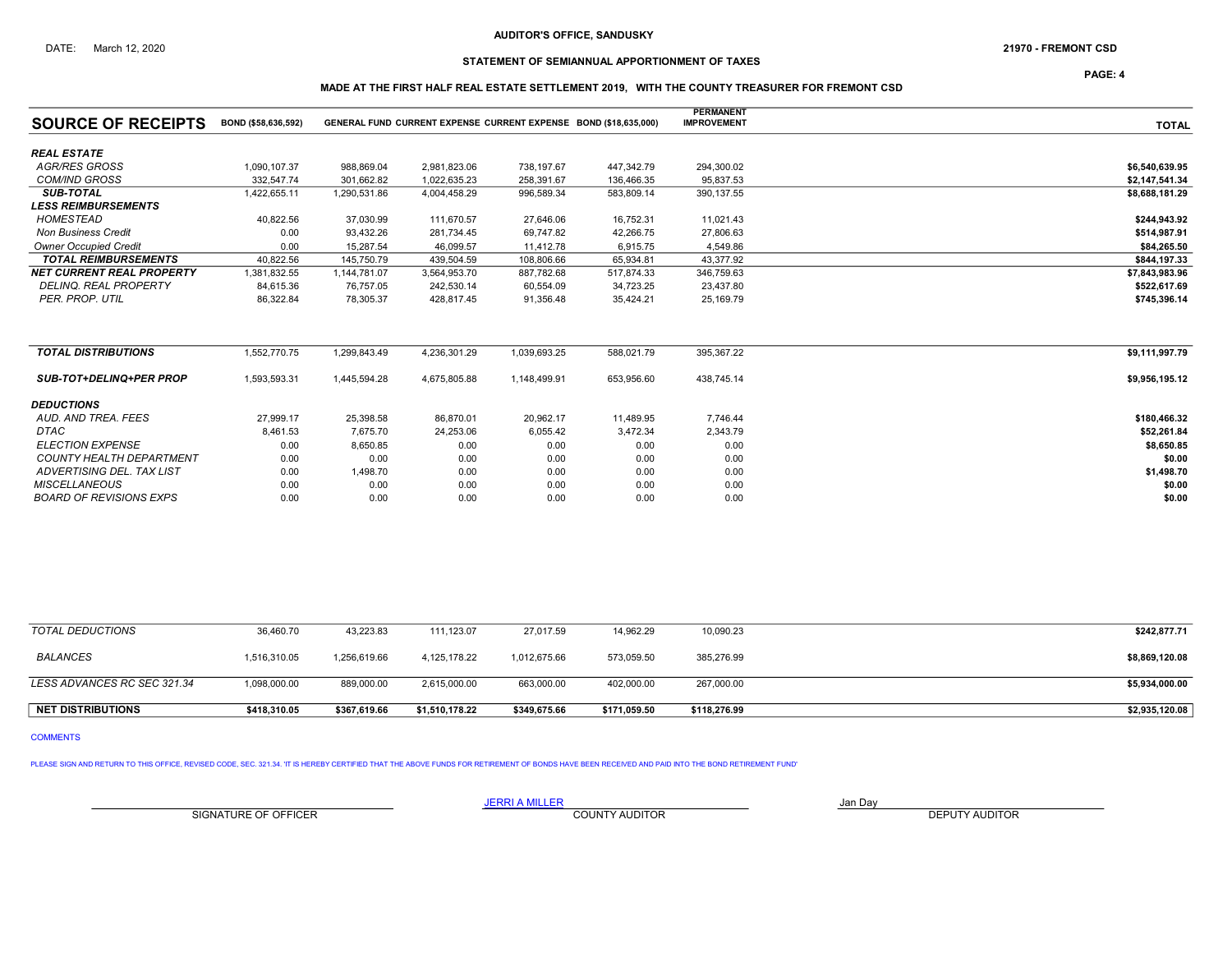# STATEMENT OF SEMIANNUAL APPORTIONMENT OF TAXES

PAGE: 4

## MADE AT THE FIRST HALF REAL ESTATE SETTLEMENT 2019, WITH THE COUNTY TREASURER FOR FREMONT CSD

|                                  |                     |              |              |                                                                  |            | <b>PERMANENT</b>   |                |
|----------------------------------|---------------------|--------------|--------------|------------------------------------------------------------------|------------|--------------------|----------------|
| <b>SOURCE OF RECEIPTS</b>        | BOND (\$58,636,592) |              |              | GENERAL FUND CURRENT EXPENSE CURRENT EXPENSE BOND (\$18,635,000) |            | <b>IMPROVEMENT</b> | <b>TOTAL</b>   |
| <b>REAL ESTATE</b>               |                     |              |              |                                                                  |            |                    |                |
| <b>AGR/RES GROSS</b>             | 1,090,107.37        | 988,869.04   | 2,981,823.06 | 738,197.67                                                       | 447,342.79 | 294,300.02         | \$6,540,639.95 |
| <b>COM/IND GROSS</b>             | 332.547.74          | 301.662.82   | 1,022,635.23 | 258,391.67                                                       | 136,466.35 | 95,837.53          | \$2,147,541.34 |
| <b>SUB-TOTAL</b>                 | 1,422,655.11        | 1,290,531.86 | 4,004,458.29 | 996,589.34                                                       | 583,809.14 | 390, 137.55        | \$8,688,181.29 |
| <b>LESS REIMBURSEMENTS</b>       |                     |              |              |                                                                  |            |                    |                |
| <b>HOMESTEAD</b>                 | 40,822.56           | 37,030.99    | 111,670.57   | 27,646.06                                                        | 16,752.31  | 11,021.43          | \$244,943.92   |
| <b>Non Business Credit</b>       | 0.00                | 93,432.26    | 281,734.45   | 69,747.82                                                        | 42,266.75  | 27,806.63          | \$514,987.91   |
| <b>Owner Occupied Credit</b>     | 0.00                | 15.287.54    | 46,099.57    | 11,412.78                                                        | 6,915.75   | 4,549.86           | \$84,265.50    |
| <b>TOTAL REIMBURSEMENTS</b>      | 40,822.56           | 145,750.79   | 439,504.59   | 108,806.66                                                       | 65,934.81  | 43,377.92          | \$844,197.33   |
| <b>NET CURRENT REAL PROPERTY</b> | 1,381,832.55        | 1,144,781.07 | 3,564,953.70 | 887,782.68                                                       | 517,874.33 | 346,759.63         | \$7,843,983.96 |
| DELINQ. REAL PROPERTY            | 84,615.36           | 76,757.05    | 242,530.14   | 60,554.09                                                        | 34,723.25  | 23,437.80          | \$522,617.69   |
| PER. PROP. UTIL                  | 86,322.84           | 78,305.37    | 428,817.45   | 91,356.48                                                        | 35,424.21  | 25,169.79          | \$745,396.14   |
| <b>TOTAL DISTRIBUTIONS</b>       | 1,552,770.75        | 1,299,843.49 | 4,236,301.29 | 1,039,693.25                                                     | 588,021.79 | 395,367.22         | \$9,111,997.79 |
| <b>SUB-TOT+DELINQ+PER PROP</b>   | 1,593,593.31        | 1,445,594.28 | 4,675,805.88 | 1,148,499.91                                                     | 653,956.60 | 438,745.14         | \$9,956,195.12 |
| <b>DEDUCTIONS</b>                |                     |              |              |                                                                  |            |                    |                |
| AUD. AND TREA. FEES              | 27,999.17           | 25,398.58    | 86,870.01    | 20,962.17                                                        | 11,489.95  | 7,746.44           | \$180,466.32   |
| DTAC                             | 8,461.53            | 7.675.70     | 24,253.06    | 6,055.42                                                         | 3,472.34   | 2,343.79           | \$52,261.84    |
| <b>ELECTION EXPENSE</b>          | 0.00                | 8,650.85     | 0.00         | 0.00                                                             | 0.00       | 0.00               | \$8,650.85     |
| COUNTY HEALTH DEPARTMENT         | 0.00                | 0.00         | 0.00         | 0.00                                                             | 0.00       | 0.00               | \$0.00         |
| ADVERTISING DEL. TAX LIST        | 0.00                | 1,498.70     | 0.00         | 0.00                                                             | 0.00       | 0.00               | \$1,498.70     |
| <b>MISCELLANEOUS</b>             | 0.00                | 0.00         | 0.00         | 0.00                                                             | 0.00       | 0.00               | \$0.00         |
| <b>BOARD OF REVISIONS EXPS</b>   | 0.00                | 0.00         | 0.00         | 0.00                                                             | 0.00       | 0.00               | \$0.00         |

| TOTAL DEDUCTIONS            | 36.460.70    | 43.223.83    | 111.123.07     | 27.017.59    | 14,962.29    | 10,090.23    | \$242,877.71   |
|-----------------------------|--------------|--------------|----------------|--------------|--------------|--------------|----------------|
| <b>BALANCES</b>             | 1,516,310.05 | 1,256,619.66 | 4.125.178.22   | 1.012.675.66 | 573.059.50   | 385,276.99   | \$8,869,120.08 |
| LESS ADVANCES RC SEC 321.34 | 1,098,000.00 | 889,000.00   | 2,615,000.00   | 663,000.00   | 402,000.00   | 267,000.00   | \$5,934,000.00 |
| <b>NET DISTRIBUTIONS</b>    | \$418.310.05 | \$367,619.66 | \$1,510,178.22 | \$349,675.66 | \$171,059.50 | \$118,276.99 | \$2,935,120.08 |

COMMENTS

PLEASE SIGN AND RETURN TO THIS OFFICE, REVISED CODE, SEC. 321.34. 'IT IS HEREBY CERTIFIED THAT THE ABOVE FUNDS FOR RETIREMENT OF BONDS HAVE BEEN RECEIVED AND PAID INTO THE BOND RETIREMENT FUND'

SIGNATURE OF OFFICER **EXECUTE A RELATION COUNTY AUDITOR** COUNTY AUDITOR **DEPUTY AUDITOR**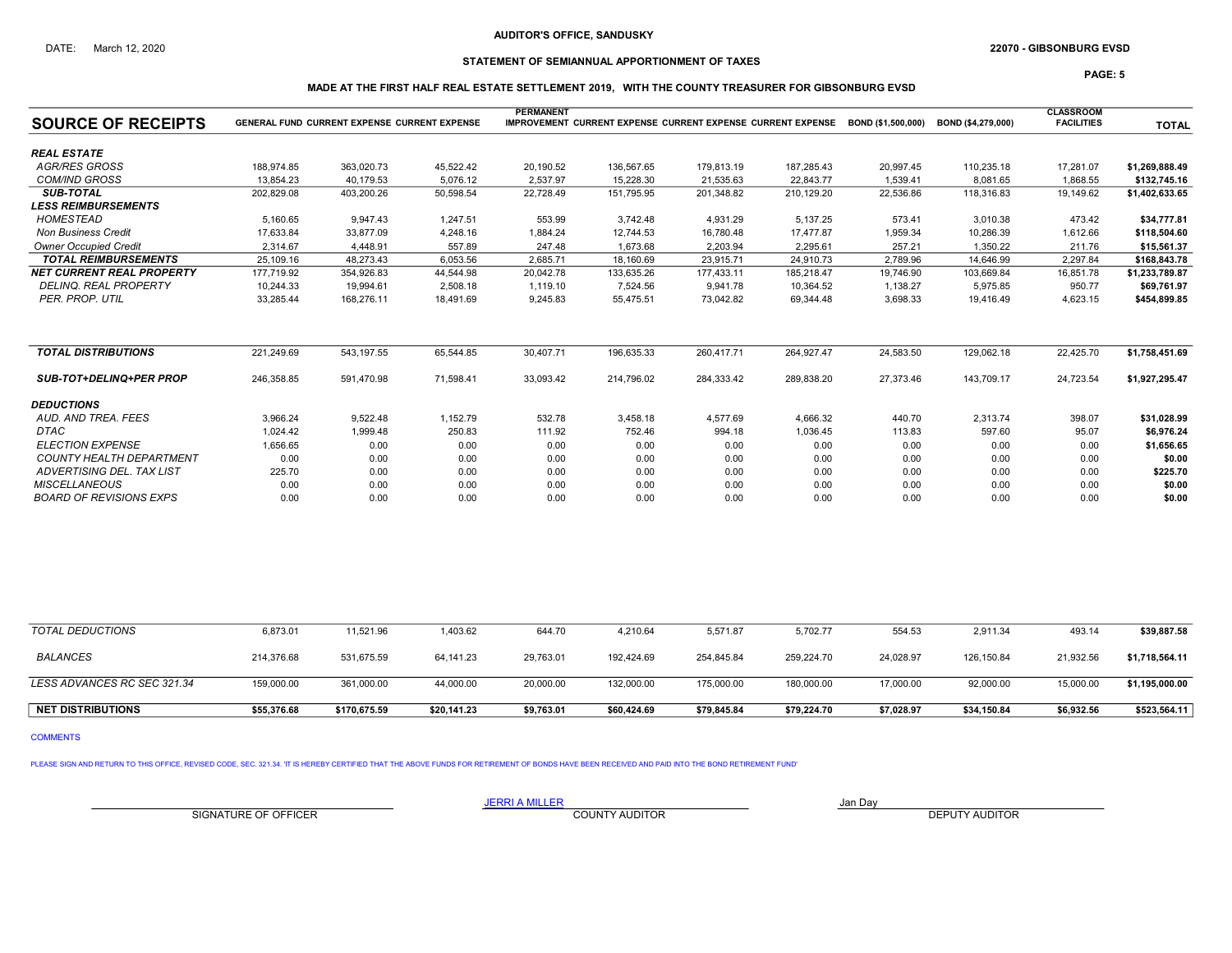## STATEMENT OF SEMIANNUAL APPORTIONMENT OF TAXES

PAGE: 5

## MADE AT THE FIRST HALF REAL ESTATE SETTLEMENT 2019, WITH THE COUNTY TREASURER FOR GIBSONBURG EVSD

| <b>SOURCE OF RECEIPTS</b>        | <b>GENERAL FUND CURRENT EXPENSE CURRENT EXPENSE</b> | <b>CLASSROOM</b><br><b>FACILITIES</b> | <b>TOTAL</b> |           |            |            |            |           |            |           |                |
|----------------------------------|-----------------------------------------------------|---------------------------------------|--------------|-----------|------------|------------|------------|-----------|------------|-----------|----------------|
| <b>REAL ESTATE</b>               |                                                     |                                       |              |           |            |            |            |           |            |           |                |
| <b>AGR/RES GROSS</b>             | 188.974.85                                          | 363,020.73                            | 45,522.42    | 20,190.52 | 136,567.65 | 179,813.19 | 187,285.43 | 20,997.45 | 110,235.18 | 17,281.07 | \$1,269,888.49 |
| <b>COM/IND GROSS</b>             | 13.854.23                                           | 40.179.53                             | 5.076.12     | 2,537.97  | 15.228.30  | 21,535.63  | 22.843.77  | 1,539.41  | 8,081.65   | 1,868.55  | \$132,745.16   |
| <b>SUB-TOTAL</b>                 | 202.829.08                                          | 403,200.26                            | 50,598.54    | 22,728.49 | 151,795.95 | 201.348.82 | 210.129.20 | 22,536.86 | 118,316.83 | 19,149.62 | \$1,402,633.65 |
| <b>LESS REIMBURSEMENTS</b>       |                                                     |                                       |              |           |            |            |            |           |            |           |                |
| <b>HOMESTEAD</b>                 | 5.160.65                                            | 9.947.43                              | 1.247.51     | 553.99    | 3.742.48   | 4.931.29   | 5.137.25   | 573.41    | 3.010.38   | 473.42    | \$34,777.81    |
| <b>Non Business Credit</b>       | 17,633.84                                           | 33,877.09                             | 4,248.16     | 1,884.24  | 12,744.53  | 16,780.48  | 17.477.87  | 1,959.34  | 10,286.39  | 1,612.66  | \$118,504.60   |
| <b>Owner Occupied Credit</b>     | 2.314.67                                            | 4.448.91                              | 557.89       | 247.48    | 1,673.68   | 2,203.94   | 2.295.61   | 257.21    | 1.350.22   | 211.76    | \$15,561.37    |
| <b>TOTAL REIMBURSEMENTS</b>      | 25,109.16                                           | 48,273.43                             | 6,053.56     | 2,685.71  | 18,160.69  | 23,915.71  | 24,910.73  | 2,789.96  | 14,646.99  | 2,297.84  | \$168,843.78   |
| <b>NET CURRENT REAL PROPERTY</b> | 177,719.92                                          | 354,926.83                            | 44,544.98    | 20,042.78 | 133,635.26 | 177,433.11 | 185,218.47 | 19,746.90 | 103,669.84 | 16,851.78 | \$1,233,789.87 |
| DELINQ. REAL PROPERTY            | 10,244.33                                           | 19,994.61                             | 2,508.18     | 1,119.10  | 7,524.56   | 9,941.78   | 10,364.52  | 1,138.27  | 5,975.85   | 950.77    | \$69,761.97    |
| PER. PROP. UTIL                  | 33,285.44                                           | 168,276.11                            | 18,491.69    | 9,245.83  | 55,475.51  | 73,042.82  | 69,344.48  | 3,698.33  | 19,416.49  | 4,623.15  | \$454,899.85   |
| <b>TOTAL DISTRIBUTIONS</b>       | 221.249.69                                          | 543.197.55                            | 65,544.85    | 30,407.71 | 196,635.33 | 260.417.71 | 264,927.47 | 24,583.50 | 129,062.18 | 22,425.70 | \$1,758,451.69 |
| <b>SUB-TOT+DELINQ+PER PROP</b>   | 246,358.85                                          | 591,470.98                            | 71,598.41    | 33,093.42 | 214,796.02 | 284,333.42 | 289,838.20 | 27,373.46 | 143,709.17 | 24,723.54 | \$1,927,295.47 |
| <b>DEDUCTIONS</b>                |                                                     |                                       |              |           |            |            |            |           |            |           |                |
| AUD, AND TREA, FEES              | 3,966.24                                            | 9,522.48                              | 1,152.79     | 532.78    | 3,458.18   | 4,577.69   | 4,666.32   | 440.70    | 2,313.74   | 398.07    | \$31,028.99    |
| <b>DTAC</b>                      | 1,024.42                                            | 1,999.48                              | 250.83       | 111.92    | 752.46     | 994.18     | 1,036.45   | 113.83    | 597.60     | 95.07     | \$6,976.24     |
| <b>ELECTION EXPENSE</b>          | 1,656.65                                            | 0.00                                  | 0.00         | 0.00      | 0.00       | 0.00       | 0.00       | 0.00      | 0.00       | 0.00      | \$1,656.65     |
| <b>COUNTY HEALTH DEPARTMENT</b>  | 0.00                                                | 0.00                                  | 0.00         | 0.00      | 0.00       | 0.00       | 0.00       | 0.00      | 0.00       | 0.00      | \$0.00         |
| ADVERTISING DEL. TAX LIST        | 225.70                                              | 0.00                                  | 0.00         | 0.00      | 0.00       | 0.00       | 0.00       | 0.00      | 0.00       | 0.00      | \$225.70       |
| <b>MISCELLANEOUS</b>             | 0.00                                                | 0.00                                  | 0.00         | 0.00      | 0.00       | 0.00       | 0.00       | 0.00      | 0.00       | 0.00      | \$0.00         |
| <b>BOARD OF REVISIONS EXPS</b>   | 0.00                                                | 0.00                                  | 0.00         | 0.00      | 0.00       | 0.00       | 0.00       | 0.00      | 0.00       | 0.00      | \$0.00         |

| TOTAL DEDUCTIONS            | 6,873.01    | 11,521.96    | ,403.62     | 644.70     | 4,210.64    | 5,571.87    | 5,702.77    | 554.53     | 2,911.34    | 493.14     | \$39,887.58    |
|-----------------------------|-------------|--------------|-------------|------------|-------------|-------------|-------------|------------|-------------|------------|----------------|
| BALANCES                    | 214,376.68  | 531,675.59   | 64,141.23   | 29,763.01  | 192.424.69  | 254,845.84  | 259,224.70  | 24,028.97  | 126,150.84  | 21,932.56  | \$1,718,564.11 |
| LESS ADVANCES RC SEC 321.34 | 159.000.00  | 361,000.00   | 44.000.00   | 20,000.00  | 132.000.00  | 175.000.00  | 180,000.00  | 17,000.00  | 92,000.00   | 15,000.00  | \$1,195,000.00 |
| <b>NET DISTRIBUTIONS</b>    | \$55,376.68 | \$170,675.59 | \$20,141.23 | \$9,763.01 | \$60,424.69 | \$79,845.84 | \$79,224.70 | \$7,028.97 | \$34,150.84 | \$6,932.56 | \$523,564.11   |

COMMENTS

PLEASE SIGN AND RETURN TO THIS OFFICE, REVISED CODE, SEC. 321.34. 'IT IS HEREBY CERTIFIED THAT THE ABOVE FUNDS FOR RETIREMENT OF BONDS HAVE BEEN RECEIVED AND PAID INTO THE BOND RETIREMENT FUND'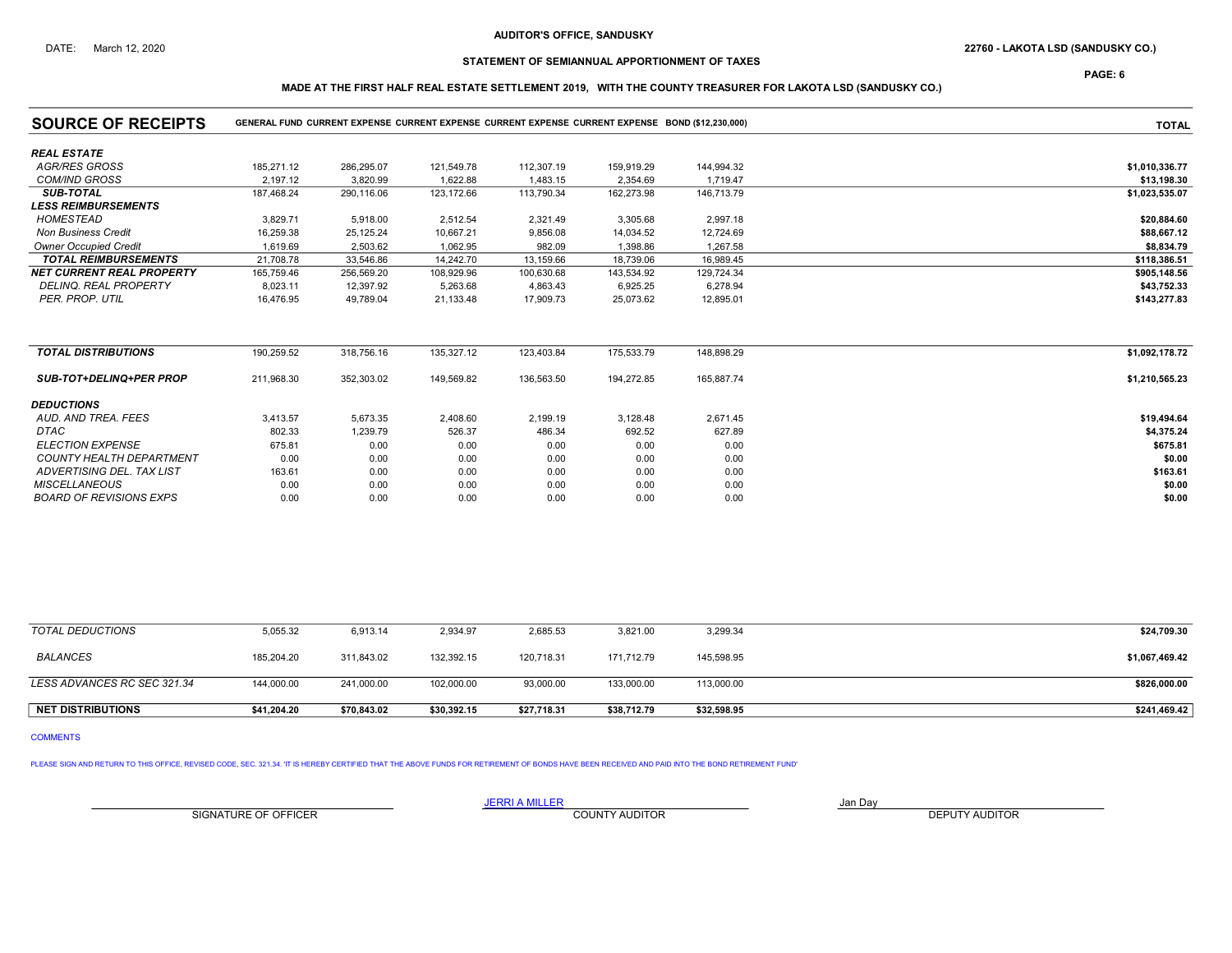# DATE: March 12, 2020 22760 - LAKOTA LSD (SANDUSKY CO.)

# STATEMENT OF SEMIANNUAL APPORTIONMENT OF TAXES

PAGE: 6

# MADE AT THE FIRST HALF REAL ESTATE SETTLEMENT 2019, WITH THE COUNTY TREASURER FOR LAKOTA LSD (SANDUSKY CO.)

| <b>SOURCE OF RECEIPTS</b>        |            | GENERAL FUND CURRENT EXPENSE CURRENT EXPENSE CURRENT EXPENSE CURRENT EXPENSE BOND (\$12,230,000) |            | <b>TOTAL</b> |            |            |                |
|----------------------------------|------------|--------------------------------------------------------------------------------------------------|------------|--------------|------------|------------|----------------|
| <b>REAL ESTATE</b>               |            |                                                                                                  |            |              |            |            |                |
| <b>AGR/RES GROSS</b>             | 185.271.12 | 286.295.07                                                                                       | 121,549.78 | 112,307.19   | 159,919.29 | 144.994.32 | \$1,010,336.77 |
| <b>COM/IND GROSS</b>             | 2,197.12   | 3,820.99                                                                                         | 1,622.88   | 1,483.15     | 2,354.69   | 1,719.47   | \$13,198.30    |
| <b>SUB-TOTAL</b>                 | 187.468.24 | 290,116.06                                                                                       | 123,172.66 | 113,790.34   | 162,273.98 | 146,713.79 | \$1,023,535.07 |
| <b>LESS REIMBURSEMENTS</b>       |            |                                                                                                  |            |              |            |            |                |
| HOMESTEAD                        | 3,829.71   | 5,918.00                                                                                         | 2,512.54   | 2,321.49     | 3,305.68   | 2,997.18   | \$20,884.60    |
| <b>Non Business Credit</b>       | 16,259.38  | 25,125.24                                                                                        | 10,667.21  | 9,856.08     | 14,034.52  | 12,724.69  | \$88,667.12    |
| <b>Owner Occupied Credit</b>     | 1,619.69   | 2,503.62                                                                                         | 1,062.95   | 982.09       | 1,398.86   | 1,267.58   | \$8,834.79     |
| <b>TOTAL REIMBURSEMENTS</b>      | 21,708.78  | 33,546.86                                                                                        | 14,242.70  | 13,159.66    | 18,739.06  | 16,989.45  | \$118,386.51   |
| <b>NET CURRENT REAL PROPERTY</b> | 165,759.46 | 256,569.20                                                                                       | 108,929.96 | 100,630.68   | 143,534.92 | 129,724.34 | \$905,148.56   |
| <b>DELINQ. REAL PROPERTY</b>     | 8,023.11   | 12,397.92                                                                                        | 5,263.68   | 4,863.43     | 6,925.25   | 6,278.94   | \$43,752.33    |
| PER. PROP. UTIL                  | 16,476.95  | 49,789.04                                                                                        | 21,133.48  | 17,909.73    | 25,073.62  | 12,895.01  | \$143,277.83   |
| <b>TOTAL DISTRIBUTIONS</b>       | 190,259.52 | 318,756.16                                                                                       | 135,327.12 | 123,403.84   | 175,533.79 | 148,898.29 | \$1,092,178.72 |
|                                  |            |                                                                                                  |            |              |            |            |                |
| <b>SUB-TOT+DELINQ+PER PROP</b>   | 211,968.30 | 352,303.02                                                                                       | 149,569.82 | 136,563.50   | 194,272.85 | 165,887.74 | \$1,210,565.23 |
| <b>DEDUCTIONS</b>                |            |                                                                                                  |            |              |            |            |                |
| AUD. AND TREA. FEES              | 3,413.57   | 5,673.35                                                                                         | 2,408.60   | 2,199.19     | 3,128.48   | 2,671.45   | \$19,494.64    |
| <b>DTAC</b>                      | 802.33     | 1,239.79                                                                                         | 526.37     | 486.34       | 692.52     | 627.89     | \$4,375.24     |
| <b>ELECTION EXPENSE</b>          | 675.81     | 0.00                                                                                             | 0.00       | 0.00         | 0.00       | 0.00       | \$675.81       |
| <b>COUNTY HEALTH DEPARTMENT</b>  | 0.00       | 0.00                                                                                             | 0.00       | 0.00         | 0.00       | 0.00       | \$0.00         |
| ADVERTISING DEL. TAX LIST        | 163.61     | 0.00                                                                                             | 0.00       | 0.00         | 0.00       | 0.00       | \$163.61       |
| <b>MISCELLANEOUS</b>             | 0.00       | 0.00                                                                                             | 0.00       | 0.00         | 0.00       | 0.00       | \$0.00         |
| <b>BOARD OF REVISIONS EXPS</b>   | 0.00       | 0.00                                                                                             | 0.00       | 0.00         | 0.00       | 0.00       | \$0.00         |

| <b>NET DISTRIBUTIONS</b>    | \$41.204.20 | \$70.843.02 | \$30.392.15 | \$27,718.31 | \$38.712.79 | \$32,598.95 | \$241,469.42   |
|-----------------------------|-------------|-------------|-------------|-------------|-------------|-------------|----------------|
| LESS ADVANCES RC SEC 321.34 | 144.000.00  | 241.000.00  | 102.000.00  | 93.000.00   | 133.000.00  | 113,000.00  | \$826,000.00   |
| <b>BALANCES</b>             | 185.204.20  | 311,843.02  | 132,392.15  | 120,718.31  | 171.712.79  | 145,598.95  | \$1,067,469.42 |
| TOTAL DEDUCTIONS            | 5,055.32    | 6,913.14    | 2,934.97    | 2,685.53    | 3,821.00    | 3,299.34    | \$24,709.30    |

COMMENTS

PLEASE SIGN AND RETURN TO THIS OFFICE, REVISED CODE, SEC. 321.34. 'IT IS HEREBY CERTIFIED THAT THE ABOVE FUNDS FOR RETIREMENT OF BONDS HAVE BEEN RECEIVED AND PAID INTO THE BOND RETIREMENT FUND'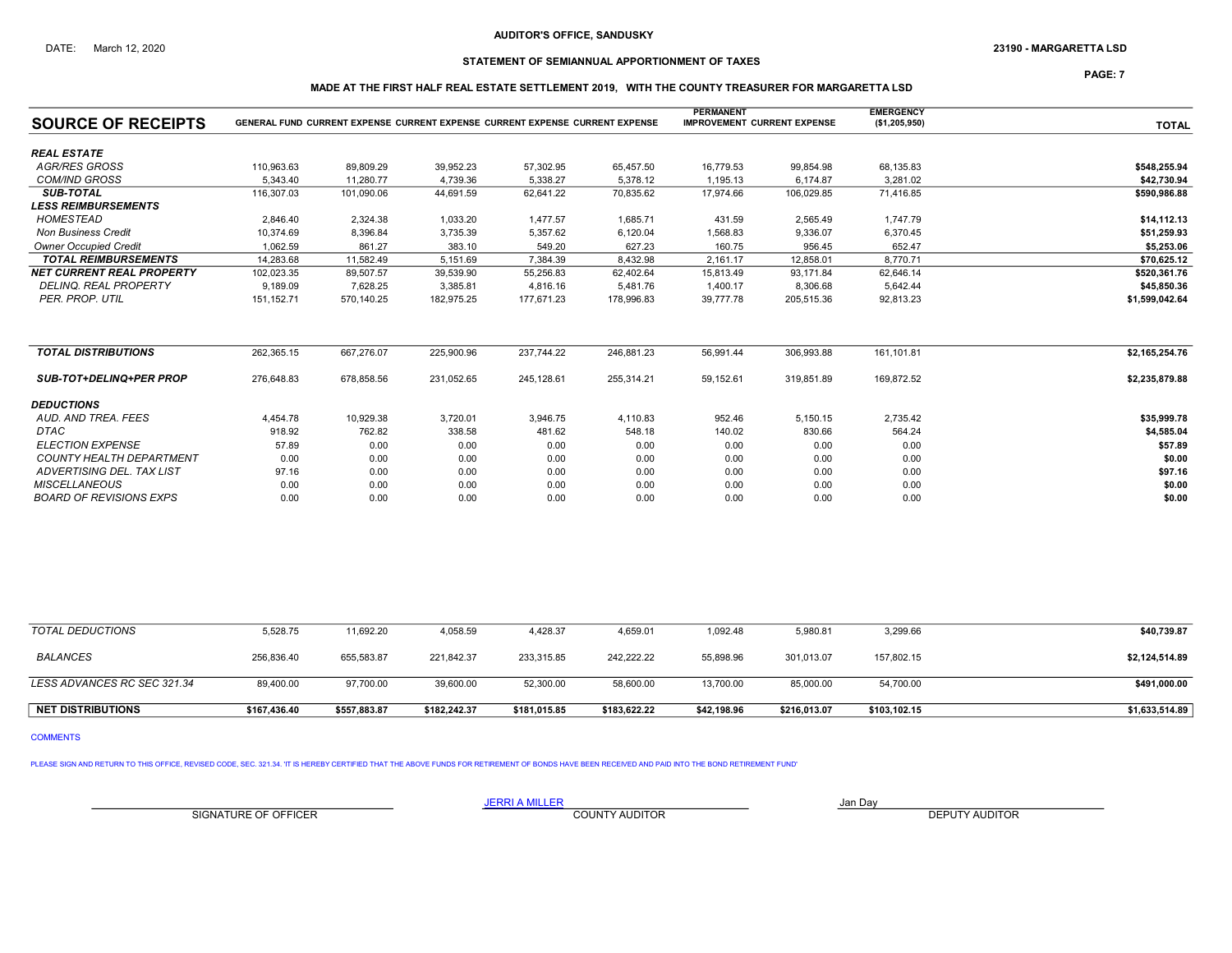## STATEMENT OF SEMIANNUAL APPORTIONMENT OF TAXES

PAGE: 7

## MADE AT THE FIRST HALF REAL ESTATE SETTLEMENT 2019, WITH THE COUNTY TREASURER FOR MARGARETTA LSD

| <b>SOURCE OF RECEIPTS</b>         |             | GENERAL FUND CURRENT EXPENSE CURRENT EXPENSE CURRENT EXPENSE CURRENT EXPENSE |            |            |            | <b>PERMANENT</b><br><b>IMPROVEMENT CURRENT EXPENSE</b> |            | <b>EMERGENCY</b><br>(\$1,205,950) | <b>TOTAL</b>   |
|-----------------------------------|-------------|------------------------------------------------------------------------------|------------|------------|------------|--------------------------------------------------------|------------|-----------------------------------|----------------|
| <b>REAL ESTATE</b>                |             |                                                                              |            |            |            |                                                        |            |                                   |                |
| <b>AGR/RES GROSS</b>              | 110,963.63  | 89.809.29                                                                    | 39,952.23  | 57,302.95  | 65,457.50  | 16,779.53                                              | 99,854.98  | 68,135.83                         | \$548.255.94   |
| <b>COM/IND GROSS</b>              | 5,343.40    | 11.280.77                                                                    | 4,739.36   | 5,338.27   | 5,378.12   | 1,195.13                                               | 6,174.87   | 3,281.02                          | \$42,730.94    |
| <b>SUB-TOTAL</b>                  | 116,307.03  | 101.090.06                                                                   | 44,691.59  | 62,641.22  | 70,835.62  | 17,974.66                                              | 106.029.85 | 71.416.85                         | \$590,986.88   |
| <i><b>LESS REIMBURSEMENTS</b></i> |             |                                                                              |            |            |            |                                                        |            |                                   |                |
| <b>HOMESTEAD</b>                  | 2.846.40    | 2.324.38                                                                     | 1.033.20   | 1.477.57   | 1,685.71   | 431.59                                                 | 2.565.49   | 1,747.79                          | \$14,112.13    |
| <b>Non Business Credit</b>        | 10,374.69   | 8,396.84                                                                     | 3,735.39   | 5,357.62   | 6,120.04   | 1,568.83                                               | 9,336.07   | 6,370.45                          | \$51,259.93    |
| <b>Owner Occupied Credit</b>      | 1,062.59    | 861.27                                                                       | 383.10     | 549.20     | 627.23     | 160.75                                                 | 956.45     | 652.47                            | \$5,253.06     |
| <b>TOTAL REIMBURSEMENTS</b>       | 14,283.68   | 11,582.49                                                                    | 5,151.69   | 7,384.39   | 8,432.98   | 2,161.17                                               | 12,858.01  | 8.770.71                          | \$70,625.12    |
| <b>NET CURRENT REAL PROPERTY</b>  | 102,023.35  | 89.507.57                                                                    | 39,539.90  | 55,256.83  | 62,402.64  | 15,813.49                                              | 93.171.84  | 62.646.14                         | \$520,361.76   |
| <b>DELINQ. REAL PROPERTY</b>      | 9,189.09    | 7,628.25                                                                     | 3,385.81   | 4,816.16   | 5,481.76   | 1,400.17                                               | 8,306.68   | 5,642.44                          | \$45,850.36    |
| PER. PROP. UTIL                   | 151, 152.71 | 570,140.25                                                                   | 182,975.25 | 177.671.23 | 178,996.83 | 39,777.78                                              | 205.515.36 | 92.813.23                         | \$1,599,042.64 |
| <b>TOTAL DISTRIBUTIONS</b>        | 262,365.15  | 667,276.07                                                                   | 225,900.96 | 237,744.22 | 246,881.23 | 56,991.44                                              | 306,993.88 | 161,101.81                        | \$2,165,254.76 |
| <b>SUB-TOT+DELINQ+PER PROP</b>    | 276,648.83  | 678,858.56                                                                   | 231,052.65 | 245,128.61 | 255,314.21 | 59,152.61                                              | 319,851.89 | 169,872.52                        | \$2,235,879.88 |
| <b>DEDUCTIONS</b>                 |             |                                                                              |            |            |            |                                                        |            |                                   |                |
| AUD. AND TREA. FEES               | 4,454.78    | 10,929.38                                                                    | 3,720.01   | 3,946.75   | 4,110.83   | 952.46                                                 | 5,150.15   | 2,735.42                          | \$35,999.78    |
| DTAC                              | 918.92      | 762.82                                                                       | 338.58     | 481.62     | 548.18     | 140.02                                                 | 830.66     | 564.24                            | \$4,585.04     |
| <b>ELECTION EXPENSE</b>           | 57.89       | 0.00                                                                         | 0.00       | 0.00       | 0.00       | 0.00                                                   | 0.00       | 0.00                              | \$57.89        |
| <b>COUNTY HEALTH DEPARTMENT</b>   | 0.00        | 0.00                                                                         | 0.00       | 0.00       | 0.00       | 0.00                                                   | 0.00       | 0.00                              | \$0.00         |
| ADVERTISING DEL. TAX LIST         | 97.16       | 0.00                                                                         | 0.00       | 0.00       | 0.00       | 0.00                                                   | 0.00       | 0.00                              | \$97.16        |
| <b>MISCELLANEOUS</b>              | 0.00        | 0.00                                                                         | 0.00       | 0.00       | 0.00       | 0.00                                                   | 0.00       | 0.00                              | \$0.00         |
| <b>BOARD OF REVISIONS EXPS</b>    | 0.00        | 0.00                                                                         | 0.00       | 0.00       | 0.00       | 0.00                                                   | 0.00       | 0.00                              | \$0.00         |

| <b>NET DISTRIBUTIONS</b>    | \$167,436.40 | \$557,883.87 | \$182,242.37 | \$181,015.85 | \$183,622.22 | \$42.198.96 | \$216,013.07 | \$103,102.15 | \$1,633,514.89 |
|-----------------------------|--------------|--------------|--------------|--------------|--------------|-------------|--------------|--------------|----------------|
|                             |              |              |              |              |              |             |              |              |                |
| LESS ADVANCES RC SEC 321.34 | 89,400.00    | 97,700.00    | 39,600.00    | 52,300.00    | 58,600.00    | 13,700.00   | 85,000.00    | 54,700.00    | \$491,000.00   |
| <b>BALANCES</b>             | 256,836.40   | 655,583.87   | 221.842.37   | 233,315.85   | 242.222.22   | 55,898.96   | 301,013.07   | 157,802.15   | \$2,124,514.89 |
| TOTAL DEDUCTIONS            | 5,528.75     | 11,692.20    | 4,058.59     | 4,428.37     | 4,659.01     | 1,092.48    | 5,980.81     | 3,299.66     | \$40,739.87    |

COMMENTS

PLEASE SIGN AND RETURN TO THIS OFFICE, REVISED CODE, SEC. 321.34. 'IT IS HEREBY CERTIFIED THAT THE ABOVE FUNDS FOR RETIREMENT OF BONDS HAVE BEEN RECEIVED AND PAID INTO THE BOND RETIREMENT FUND'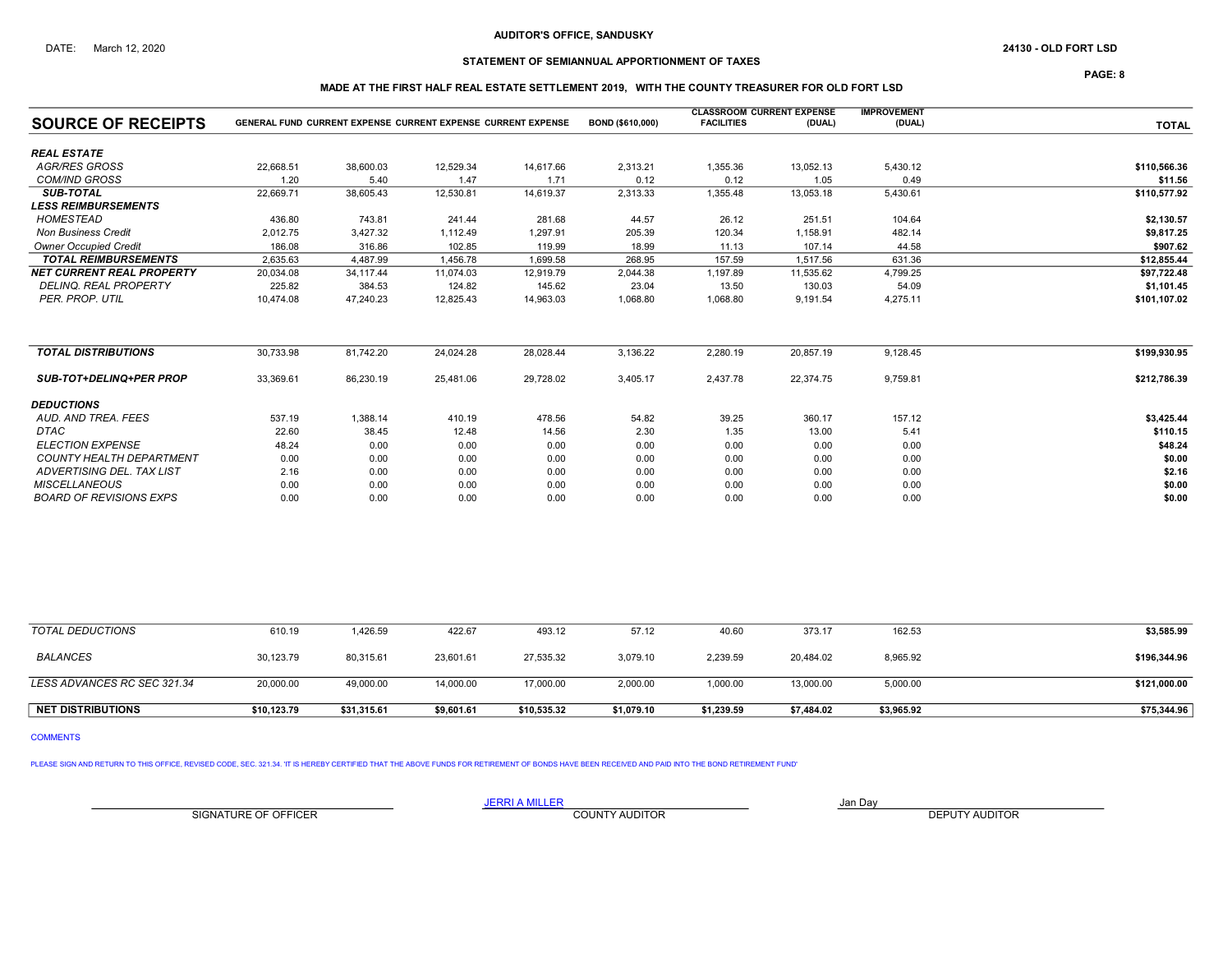# STATEMENT OF SEMIANNUAL APPORTIONMENT OF TAXES

PAGE: 8

## MADE AT THE FIRST HALF REAL ESTATE SETTLEMENT 2019, WITH THE COUNTY TREASURER FOR OLD FORT LSD

|                                  |           |           |                                                                     |           |                  | <b>CLASSROOM CURRENT EXPENSE</b> |           | <b>IMPROVEMENT</b> |              |
|----------------------------------|-----------|-----------|---------------------------------------------------------------------|-----------|------------------|----------------------------------|-----------|--------------------|--------------|
| <b>SOURCE OF RECEIPTS</b>        |           |           | <b>GENERAL FUND CURRENT EXPENSE CURRENT EXPENSE CURRENT EXPENSE</b> |           | BOND (\$610,000) | <b>FACILITIES</b>                | (DUAL)    | (DUAL)             | <b>TOTAL</b> |
| <b>REAL ESTATE</b>               |           |           |                                                                     |           |                  |                                  |           |                    |              |
| <b>AGR/RES GROSS</b>             | 22,668.51 | 38,600.03 | 12,529.34                                                           | 14,617.66 | 2,313.21         | 1,355.36                         | 13,052.13 | 5,430.12           | \$110,566.36 |
| <b>COM/IND GROSS</b>             | 1.20      | 5.40      | 1.47                                                                | 1.71      | 0.12             | 0.12                             | 1.05      | 0.49               | \$11.56      |
| <b>SUB-TOTAL</b>                 | 22,669.71 | 38,605.43 | 12,530.81                                                           | 14,619.37 | 2,313.33         | 1,355.48                         | 13,053.18 | 5,430.61           | \$110,577.92 |
| <b>LESS REIMBURSEMENTS</b>       |           |           |                                                                     |           |                  |                                  |           |                    |              |
| <b>HOMESTEAD</b>                 | 436.80    | 743.81    | 241.44                                                              | 281.68    | 44.57            | 26.12                            | 251.51    | 104.64             | \$2,130.57   |
| <b>Non Business Credit</b>       | 2,012.75  | 3,427.32  | 1,112.49                                                            | 1,297.91  | 205.39           | 120.34                           | 1,158.91  | 482.14             | \$9,817.25   |
| <b>Owner Occupied Credit</b>     | 186.08    | 316.86    | 102.85                                                              | 119.99    | 18.99            | 11.13                            | 107.14    | 44.58              | \$907.62     |
| <b>TOTAL REIMBURSEMENTS</b>      | 2.635.63  | 4.487.99  | 1.456.78                                                            | 1.699.58  | 268.95           | 157.59                           | 1.517.56  | 631.36             | \$12.855.44  |
| <b>NET CURRENT REAL PROPERTY</b> | 20,034.08 | 34.117.44 | 11.074.03                                                           | 12,919.79 | 2,044.38         | 1,197.89                         | 11,535.62 | 4,799.25           | \$97,722.48  |
| <b>DELINQ. REAL PROPERTY</b>     | 225.82    | 384.53    | 124.82                                                              | 145.62    | 23.04            | 13.50                            | 130.03    | 54.09              | \$1,101.45   |
| PER. PROP. UTIL                  | 10.474.08 | 47,240.23 | 12,825.43                                                           | 14,963.03 | 1,068.80         | 1,068.80                         | 9,191.54  | 4,275.11           | \$101,107.02 |
| <b>TOTAL DISTRIBUTIONS</b>       | 30,733.98 | 81,742.20 | 24,024.28                                                           | 28,028.44 | 3,136.22         | 2,280.19                         | 20,857.19 | 9,128.45           | \$199,930.95 |
| <b>SUB-TOT+DELINQ+PER PROP</b>   | 33,369.61 | 86,230.19 | 25,481.06                                                           | 29,728.02 | 3,405.17         | 2,437.78                         | 22,374.75 | 9,759.81           | \$212,786.39 |
| <b>DEDUCTIONS</b>                |           |           |                                                                     |           |                  |                                  |           |                    |              |
| AUD. AND TREA. FEES              | 537.19    | 1,388.14  | 410.19                                                              | 478.56    | 54.82            | 39.25                            | 360.17    | 157.12             | \$3,425.44   |
| DTAC                             | 22.60     | 38.45     | 12.48                                                               | 14.56     | 2.30             | 1.35                             | 13.00     | 5.41               | \$110.15     |
| <b>ELECTION EXPENSE</b>          | 48.24     | 0.00      | 0.00                                                                | 0.00      | 0.00             | 0.00                             | 0.00      | 0.00               | \$48.24      |
| <b>COUNTY HEALTH DEPARTMENT</b>  | 0.00      | 0.00      | 0.00                                                                | 0.00      | 0.00             | 0.00                             | 0.00      | 0.00               | \$0.00       |
| ADVERTISING DEL. TAX LIST        | 2.16      | 0.00      | 0.00                                                                | 0.00      | 0.00             | 0.00                             | 0.00      | 0.00               | \$2.16       |
| <b>MISCELLANEOUS</b>             | 0.00      | 0.00      | 0.00                                                                | 0.00      | 0.00             | 0.00                             | 0.00      | 0.00               | \$0.00       |
| <b>BOARD OF REVISIONS EXPS</b>   | 0.00      | 0.00      | 0.00                                                                | 0.00      | 0.00             | 0.00                             | 0.00      | 0.00               | \$0.00       |

| TOTAL DEDUCTIONS            | 610.19      | 1,426.59    | 422.67     | 493.12      | 57.12      | 40.60      | 373.17     | 162.53     | \$3,585.99   |
|-----------------------------|-------------|-------------|------------|-------------|------------|------------|------------|------------|--------------|
| <b>BALANCES</b>             | 30.123.79   | 80.315.61   | 23.601.61  | 27,535.32   | 3.079.10   | 2,239.59   | 20.484.02  | 8,965.92   | \$196,344.96 |
| LESS ADVANCES RC SEC 321.34 | 20,000.00   | 49,000.00   | 14,000.00  | 17,000.00   | 2,000.00   | 1,000.00   | 13,000.00  | 5,000.00   | \$121,000.00 |
| <b>NET DISTRIBUTIONS</b>    | \$10,123.79 | \$31,315.61 | \$9,601.61 | \$10,535.32 | \$1,079.10 | \$1,239.59 | \$7,484.02 | \$3,965.92 | \$75,344.96  |

COMMENTS

PLEASE SIGN AND RETURN TO THIS OFFICE, REVISED CODE, SEC. 321.34. 'IT IS HEREBY CERTIFIED THAT THE ABOVE FUNDS FOR RETIREMENT OF BONDS HAVE BEEN RECEIVED AND PAID INTO THE BOND RETIREMENT FUND'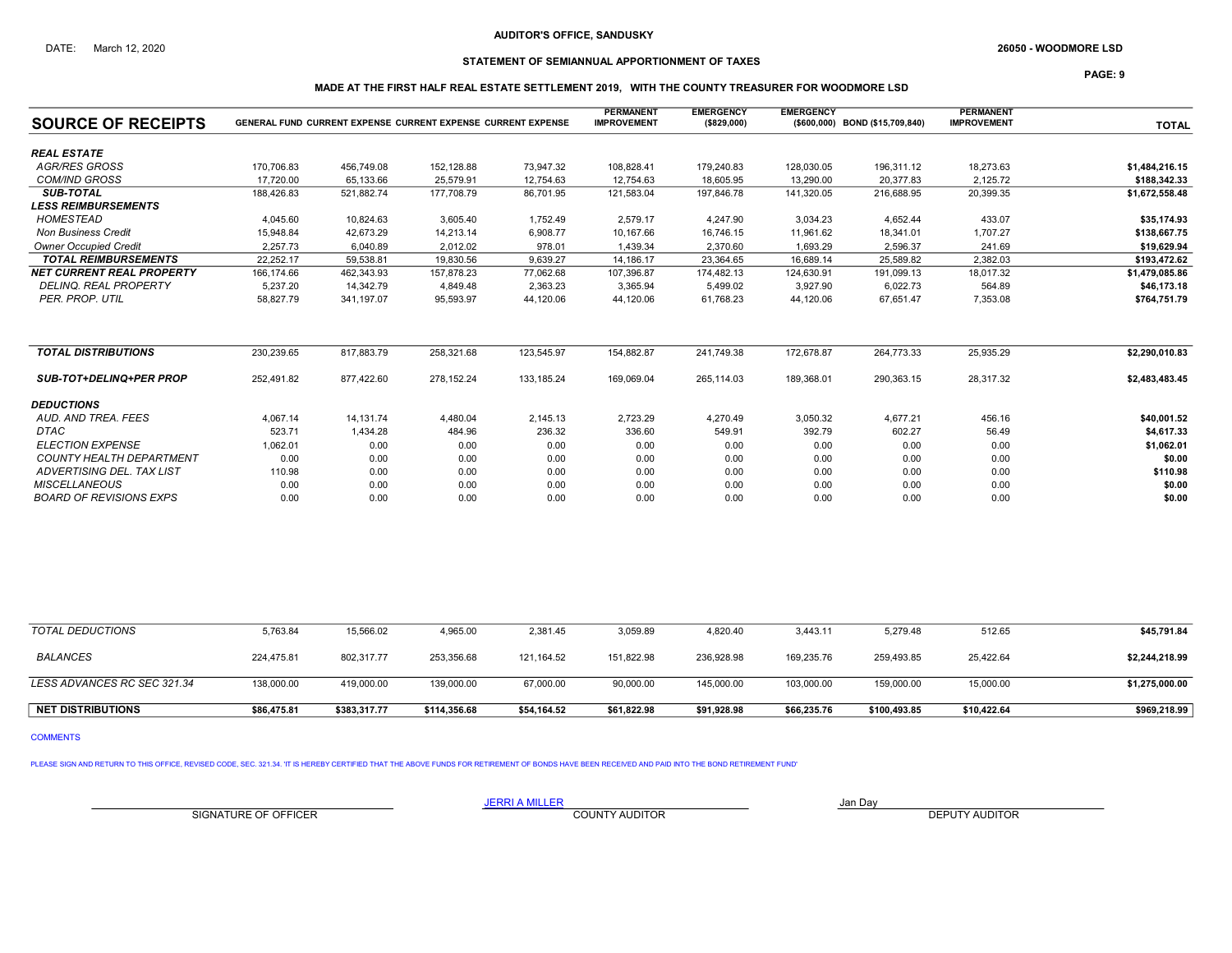# STATEMENT OF SEMIANNUAL APPORTIONMENT OF TAXES

PAGE: 9

## MADE AT THE FIRST HALF REAL ESTATE SETTLEMENT 2019, WITH THE COUNTY TREASURER FOR WOODMORE LSD

| <b>SOURCE OF RECEIPTS</b>        |            | <b>GENERAL FUND CURRENT EXPENSE CURRENT EXPENSE CURRENT EXPENSE</b> |            |            | <b>PERMANENT</b><br><b>IMPROVEMENT</b> | <b>EMERGENCY</b><br>(\$829,000) | <b>EMERGENCY</b> | (\$600,000) BOND (\$15,709,840) | <b>PERMANENT</b><br><b>IMPROVEMENT</b> | <b>TOTAL</b>   |
|----------------------------------|------------|---------------------------------------------------------------------|------------|------------|----------------------------------------|---------------------------------|------------------|---------------------------------|----------------------------------------|----------------|
| <b>REAL ESTATE</b>               |            |                                                                     |            |            |                                        |                                 |                  |                                 |                                        |                |
| <b>AGR/RES GROSS</b>             | 170,706.83 | 456,749.08                                                          | 152,128.88 | 73,947.32  | 108,828.41                             | 179,240.83                      | 128,030.05       | 196,311.12                      | 18,273.63                              | \$1,484,216.15 |
| <b>COM/IND GROSS</b>             | 17.720.00  | 65,133.66                                                           | 25,579.91  | 12,754.63  | 12,754.63                              | 18,605.95                       | 13.290.00        | 20.377.83                       | 2,125.72                               | \$188,342.33   |
| <b>SUB-TOTAL</b>                 | 188.426.83 | 521.882.74                                                          | 177,708.79 | 86,701.95  | 121,583.04                             | 197.846.78                      | 141,320.05       | 216.688.95                      | 20,399.35                              | \$1,672,558.48 |
| <b>LESS REIMBURSEMENTS</b>       |            |                                                                     |            |            |                                        |                                 |                  |                                 |                                        |                |
| HOMESTEAD                        | 4,045.60   | 10,824.63                                                           | 3,605.40   | 1,752.49   | 2,579.17                               | 4,247.90                        | 3,034.23         | 4,652.44                        | 433.07                                 | \$35,174.93    |
| <b>Non Business Credit</b>       | 15,948.84  | 42,673.29                                                           | 14,213.14  | 6,908.77   | 10,167.66                              | 16,746.15                       | 11,961.62        | 18,341.01                       | 1,707.27                               | \$138,667.75   |
| <b>Owner Occupied Credit</b>     | 2,257.73   | 6,040.89                                                            | 2,012.02   | 978.01     | 1,439.34                               | 2,370.60                        | 1,693.29         | 2,596.37                        | 241.69                                 | \$19,629.94    |
| <b>TOTAL REIMBURSEMENTS</b>      | 22.252.17  | 59,538.81                                                           | 19,830.56  | 9,639.27   | 14,186.17                              | 23,364.65                       | 16.689.14        | 25.589.82                       | 2.382.03                               | \$193.472.62   |
| <b>NET CURRENT REAL PROPERTY</b> | 166,174.66 | 462.343.93                                                          | 157,878.23 | 77,062.68  | 107,396.87                             | 174,482.13                      | 124,630.91       | 191.099.13                      | 18.017.32                              | \$1,479,085.86 |
| <b>DELINQ, REAL PROPERTY</b>     | 5.237.20   | 14.342.79                                                           | 4.849.48   | 2,363.23   | 3,365.94                               | 5,499.02                        | 3.927.90         | 6.022.73                        | 564.89                                 | \$46,173.18    |
| PER. PROP. UTIL                  | 58,827.79  | 341.197.07                                                          | 95,593.97  | 44,120.06  | 44,120.06                              | 61,768.23                       | 44,120.06        | 67.651.47                       | 7,353.08                               | \$764,751.79   |
| <b>TOTAL DISTRIBUTIONS</b>       | 230,239.65 | 817,883.79                                                          | 258,321.68 | 123,545.97 | 154,882.87                             | 241.749.38                      | 172,678.87       | 264,773.33                      | 25,935.29                              | \$2,290,010.83 |
| <b>SUB-TOT+DELINQ+PER PROP</b>   | 252,491.82 | 877,422.60                                                          | 278,152.24 | 133,185.24 | 169,069.04                             | 265,114.03                      | 189,368.01       | 290,363.15                      | 28,317.32                              | \$2,483,483.45 |
| <b>DEDUCTIONS</b>                |            |                                                                     |            |            |                                        |                                 |                  |                                 |                                        |                |
| AUD, AND TREA, FEES              | 4,067.14   | 14,131.74                                                           | 4,480.04   | 2,145.13   | 2,723.29                               | 4,270.49                        | 3,050.32         | 4,677.21                        | 456.16                                 | \$40,001.52    |
| <b>DTAC</b>                      | 523.71     | 1,434.28                                                            | 484.96     | 236.32     | 336.60                                 | 549.91                          | 392.79           | 602.27                          | 56.49                                  | \$4,617.33     |
| <b>ELECTION EXPENSE</b>          | 1,062.01   | 0.00                                                                | 0.00       | 0.00       | 0.00                                   | 0.00                            | 0.00             | 0.00                            | 0.00                                   | \$1,062.01     |
| <b>COUNTY HEALTH DEPARTMENT</b>  | 0.00       | 0.00                                                                | 0.00       | 0.00       | 0.00                                   | 0.00                            | 0.00             | 0.00                            | 0.00                                   | \$0.00         |
| ADVERTISING DEL. TAX LIST        | 110.98     | 0.00                                                                | 0.00       | 0.00       | 0.00                                   | 0.00                            | 0.00             | 0.00                            | 0.00                                   | \$110.98       |
| <b>MISCELLANEOUS</b>             | 0.00       | 0.00                                                                | 0.00       | 0.00       | 0.00                                   | 0.00                            | 0.00             | 0.00                            | 0.00                                   | \$0.00         |
| <b>BOARD OF REVISIONS EXPS</b>   | 0.00       | 0.00                                                                | 0.00       | 0.00       | 0.00                                   | 0.00                            | 0.00             | 0.00                            | 0.00                                   | \$0.00         |

| TOTAL DEDUCTIONS            | 5,763.84    | 15,566.02    | 4,965.00     | 2,381.45    | 3,059.89    | 4.820.40    | 3,443.11    | 5,279.48     | 512.65      | \$45,791.84    |
|-----------------------------|-------------|--------------|--------------|-------------|-------------|-------------|-------------|--------------|-------------|----------------|
| <b>BALANCES</b>             | 224.475.81  | 802,317.77   | 253,356.68   | 121.164.52  | 151.822.98  | 236.928.98  | 169.235.76  | 259.493.85   | 25,422.64   | \$2,244,218.99 |
| LESS ADVANCES RC SEC 321.34 | 138,000.00  | 419,000.00   | 139,000.00   | 67,000.00   | 90,000.00   | 145,000.00  | 103,000.00  | 159,000.00   | 15,000.00   | \$1,275,000.00 |
| <b>NET DISTRIBUTIONS</b>    | \$86,475.81 | \$383,317.77 | \$114,356.68 | \$54,164.52 | \$61,822.98 | \$91,928.98 | \$66,235.76 | \$100,493.85 | \$10,422.64 | \$969,218.99   |

COMMENTS

PLEASE SIGN AND RETURN TO THIS OFFICE, REVISED CODE, SEC. 321.34. 'IT IS HEREBY CERTIFIED THAT THE ABOVE FUNDS FOR RETIREMENT OF BONDS HAVE BEEN RECEIVED AND PAID INTO THE BOND RETIREMENT FUND'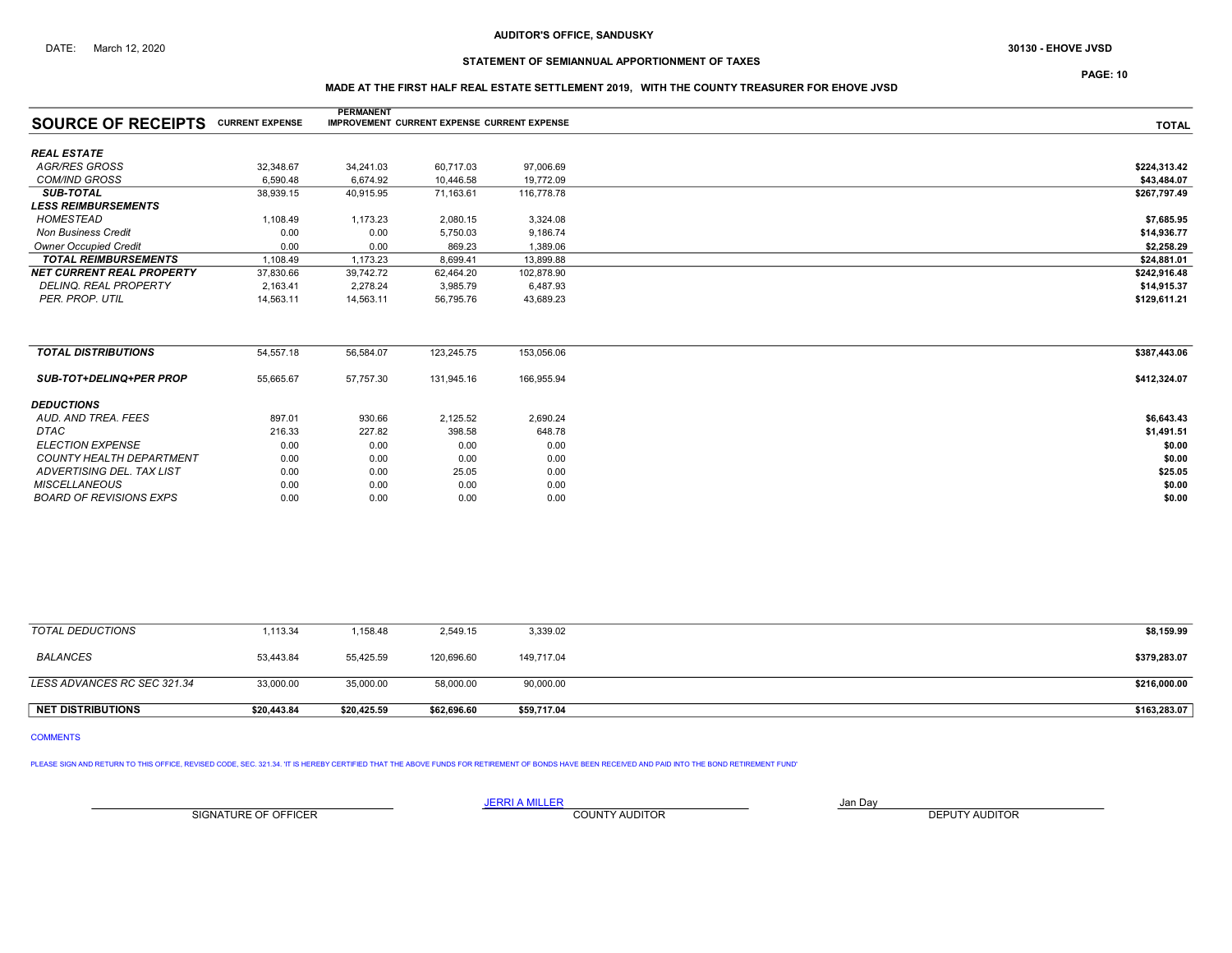# STATEMENT OF SEMIANNUAL APPORTIONMENT OF TAXES

## MADE AT THE FIRST HALF REAL ESTATE SETTLEMENT 2019, WITH THE COUNTY TREASURER FOR EHOVE JVSD

|                                  |                        | <b>PERMANENT</b> |                                                    |            |              |
|----------------------------------|------------------------|------------------|----------------------------------------------------|------------|--------------|
| <b>SOURCE OF RECEIPTS</b>        | <b>CURRENT EXPENSE</b> |                  | <b>IMPROVEMENT CURRENT EXPENSE CURRENT EXPENSE</b> |            | <b>TOTAL</b> |
|                                  |                        |                  |                                                    |            |              |
| <b>REAL ESTATE</b>               |                        |                  |                                                    |            |              |
| <b>AGR/RES GROSS</b>             | 32,348.67              | 34,241.03        | 60,717.03                                          | 97,006.69  | \$224,313.42 |
| <b>COM/IND GROSS</b>             | 6,590.48               | 6,674.92         | 10,446.58                                          | 19,772.09  | \$43,484.07  |
| <b>SUB-TOTAL</b>                 | 38,939.15              | 40,915.95        | 71,163.61                                          | 116,778.78 | \$267,797.49 |
| <b>LESS REIMBURSEMENTS</b>       |                        |                  |                                                    |            |              |
| <b>HOMESTEAD</b>                 | 1,108.49               | 1,173.23         | 2,080.15                                           | 3,324.08   | \$7,685.95   |
| <b>Non Business Credit</b>       | 0.00                   | 0.00             | 5,750.03                                           | 9,186.74   | \$14,936.77  |
| <b>Owner Occupied Credit</b>     | 0.00                   | 0.00             | 869.23                                             | 1,389.06   | \$2,258.29   |
| <b>TOTAL REIMBURSEMENTS</b>      | 1.108.49               | 1,173.23         | 8,699.41                                           | 13,899.88  | \$24,881.01  |
| <b>NET CURRENT REAL PROPERTY</b> | 37,830.66              | 39,742.72        | 62,464.20                                          | 102,878.90 | \$242,916.48 |
| <b>DELINQ, REAL PROPERTY</b>     | 2,163.41               | 2,278.24         | 3,985.79                                           | 6,487.93   | \$14,915.37  |
| PER. PROP. UTIL                  | 14,563.11              | 14,563.11        | 56,795.76                                          | 43,689.23  | \$129,611.21 |
|                                  |                        |                  |                                                    |            |              |
|                                  |                        |                  |                                                    |            |              |
| <b>TOTAL DISTRIBUTIONS</b>       | 54,557.18              | 56,584.07        | 123,245.75                                         | 153,056.06 | \$387,443.06 |
| SUB-TOT+DELINQ+PER PROP          | 55,665.67              | 57,757.30        | 131,945.16                                         | 166,955.94 | \$412,324.07 |
|                                  |                        |                  |                                                    |            |              |
| <b>DEDUCTIONS</b>                |                        |                  |                                                    |            |              |
| AUD, AND TREA, FEES              | 897.01                 | 930.66           | 2,125.52                                           | 2,690.24   | \$6,643.43   |
| DTAC                             | 216.33                 | 227.82           | 398.58                                             | 648.78     | \$1,491.51   |
| <b>ELECTION EXPENSE</b>          | 0.00                   | 0.00             | 0.00                                               | 0.00       | \$0.00       |
| <b>COUNTY HEALTH DEPARTMENT</b>  | 0.00                   | 0.00             | 0.00                                               | 0.00       | \$0.00       |
| ADVERTISING DEL. TAX LIST        | 0.00                   | 0.00             | 25.05                                              | 0.00       | \$25.05      |
| <b>MISCELLANEOUS</b>             | 0.00                   | 0.00             | 0.00                                               | 0.00       | \$0.00       |
| <b>BOARD OF REVISIONS EXPS</b>   | 0.00                   | 0.00             | 0.00                                               | 0.00       | \$0.00       |
|                                  |                        |                  |                                                    |            |              |

| TOTAL DEDUCTIONS            | 1,113.34    | .158.48     | 2,549.15    | 3,339.02    | \$8,159.99   |
|-----------------------------|-------------|-------------|-------------|-------------|--------------|
| <b>BALANCES</b>             | 53,443.84   | 55,425.59   | 120,696.60  | 149,717.04  | \$379,283.07 |
| LESS ADVANCES RC SEC 321.34 | 33.000.00   | 35,000.00   | 58,000.00   | 90,000.00   | \$216,000.00 |
| <b>NET DISTRIBUTIONS</b>    | \$20,443.84 | \$20,425.59 | \$62,696.60 | \$59,717.04 | \$163,283.07 |

# COMMENTS

PLEASE SIGN AND RETURN TO THIS OFFICE, REVISED CODE, SEC. 321.34. 'IT IS HEREBY CERTIFIED THAT THE ABOVE FUNDS FOR RETIREMENT OF BONDS HAVE BEEN RECEIVED AND PAID INTO THE BOND RETIREMENT FUND'

JERRI A MILLER COUNTY AUDITOR **Fix A SERVICE A MILLER** Jan Day SIGNATURE OF OFFICER **EXECUTE A RELATION COUNTY AUDITOR** COUNTY AUDITOR **DEPUTY AUDITOR** 

PAGE: 10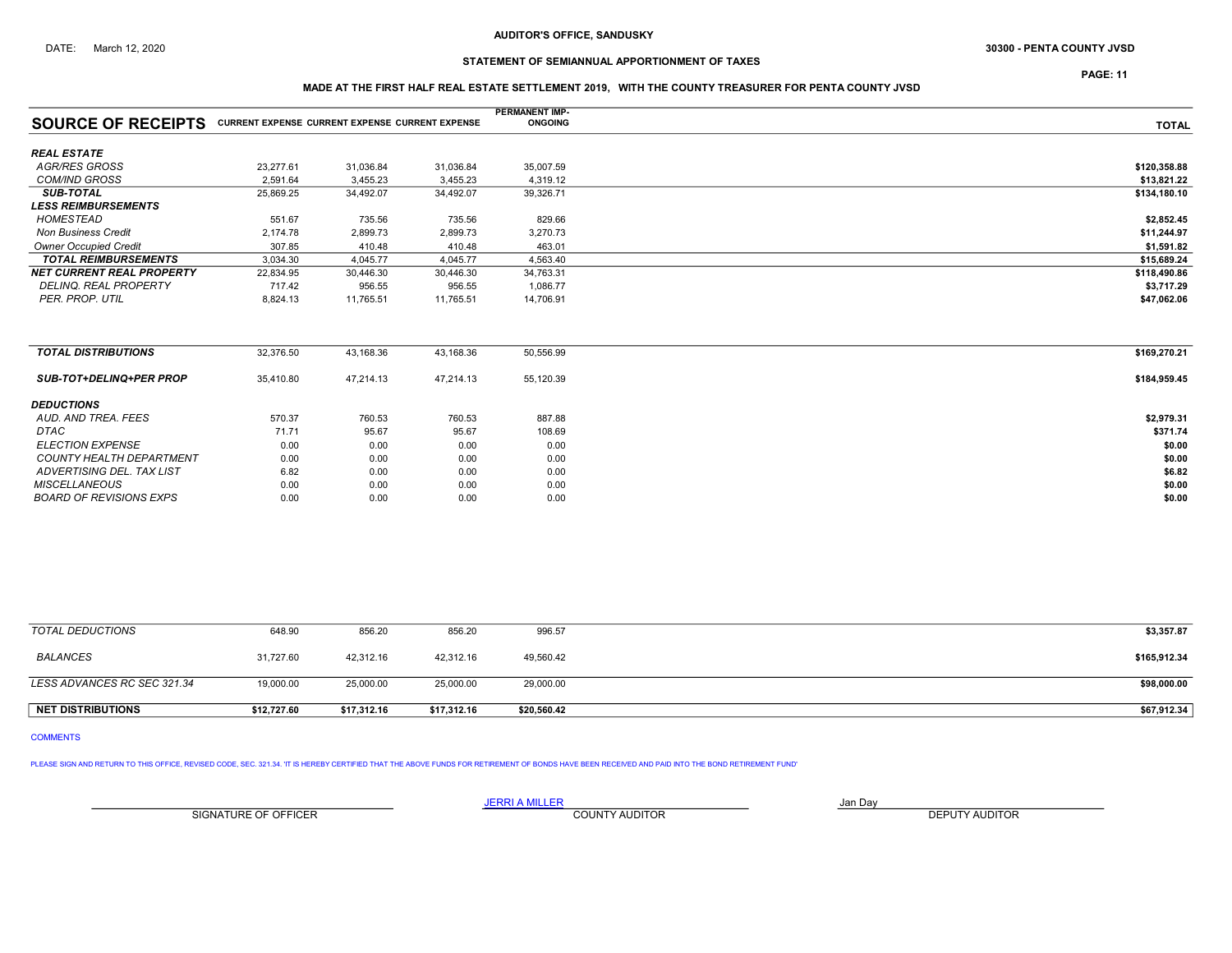## DATE: March 12, 2020 **PENTA COUNTY JVSD** 30300 - PENTA COUNTY JVSD

# STATEMENT OF SEMIANNUAL APPORTIONMENT OF TAXES

PAGE: 11

## MADE AT THE FIRST HALF REAL ESTATE SETTLEMENT 2019, WITH THE COUNTY TREASURER FOR PENTA COUNTY JVSD

|                                                                           |           |           |           | <b>PERMANENT IMP-</b> |              |
|---------------------------------------------------------------------------|-----------|-----------|-----------|-----------------------|--------------|
| <b>SOURCE OF RECEIPTS</b> CURRENT EXPENSE CURRENT EXPENSE CURRENT EXPENSE |           |           |           | <b>ONGOING</b>        | <b>TOTAL</b> |
| <b>REAL ESTATE</b>                                                        |           |           |           |                       |              |
| <b>AGR/RES GROSS</b>                                                      | 23,277.61 | 31,036.84 | 31,036.84 | 35,007.59             | \$120,358.88 |
| <b>COM/IND GROSS</b>                                                      | 2,591.64  | 3,455.23  | 3,455.23  | 4,319.12              | \$13,821.22  |
| <b>SUB-TOTAL</b>                                                          | 25,869.25 | 34,492.07 | 34,492.07 | 39,326.71             | \$134,180.10 |
| <b>LESS REIMBURSEMENTS</b>                                                |           |           |           |                       |              |
| <b>HOMESTEAD</b>                                                          | 551.67    | 735.56    | 735.56    | 829.66                | \$2,852.45   |
| <b>Non Business Credit</b>                                                | 2,174.78  | 2,899.73  | 2,899.73  | 3,270.73              | \$11,244.97  |
| <b>Owner Occupied Credit</b>                                              | 307.85    | 410.48    | 410.48    | 463.01                | \$1,591.82   |
| <b>TOTAL REIMBURSEMENTS</b>                                               | 3,034.30  | 4,045.77  | 4,045.77  | 4,563.40              | \$15,689.24  |
| <b>NET CURRENT REAL PROPERTY</b>                                          | 22,834.95 | 30,446.30 | 30,446.30 | 34,763.31             | \$118,490.86 |
| DELINQ. REAL PROPERTY                                                     | 717.42    | 956.55    | 956.55    | 1,086.77              | \$3,717.29   |
| PER. PROP. UTIL                                                           | 8,824.13  | 11,765.51 | 11,765.51 | 14,706.91             | \$47,062.06  |
|                                                                           |           |           |           |                       |              |
| <b>TOTAL DISTRIBUTIONS</b>                                                | 32,376.50 | 43,168.36 | 43,168.36 | 50,556.99             | \$169,270.21 |
| <b>SUB-TOT+DELINQ+PER PROP</b>                                            | 35,410.80 | 47,214.13 | 47,214.13 | 55,120.39             | \$184,959.45 |
| <b>DEDUCTIONS</b>                                                         |           |           |           |                       |              |
| AUD, AND TREA, FEES                                                       | 570.37    | 760.53    | 760.53    | 887.88                | \$2,979.31   |
| <b>DTAC</b>                                                               | 71.71     | 95.67     | 95.67     | 108.69                | \$371.74     |
| <b>ELECTION EXPENSE</b>                                                   | 0.00      | 0.00      | 0.00      | 0.00                  | \$0.00       |
| <b>COUNTY HEALTH DEPARTMENT</b>                                           | 0.00      | 0.00      | 0.00      | 0.00                  | \$0.00       |
| ADVERTISING DEL. TAX LIST                                                 | 6.82      | 0.00      | 0.00      | 0.00                  | \$6.82       |
| <b>MISCELLANEOUS</b>                                                      | 0.00      | 0.00      | 0.00      | 0.00                  | \$0.00       |
| <b>BOARD OF REVISIONS EXPS</b>                                            | 0.00      | 0.00      | 0.00      | 0.00                  | \$0.00       |

| TOTAL DEDUCTIONS            | 648.90      | 856.20      | 856.20      | 996.57      | \$3,357.87   |
|-----------------------------|-------------|-------------|-------------|-------------|--------------|
| BALANCES                    | 31,727.60   | 42,312.16   | 42,312.16   | 49,560.42   | \$165,912.34 |
| LESS ADVANCES RC SEC 321.34 | 19,000.00   | 25,000.00   | 25,000.00   | 29,000.00   | \$98,000.00  |
| <b>NET DISTRIBUTIONS</b>    | \$12,727.60 | \$17,312.16 | \$17.312.16 | \$20,560.42 | \$67,912.34  |

COMMENTS

PLEASE SIGN AND RETURN TO THIS OFFICE, REVISED CODE, SEC. 321.34. 'IT IS HEREBY CERTIFIED THAT THE ABOVE FUNDS FOR RETIREMENT OF BONDS HAVE BEEN RECEIVED AND PAID INTO THE BOND RETIREMENT FUND'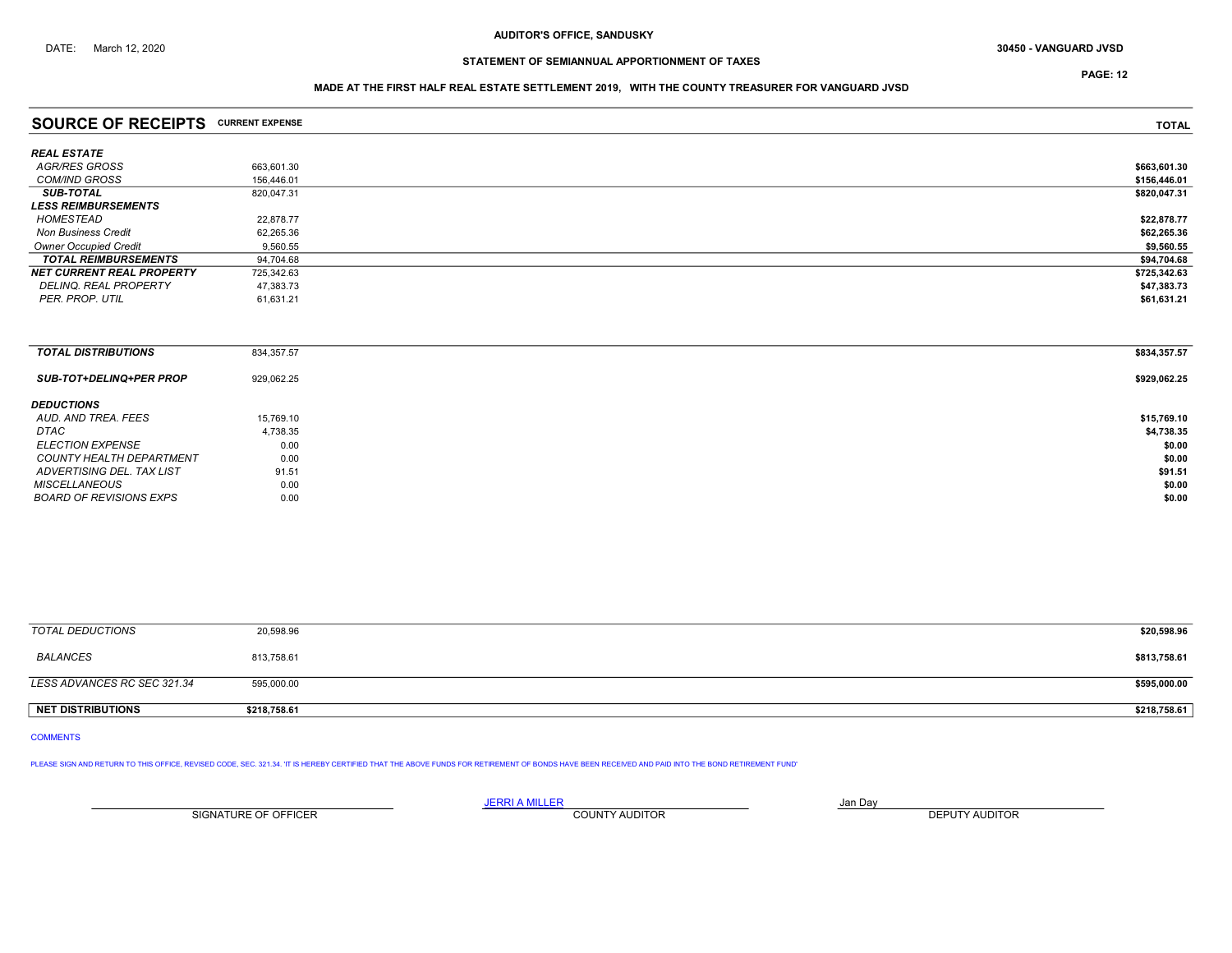PAGE: 12

## MADE AT THE FIRST HALF REAL ESTATE SETTLEMENT 2019, WITH THE COUNTY TREASURER FOR VANGUARD JVSD

| <b>SOURCE OF RECEIPTS CURRENT EXPENSE</b> |            | <b>TOTAL</b> |
|-------------------------------------------|------------|--------------|
| REAL ESTATE                               |            |              |
| AGR/RES GROSS                             | 663.601.30 | \$663,601.30 |
| <b>COM/IND GROSS</b>                      | 156,446.01 | \$156,446.01 |
| <b>SUB-TOTAL</b>                          | 820.047.31 | \$820.047.31 |
| <i><b>LESS REIMBURSEMENTS</b></i>         |            |              |
| HOMESTEAD                                 | 22.878.77  | \$22,878.77  |
| <b>Non Business Credit</b>                | 62.265.36  | \$62,265.36  |
| <b>Owner Occupied Credit</b>              | 9,560.55   | \$9,560.55   |
| <b>TOTAL REIMBURSEMENTS</b>               | 94.704.68  | \$94,704.68  |
| NET CURRENT REAL PROPERTY                 | 725,342.63 | \$725,342.63 |
| DELINQ. REAL PROPERTY                     | 47,383.73  | \$47,383.73  |
| PER. PROP. UTIL                           | 61,631.21  | \$61,631.21  |
|                                           |            |              |

| <b>TOTAL DISTRIBUTIONS</b>     | 834,357.57 | \$834,357.57 |
|--------------------------------|------------|--------------|
| <b>SUB-TOT+DELINQ+PER PROP</b> | 929,062.25 | \$929,062.25 |
| <b>DEDUCTIONS</b>              |            |              |
| AUD. AND TREA. FEES            | 15,769.10  | \$15,769.10  |
| DTAC                           | 4,738.35   | \$4,738.35   |
| <b>ELECTION EXPENSE</b>        | 0.00       | \$0.00       |
| COUNTY HEALTH DEPARTMENT       | 0.00       | \$0.00       |
| ADVERTISING DEL. TAX LIST      | 91.51      | \$91.51      |
| MISCELLANEOUS                  | 0.00       | \$0.00       |
| BOARD OF REVISIONS EXPS        | 0.00       | \$0.00       |

| TOTAL DEDUCTIONS            | 20,598.96    | \$20,598.96  |
|-----------------------------|--------------|--------------|
| BALANCES                    | 813,758.61   | \$813,758.61 |
| LESS ADVANCES RC SEC 321.34 | 595,000.00   | \$595,000.00 |
| NET DISTRIBUTIONS           | \$218,758.61 | \$218,758.61 |

COMMENTS

PLEASE SIGN AND RETURN TO THIS OFFICE, REVISED CODE, SEC. 321.34. 'IT IS HEREBY CERTIFIED THAT THE ABOVE FUNDS FOR RETIREMENT OF BONDS HAVE BEEN RECEIVED AND PAID INTO THE BOND RETIREMENT FUND'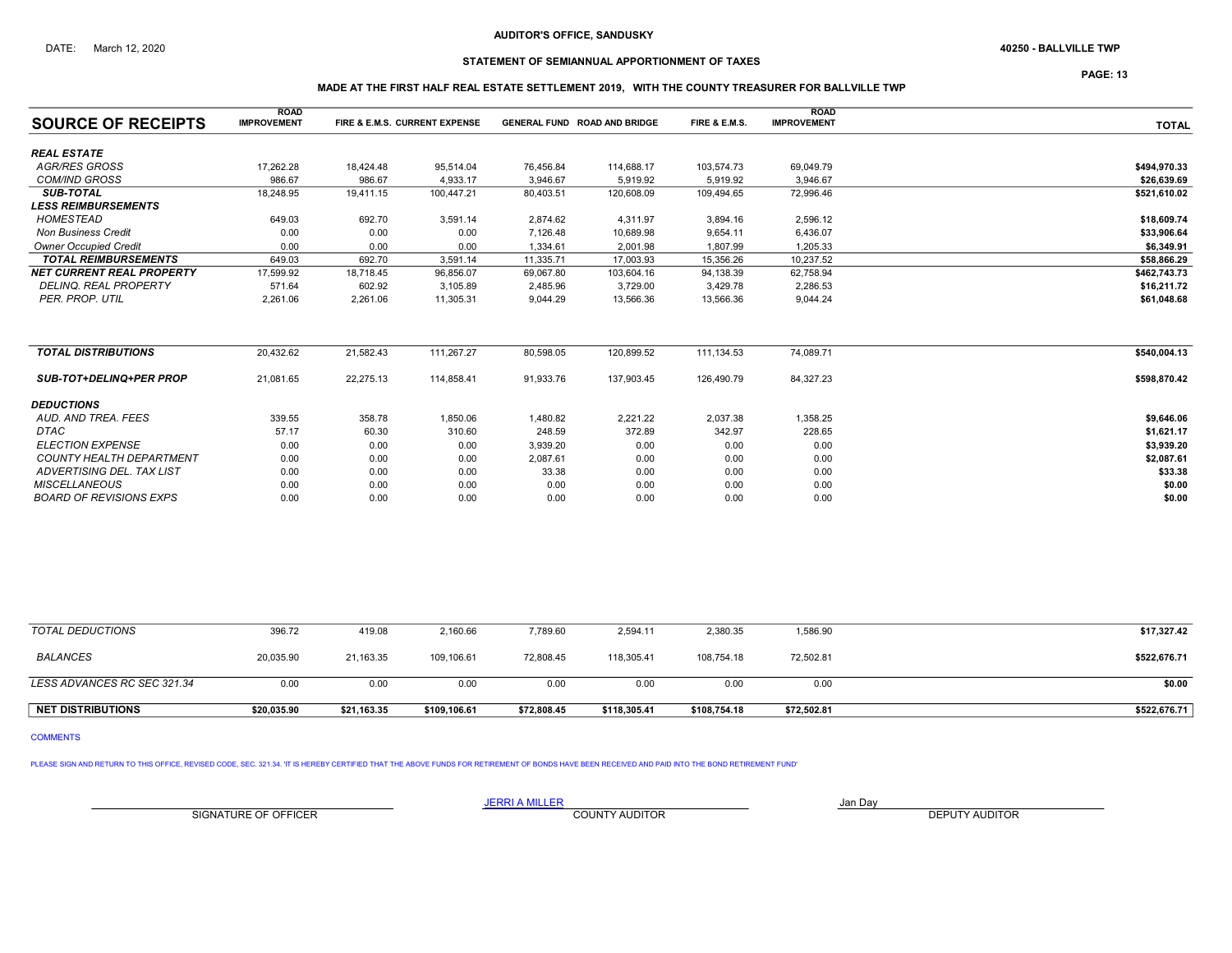## STATEMENT OF SEMIANNUAL APPORTIONMENT OF TAXES

PAGE: 13

## MADE AT THE FIRST HALF REAL ESTATE SETTLEMENT 2019, WITH THE COUNTY TREASURER FOR BALLVILLE TWP

|                                  | <b>ROAD</b>        |           |                               |           |                                     |               | <b>ROAD</b>        |              |
|----------------------------------|--------------------|-----------|-------------------------------|-----------|-------------------------------------|---------------|--------------------|--------------|
| <b>SOURCE OF RECEIPTS</b>        | <b>IMPROVEMENT</b> |           | FIRE & E.M.S. CURRENT EXPENSE |           | <b>GENERAL FUND ROAD AND BRIDGE</b> | FIRE & E.M.S. | <b>IMPROVEMENT</b> | <b>TOTAL</b> |
| <b>REAL ESTATE</b>               |                    |           |                               |           |                                     |               |                    |              |
| AGR/RES GROSS                    | 17,262.28          | 18,424.48 | 95,514.04                     | 76,456.84 | 114,688.17                          | 103,574.73    | 69,049.79          | \$494,970.33 |
| <b>COM/IND GROSS</b>             | 986.67             | 986.67    | 4,933.17                      | 3,946.67  | 5,919.92                            | 5,919.92      | 3,946.67           | \$26,639.69  |
| <b>SUB-TOTAL</b>                 | 18,248.95          | 19,411.15 | 100,447.21                    | 80,403.51 | 120,608.09                          | 109,494.65    | 72,996.46          | \$521,610.02 |
| <b>LESS REIMBURSEMENTS</b>       |                    |           |                               |           |                                     |               |                    |              |
| <b>HOMESTEAD</b>                 | 649.03             | 692.70    | 3,591.14                      | 2,874.62  | 4,311.97                            | 3,894.16      | 2,596.12           | \$18,609.74  |
| <b>Non Business Credit</b>       | 0.00               | 0.00      | 0.00                          | 7,126.48  | 10,689.98                           | 9,654.11      | 6,436.07           | \$33,906.64  |
| <b>Owner Occupied Credit</b>     | 0.00               | 0.00      | 0.00                          | 1,334.61  | 2,001.98                            | 1,807.99      | 1,205.33           | \$6,349.91   |
| <b>TOTAL REIMBURSEMENTS</b>      | 649.03             | 692.70    | 3,591.14                      | 11,335.71 | 17,003.93                           | 15,356.26     | 10,237.52          | \$58,866.29  |
| <b>NET CURRENT REAL PROPERTY</b> | 17,599.92          | 18,718.45 | 96,856.07                     | 69,067.80 | 103,604.16                          | 94,138.39     | 62,758.94          | \$462,743.73 |
| <b>DELINQ. REAL PROPERTY</b>     | 571.64             | 602.92    | 3.105.89                      | 2,485.96  | 3,729.00                            | 3,429.78      | 2,286.53           | \$16,211.72  |
| PER. PROP. UTIL                  | 2,261.06           | 2,261.06  | 11,305.31                     | 9,044.29  | 13,566.36                           | 13,566.36     | 9,044.24           | \$61,048.68  |
| <b>TOTAL DISTRIBUTIONS</b>       | 20,432.62          | 21,582.43 | 111,267.27                    | 80,598.05 | 120,899.52                          | 111,134.53    | 74,089.71          | \$540,004.13 |
| <b>SUB-TOT+DELINQ+PER PROP</b>   | 21,081.65          | 22,275.13 | 114,858.41                    | 91,933.76 | 137,903.45                          | 126,490.79    | 84,327.23          | \$598,870.42 |
| <b>DEDUCTIONS</b>                |                    |           |                               |           |                                     |               |                    |              |
| AUD. AND TREA. FEES              | 339.55             | 358.78    | 1,850.06                      | 1,480.82  | 2,221.22                            | 2,037.38      | 1,358.25           | \$9,646.06   |
| <b>DTAC</b>                      | 57.17              | 60.30     | 310.60                        | 248.59    | 372.89                              | 342.97        | 228.65             | \$1,621.17   |
| <b>ELECTION EXPENSE</b>          | 0.00               | 0.00      | 0.00                          | 3,939.20  | 0.00                                | 0.00          | 0.00               | \$3,939.20   |
| <b>COUNTY HEALTH DEPARTMENT</b>  | 0.00               | 0.00      | 0.00                          | 2,087.61  | 0.00                                | 0.00          | 0.00               | \$2,087.61   |
| ADVERTISING DEL. TAX LIST        | 0.00               | 0.00      | 0.00                          | 33.38     | 0.00                                | 0.00          | 0.00               | \$33.38      |
| <b>MISCELLANEOUS</b>             | 0.00               | 0.00      | 0.00                          | 0.00      | 0.00                                | 0.00          | 0.00               | \$0.00       |
| <b>BOARD OF REVISIONS EXPS</b>   | 0.00               | 0.00      | 0.00                          | 0.00      | 0.00                                | 0.00          | 0.00               | \$0.00       |

| <b>NET DISTRIBUTIONS</b>    | \$20.035.90 | \$21,163.35 | \$109,106.61 | \$72,808.45 | \$118.305.41 | \$108,754.18 | \$72,502.81 | \$522,676.71 |
|-----------------------------|-------------|-------------|--------------|-------------|--------------|--------------|-------------|--------------|
| LESS ADVANCES RC SEC 321.34 | 0.00        | 0.00        | 0.00         | 0.00        | 0.00         | 0.00         | 0.00        | \$0.00       |
| <b>BALANCES</b>             | 20,035.90   | 21,163.35   | 109,106.61   | 72,808.45   | 118,305.41   | 108.754.18   | 72,502.81   | \$522,676.71 |
| TOTAL DEDUCTIONS            | 396.72      | 419.08      | 2,160.66     | 7,789.60    | 2,594.11     | 2,380.35     | 1,586.90    | \$17,327.42  |

COMMENTS

PLEASE SIGN AND RETURN TO THIS OFFICE, REVISED CODE, SEC. 321.34. 'IT IS HEREBY CERTIFIED THAT THE ABOVE FUNDS FOR RETIREMENT OF BONDS HAVE BEEN RECEIVED AND PAID INTO THE BOND RETIREMENT FUND'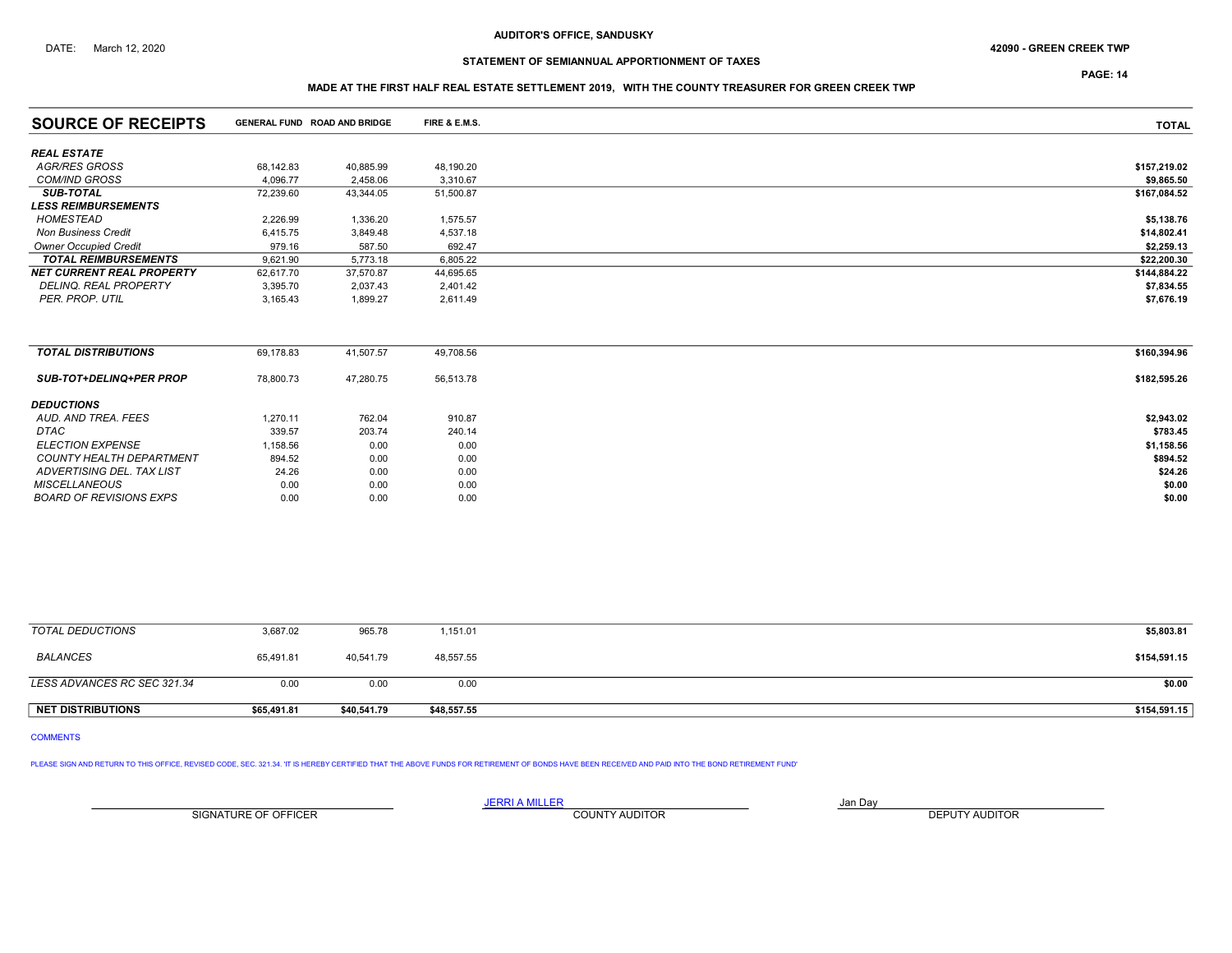## DATE: March 12, 2020 **42090 - GREEN CREEK TWP 42090 - GREEN CREEK TWP**

# STATEMENT OF SEMIANNUAL APPORTIONMENT OF TAXES

PAGE: 14

## MADE AT THE FIRST HALF REAL ESTATE SETTLEMENT 2019, WITH THE COUNTY TREASURER FOR GREEN CREEK TWP

| <b>SOURCE OF RECEIPTS</b>        |           | <b>GENERAL FUND ROAD AND BRIDGE</b> | FIRE & E.M.S. | <b>TOTAL</b> |
|----------------------------------|-----------|-------------------------------------|---------------|--------------|
| <b>REAL ESTATE</b>               |           |                                     |               |              |
| AGR/RES GROSS                    | 68,142.83 | 40,885.99                           | 48,190.20     | \$157,219.02 |
| <b>COM/IND GROSS</b>             | 4.096.77  | 2,458.06                            | 3,310.67      | \$9,865.50   |
| <b>SUB-TOTAL</b>                 | 72,239.60 | 43,344.05                           | 51,500.87     | \$167,084.52 |
| <b>LESS REIMBURSEMENTS</b>       |           |                                     |               |              |
| HOMESTEAD                        | 2,226.99  | 1,336.20                            | 1,575.57      | \$5,138.76   |
| <b>Non Business Credit</b>       | 6,415.75  | 3,849.48                            | 4,537.18      | \$14,802.41  |
| <b>Owner Occupied Credit</b>     | 979.16    | 587.50                              | 692.47        | \$2,259.13   |
| <b>TOTAL REIMBURSEMENTS</b>      | 9,621.90  | 5,773.18                            | 6,805.22      | \$22,200.30  |
| <b>NET CURRENT REAL PROPERTY</b> | 62,617.70 | 37,570.87                           | 44,695.65     | \$144,884.22 |
| DELINQ. REAL PROPERTY            | 3,395.70  | 2,037.43                            | 2,401.42      | \$7,834.55   |
| PER. PROP. UTIL                  | 3,165.43  | 1,899.27                            | 2,611.49      | \$7,676.19   |
|                                  |           |                                     |               |              |
| <b>TOTAL DISTRIBUTIONS</b>       | 69,178.83 | 41,507.57                           | 49,708.56     | \$160,394.96 |
| <b>SUB-TOT+DELINQ+PER PROP</b>   | 78,800.73 | 47,280.75                           | 56,513.78     | \$182,595.26 |
| <b>DEDUCTIONS</b>                |           |                                     |               |              |
| AUD. AND TREA. FEES              | 1,270.11  | 762.04                              | 910.87        | \$2,943.02   |
| <b>DTAC</b>                      | 339.57    | 203.74                              | 240.14        | \$783.45     |
| <b>ELECTION EXPENSE</b>          | 1,158.56  | 0.00                                | 0.00          | \$1,158.56   |
| <b>COUNTY HEALTH DEPARTMENT</b>  | 894.52    | 0.00                                | 0.00          | \$894.52     |
| ADVERTISING DEL. TAX LIST        | 24.26     | 0.00                                | 0.00          | \$24.26      |
| <b>MISCELLANEOUS</b>             | 0.00      | 0.00                                | 0.00          | \$0.00       |
| <b>BOARD OF REVISIONS EXPS</b>   | 0.00      | 0.00                                | 0.00          | \$0.00       |
|                                  |           |                                     |               |              |

| TOTAL DEDUCTIONS            | 3,687.02    | 965.78      | 1,151.01    | \$5,803.81   |
|-----------------------------|-------------|-------------|-------------|--------------|
| BALANCES                    | 65,491.81   | 40.541.79   | 48,557.55   | \$154,591.15 |
| LESS ADVANCES RC SEC 321.34 | 0.00        | 0.00        | 0.00        | \$0.00       |
| <b>NET DISTRIBUTIONS</b>    | \$65,491.81 | \$40,541.79 | \$48,557.55 | \$154,591.15 |

## COMMENTS

PLEASE SIGN AND RETURN TO THIS OFFICE, REVISED CODE, SEC. 321.34. 'IT IS HEREBY CERTIFIED THAT THE ABOVE FUNDS FOR RETIREMENT OF BONDS HAVE BEEN RECEIVED AND PAID INTO THE BOND RETIREMENT FUND'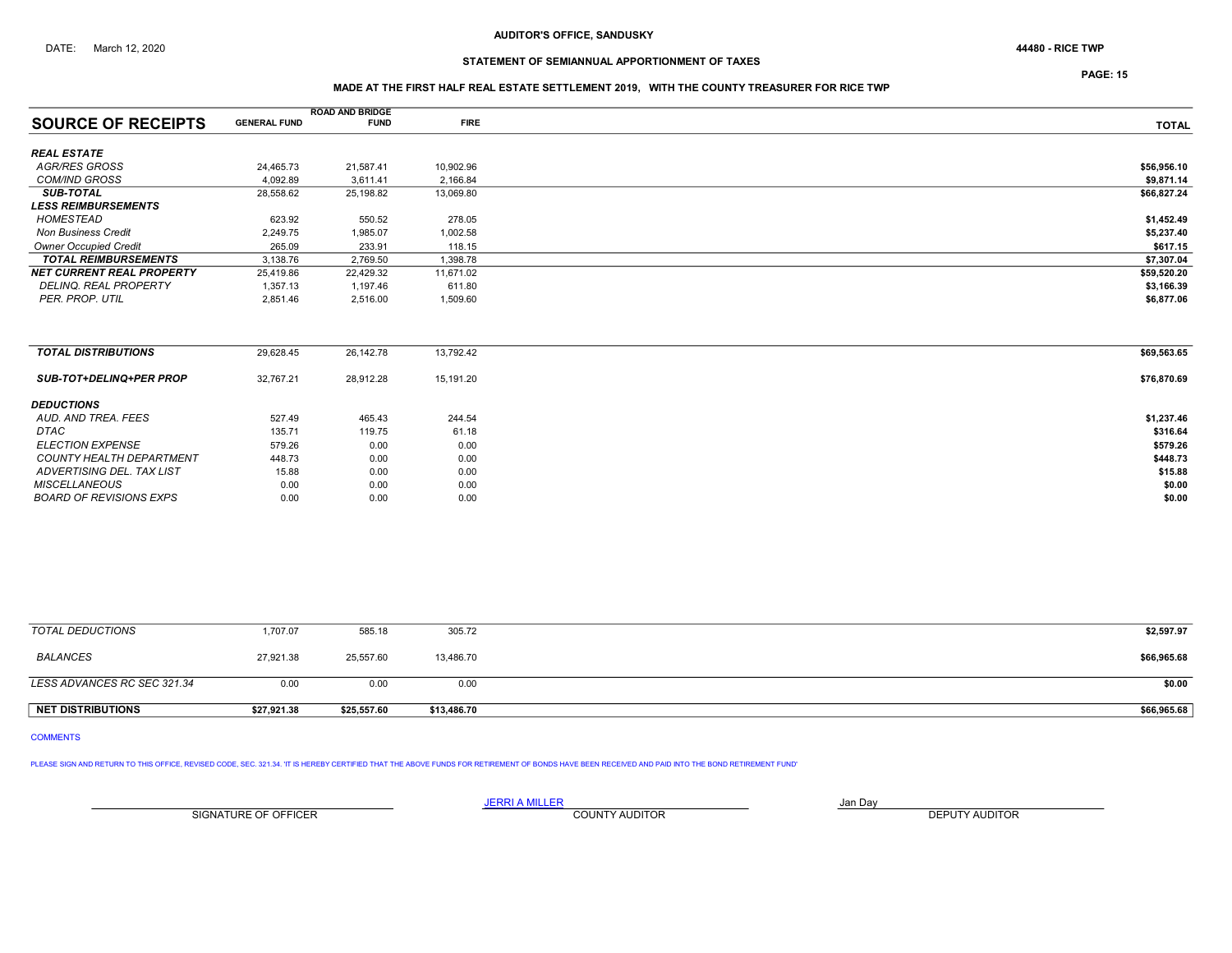# STATEMENT OF SEMIANNUAL APPORTIONMENT OF TAXES

PAGE: 15

## MADE AT THE FIRST HALF REAL ESTATE SETTLEMENT 2019, WITH THE COUNTY TREASURER FOR RICE TWP

|                                  |                     | <b>ROAD AND BRIDGE</b> |             |              |
|----------------------------------|---------------------|------------------------|-------------|--------------|
| <b>SOURCE OF RECEIPTS</b>        | <b>GENERAL FUND</b> | <b>FUND</b>            | <b>FIRE</b> | <b>TOTAL</b> |
| <b>REAL ESTATE</b>               |                     |                        |             |              |
| <b>AGR/RES GROSS</b>             | 24,465.73           | 21,587.41              | 10,902.96   | \$56,956.10  |
| <b>COM/IND GROSS</b>             | 4.092.89            | 3,611.41               | 2,166.84    | \$9,871.14   |
| <b>SUB-TOTAL</b>                 | 28,558.62           | 25,198.82              | 13,069.80   | \$66,827.24  |
| <b>LESS REIMBURSEMENTS</b>       |                     |                        |             |              |
| <b>HOMESTEAD</b>                 | 623.92              | 550.52                 | 278.05      | \$1,452.49   |
| <b>Non Business Credit</b>       | 2,249.75            | 1,985.07               | 1,002.58    | \$5,237.40   |
| <b>Owner Occupied Credit</b>     | 265.09              | 233.91                 | 118.15      | \$617.15     |
| <b>TOTAL REIMBURSEMENTS</b>      | 3,138.76            | 2,769.50               | 1,398.78    | \$7,307.04   |
| <b>NET CURRENT REAL PROPERTY</b> | 25,419.86           | 22,429.32              | 11,671.02   | \$59,520.20  |
| <b>DELINQ, REAL PROPERTY</b>     | 1,357.13            | 1,197.46               | 611.80      | \$3,166.39   |
| PER. PROP. UTIL                  | 2,851.46            | 2,516.00               | 1,509.60    | \$6,877.06   |
|                                  |                     |                        |             |              |
| <b>TOTAL DISTRIBUTIONS</b>       | 29,628.45           | 26,142.78              | 13,792.42   | \$69,563.65  |
| SUB-TOT+DELINQ+PER PROP          | 32,767.21           | 28,912.28              | 15,191.20   | \$76,870.69  |
| <b>DEDUCTIONS</b>                |                     |                        |             |              |
| AUD, AND TREA, FEES              | 527.49              | 465.43                 | 244.54      | \$1,237.46   |
| <b>DTAC</b>                      | 135.71              | 119.75                 | 61.18       | \$316.64     |
| <b>ELECTION EXPENSE</b>          | 579.26              | 0.00                   | 0.00        | \$579.26     |
| <b>COUNTY HEALTH DEPARTMENT</b>  | 448.73              | 0.00                   | 0.00        | \$448.73     |
| ADVERTISING DEL. TAX LIST        | 15.88               | 0.00                   | 0.00        | \$15.88      |
| <b>MISCELLANEOUS</b>             | 0.00                | 0.00                   | 0.00        | \$0.00       |
| <b>BOARD OF REVISIONS EXPS</b>   | 0.00                | 0.00                   | 0.00        | \$0.00       |
|                                  |                     |                        |             |              |

| <b>NET DISTRIBUTIONS</b>    | \$27,921.38 | \$25,557.60 | \$13,486.70 | \$66,965.68 |
|-----------------------------|-------------|-------------|-------------|-------------|
| LESS ADVANCES RC SEC 321.34 | 0.00        | 0.00        | 0.00        | \$0.00      |
| BALANCES                    | 27,921.38   | 25,557.60   | 13,486.70   | \$66,965.68 |
| <b>TOTAL DEDUCTIONS</b>     | ,707.07     | 585.18      | 305.72      | \$2,597.97  |

# COMMENTS

PLEASE SIGN AND RETURN TO THIS OFFICE, REVISED CODE, SEC. 321.34. 'IT IS HEREBY CERTIFIED THAT THE ABOVE FUNDS FOR RETIREMENT OF BONDS HAVE BEEN RECEIVED AND PAID INTO THE BOND RETIREMENT FUND'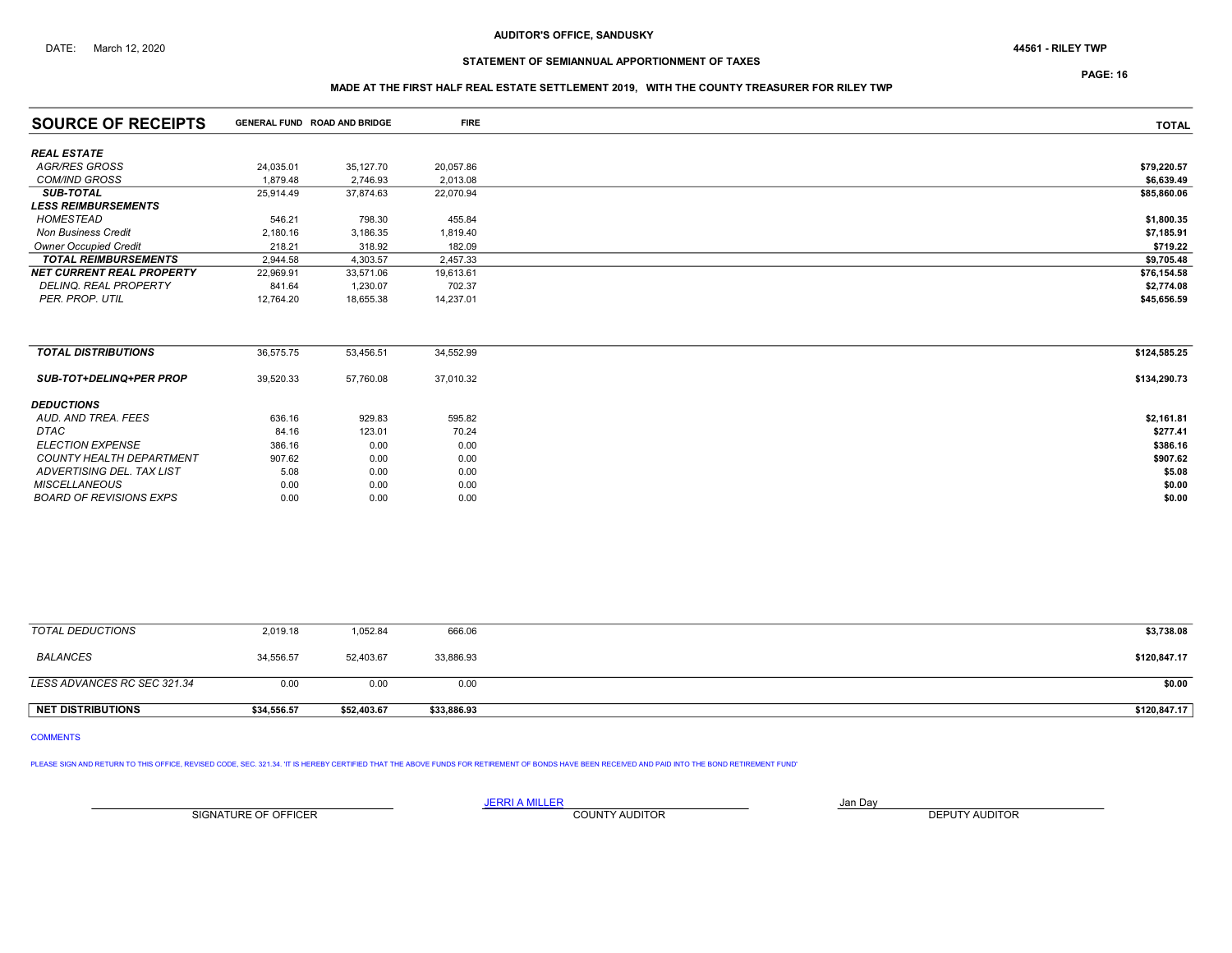## STATEMENT OF SEMIANNUAL APPORTIONMENT OF TAXES

PAGE: 16

## MADE AT THE FIRST HALF REAL ESTATE SETTLEMENT 2019, WITH THE COUNTY TREASURER FOR RILEY TWP

| <b>SOURCE OF RECEIPTS</b>        | GENERAL FUND ROAD AND BRIDGE |           | <b>FIRE</b> | <b>TOTAL</b> |
|----------------------------------|------------------------------|-----------|-------------|--------------|
| <b>REAL ESTATE</b>               |                              |           |             |              |
| <b>AGR/RES GROSS</b>             | 24,035.01                    | 35,127.70 | 20,057.86   | \$79,220.57  |
| <b>COM/IND GROSS</b>             | 1,879.48                     | 2,746.93  | 2,013.08    | \$6,639.49   |
| <b>SUB-TOTAL</b>                 | 25,914.49                    | 37,874.63 | 22,070.94   | \$85,860.06  |
| <b>LESS REIMBURSEMENTS</b>       |                              |           |             |              |
| HOMESTEAD                        | 546.21                       | 798.30    | 455.84      | \$1,800.35   |
| <b>Non Business Credit</b>       | 2,180.16                     | 3,186.35  | 1,819.40    | \$7,185.91   |
| <b>Owner Occupied Credit</b>     | 218.21                       | 318.92    | 182.09      | \$719.22     |
| <b>TOTAL REIMBURSEMENTS</b>      | 2,944.58                     | 4,303.57  | 2,457.33    | \$9,705.48   |
| <b>NET CURRENT REAL PROPERTY</b> | 22,969.91                    | 33,571.06 | 19,613.61   | \$76,154.58  |
| DELINQ. REAL PROPERTY            | 841.64                       | 1,230.07  | 702.37      | \$2,774.08   |
| PER. PROP. UTIL                  | 12,764.20                    | 18,655.38 | 14,237.01   | \$45,656.59  |
|                                  |                              |           |             |              |
| <b>TOTAL DISTRIBUTIONS</b>       | 36,575.75                    | 53,456.51 | 34,552.99   | \$124,585.25 |
| <b>SUB-TOT+DELINQ+PER PROP</b>   | 39,520.33                    | 57,760.08 | 37,010.32   | \$134,290.73 |
| <b>DEDUCTIONS</b>                |                              |           |             |              |
| AUD. AND TREA. FEES              | 636.16                       | 929.83    | 595.82      | \$2,161.81   |
| DTAC                             | 84.16                        | 123.01    | 70.24       | \$277.41     |
| <b>ELECTION EXPENSE</b>          | 386.16                       | 0.00      | 0.00        | \$386.16     |
| <b>COUNTY HEALTH DEPARTMENT</b>  | 907.62                       | 0.00      | 0.00        | \$907.62     |
| ADVERTISING DEL. TAX LIST        | 5.08                         | 0.00      | 0.00        | \$5.08       |
| <b>MISCELLANEOUS</b>             | 0.00                         | 0.00      | 0.00        | \$0.00       |
| <b>BOARD OF REVISIONS EXPS</b>   | 0.00                         | 0.00      | 0.00        | \$0.00       |

| <b>NET DISTRIBUTIONS</b>    | \$34,556.57 | \$52,403.67 | \$33,886.93 | \$120,847.17 |
|-----------------------------|-------------|-------------|-------------|--------------|
| LESS ADVANCES RC SEC 321.34 | 0.00        | 0.00        | 0.00        | \$0.00       |
| BALANCES                    | 34,556.57   | 52,403.67   | 33,886.93   | \$120,847.17 |
| TOTAL DEDUCTIONS            | 2,019.18    | 1,052.84    | 666.06      | \$3,738.08   |

# COMMENTS

PLEASE SIGN AND RETURN TO THIS OFFICE, REVISED CODE, SEC. 321.34. 'IT IS HEREBY CERTIFIED THAT THE ABOVE FUNDS FOR RETIREMENT OF BONDS HAVE BEEN RECEIVED AND PAID INTO THE BOND RETIREMENT FUND'

SIGNATURE OF OFFICER **EXECUTE A RELATION COUNTY AUDITOR** COUNTY AUDITOR **DEPUTY AUDITOR**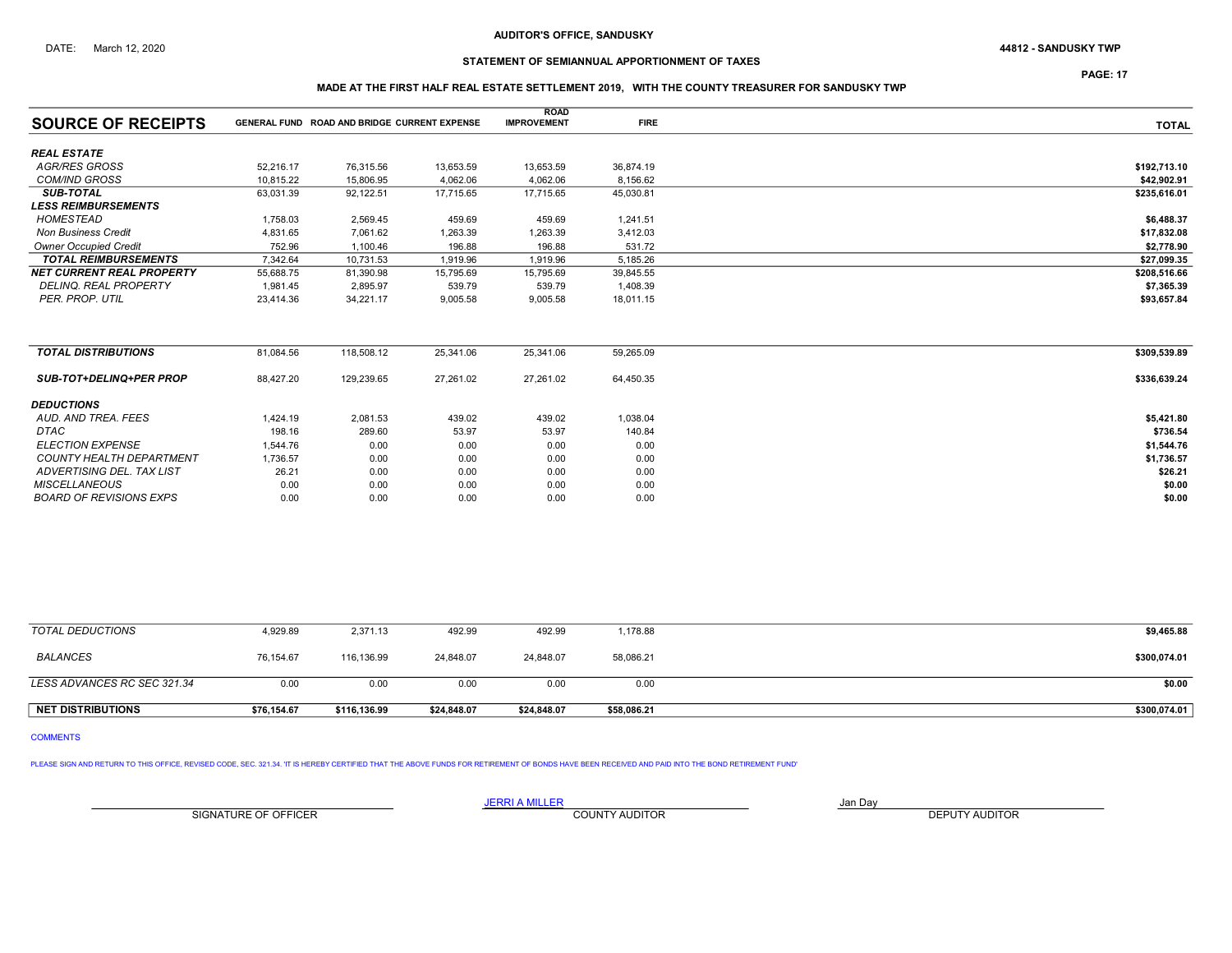# STATEMENT OF SEMIANNUAL APPORTIONMENT OF TAXES

PAGE: 17

## MADE AT THE FIRST HALF REAL ESTATE SETTLEMENT 2019, WITH THE COUNTY TREASURER FOR SANDUSKY TWP

|                                  |           |                                              |           | <b>ROAD</b>        |             |              |
|----------------------------------|-----------|----------------------------------------------|-----------|--------------------|-------------|--------------|
| <b>SOURCE OF RECEIPTS</b>        |           | GENERAL FUND ROAD AND BRIDGE CURRENT EXPENSE |           | <b>IMPROVEMENT</b> | <b>FIRE</b> | <b>TOTAL</b> |
| <b>REAL ESTATE</b>               |           |                                              |           |                    |             |              |
| AGR/RES GROSS                    | 52,216.17 | 76,315.56                                    | 13,653.59 | 13,653.59          | 36,874.19   | \$192,713.10 |
| <b>COM/IND GROSS</b>             | 10.815.22 | 15,806.95                                    | 4,062.06  | 4,062.06           | 8,156.62    | \$42,902.91  |
| <b>SUB-TOTAL</b>                 | 63,031.39 | 92,122.51                                    | 17,715.65 | 17,715.65          | 45,030.81   | \$235,616.01 |
| <b>LESS REIMBURSEMENTS</b>       |           |                                              |           |                    |             |              |
| HOMESTEAD                        | 1,758.03  | 2,569.45                                     | 459.69    | 459.69             | 1,241.51    | \$6,488.37   |
| <b>Non Business Credit</b>       | 4,831.65  | 7,061.62                                     | 1,263.39  | 1,263.39           | 3,412.03    | \$17,832.08  |
| <b>Owner Occupied Credit</b>     | 752.96    | 1,100.46                                     | 196.88    | 196.88             | 531.72      | \$2,778.90   |
| <b>TOTAL REIMBURSEMENTS</b>      | 7.342.64  | 10,731.53                                    | 1,919.96  | 1,919.96           | 5,185.26    | \$27,099.35  |
| <b>NET CURRENT REAL PROPERTY</b> | 55,688.75 | 81,390.98                                    | 15,795.69 | 15,795.69          | 39,845.55   | \$208,516.66 |
| <b>DELINQ, REAL PROPERTY</b>     | 1.981.45  | 2,895.97                                     | 539.79    | 539.79             | 1,408.39    | \$7,365.39   |
| PER. PROP. UTIL                  | 23,414.36 | 34,221.17                                    | 9,005.58  | 9,005.58           | 18,011.15   | \$93,657.84  |
|                                  |           |                                              |           |                    |             |              |
| <b>TOTAL DISTRIBUTIONS</b>       | 81,084.56 | 118,508.12                                   | 25,341.06 | 25,341.06          | 59,265.09   | \$309,539.89 |
| <b>SUB-TOT+DELINQ+PER PROP</b>   | 88,427.20 | 129,239.65                                   | 27,261.02 | 27,261.02          | 64,450.35   | \$336,639.24 |
| <b>DEDUCTIONS</b>                |           |                                              |           |                    |             |              |
| AUD. AND TREA. FEES              | 1,424.19  | 2,081.53                                     | 439.02    | 439.02             | 1,038.04    | \$5,421.80   |
| DTAC                             | 198.16    | 289.60                                       | 53.97     | 53.97              | 140.84      | \$736.54     |
| <b>ELECTION EXPENSE</b>          | 1,544.76  | 0.00                                         | 0.00      | 0.00               | 0.00        | \$1,544.76   |
| <b>COUNTY HEALTH DEPARTMENT</b>  | 1,736.57  | 0.00                                         | 0.00      | 0.00               | 0.00        | \$1,736.57   |
| ADVERTISING DEL. TAX LIST        | 26.21     | 0.00                                         | 0.00      | 0.00               | 0.00        | \$26.21      |
| <b>MISCELLANEOUS</b>             | 0.00      | 0.00                                         | 0.00      | 0.00               | 0.00        | \$0.00       |
| <b>BOARD OF REVISIONS EXPS</b>   | 0.00      | 0.00                                         | 0.00      | 0.00               | 0.00        | \$0.00       |

| TOTAL DEDUCTIONS            | 4,929.89    | 2,371.13     | 492.99      | 492.99      | 1,178.88    | \$9,465.88   |
|-----------------------------|-------------|--------------|-------------|-------------|-------------|--------------|
| <b>BALANCES</b>             | 76,154.67   | 116,136.99   | 24,848.07   | 24,848.07   | 58,086.21   | \$300,074.01 |
| LESS ADVANCES RC SEC 321.34 | 0.00        | 0.00         | 0.00        | 0.00        | 0.00        | \$0.00       |
| <b>NET DISTRIBUTIONS</b>    | \$76.154.67 | \$116,136.99 | \$24.848.07 | \$24,848.07 | \$58,086.21 | \$300,074.01 |

COMMENTS

PLEASE SIGN AND RETURN TO THIS OFFICE, REVISED CODE, SEC. 321.34. 'IT IS HEREBY CERTIFIED THAT THE ABOVE FUNDS FOR RETIREMENT OF BONDS HAVE BEEN RECEIVED AND PAID INTO THE BOND RETIREMENT FUND'

SIGNATURE OF OFFICER **EXECUTE A RELATION COUNTY AUDITOR** COUNTY AUDITOR **DEPUTY AUDITOR**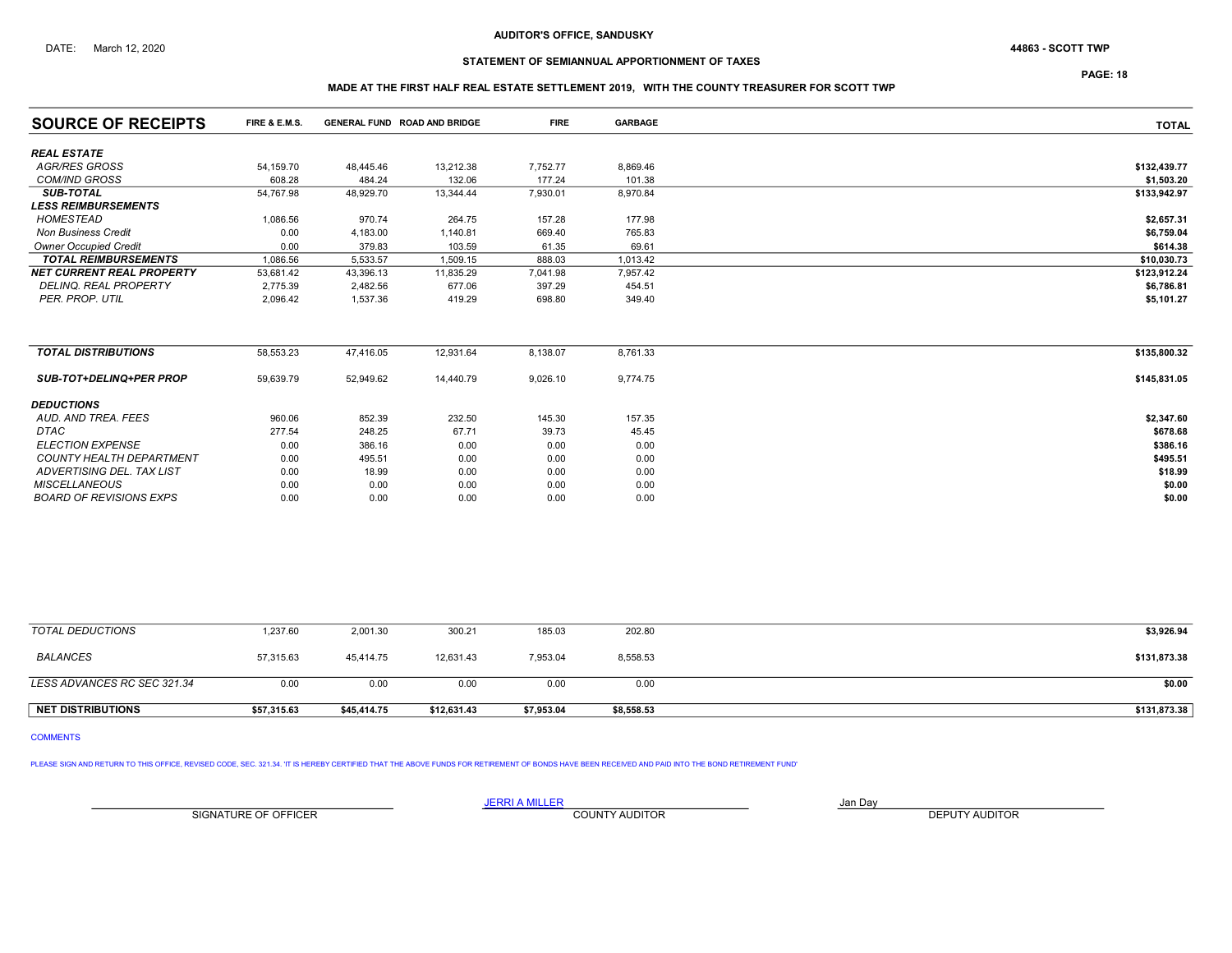## STATEMENT OF SEMIANNUAL APPORTIONMENT OF TAXES

PAGE: 18

## MADE AT THE FIRST HALF REAL ESTATE SETTLEMENT 2019, WITH THE COUNTY TREASURER FOR SCOTT TWP

| <b>SOURCE OF RECEIPTS</b>        | <b>FIRE &amp; E.M.S.</b> | GENERAL FUND ROAD AND BRIDGE |           | <b>FIRE</b> | <b>GARBAGE</b> | <b>TOTAL</b> |
|----------------------------------|--------------------------|------------------------------|-----------|-------------|----------------|--------------|
| <b>REAL ESTATE</b>               |                          |                              |           |             |                |              |
| AGR/RES GROSS                    | 54,159.70                | 48,445.46                    | 13,212.38 | 7,752.77    | 8,869.46       | \$132,439.77 |
| <b>COM/IND GROSS</b>             | 608.28                   | 484.24                       | 132.06    | 177.24      | 101.38         | \$1,503.20   |
| <b>SUB-TOTAL</b>                 | 54,767.98                | 48,929.70                    | 13,344.44 | 7,930.01    | 8,970.84       | \$133,942.97 |
| <b>LESS REIMBURSEMENTS</b>       |                          |                              |           |             |                |              |
| HOMESTEAD                        | 1,086.56                 | 970.74                       | 264.75    | 157.28      | 177.98         | \$2,657.31   |
| <b>Non Business Credit</b>       | 0.00                     | 4,183.00                     | 1,140.81  | 669.40      | 765.83         | \$6,759.04   |
| <b>Owner Occupied Credit</b>     | 0.00                     | 379.83                       | 103.59    | 61.35       | 69.61          | \$614.38     |
| <b>TOTAL REIMBURSEMENTS</b>      | 1.086.56                 | 5,533.57                     | 1,509.15  | 888.03      | 1,013.42       | \$10,030.73  |
| <b>NET CURRENT REAL PROPERTY</b> | 53.681.42                | 43,396.13                    | 11,835.29 | 7,041.98    | 7,957.42       | \$123,912.24 |
| <b>DELINQ, REAL PROPERTY</b>     | 2,775.39                 | 2,482.56                     | 677.06    | 397.29      | 454.51         | \$6,786.81   |
| PER. PROP. UTIL                  | 2,096.42                 | 1,537.36                     | 419.29    | 698.80      | 349.40         | \$5,101.27   |
|                                  |                          |                              |           |             |                |              |
| <b>TOTAL DISTRIBUTIONS</b>       | 58,553.23                | 47,416.05                    | 12,931.64 | 8,138.07    | 8,761.33       | \$135,800.32 |
| <b>SUB-TOT+DELINQ+PER PROP</b>   | 59,639.79                | 52,949.62                    | 14,440.79 | 9,026.10    | 9,774.75       | \$145,831.05 |
| <b>DEDUCTIONS</b>                |                          |                              |           |             |                |              |
| AUD. AND TREA. FEES              | 960.06                   | 852.39                       | 232.50    | 145.30      | 157.35         | \$2,347.60   |
| <b>DTAC</b>                      | 277.54                   | 248.25                       | 67.71     | 39.73       | 45.45          | \$678.68     |
| <b>ELECTION EXPENSE</b>          | 0.00                     | 386.16                       | 0.00      | 0.00        | 0.00           | \$386.16     |
| <b>COUNTY HEALTH DEPARTMENT</b>  | 0.00                     | 495.51                       | 0.00      | 0.00        | 0.00           | \$495.51     |
| ADVERTISING DEL. TAX LIST        | 0.00                     | 18.99                        | 0.00      | 0.00        | 0.00           | \$18.99      |
| <b>MISCELLANEOUS</b>             | 0.00                     | 0.00                         | 0.00      | 0.00        | 0.00           | \$0.00       |
| <b>BOARD OF REVISIONS EXPS</b>   | 0.00                     | 0.00                         | 0.00      | 0.00        | 0.00           | \$0.00       |

| <b>NET DISTRIBUTIONS</b>    | \$57,315.63 | \$45,414.75 | \$12,631.43 | \$7,953.04 | \$8,558.53 | \$131,873.38 |
|-----------------------------|-------------|-------------|-------------|------------|------------|--------------|
| LESS ADVANCES RC SEC 321.34 | 0.00        | 0.00        | 0.00        | 0.00       | 0.00       | \$0.00       |
| <b>BALANCES</b>             | 57,315.63   | 45,414.75   | 12,631.43   | 7,953.04   | 8,558.53   | \$131,873.38 |
| TOTAL DEDUCTIONS            | 1,237.60    | 2,001.30    | 300.21      | 185.03     | 202.80     | \$3,926.94   |

COMMENTS

PLEASE SIGN AND RETURN TO THIS OFFICE, REVISED CODE, SEC. 321.34. 'IT IS HEREBY CERTIFIED THAT THE ABOVE FUNDS FOR RETIREMENT OF BONDS HAVE BEEN RECEIVED AND PAID INTO THE BOND RETIREMENT FUND'

SIGNATURE OF OFFICER **EXECUTE A RELATION COUNTY AUDITOR** COUNTY AUDITOR **DEPUTY AUDITOR**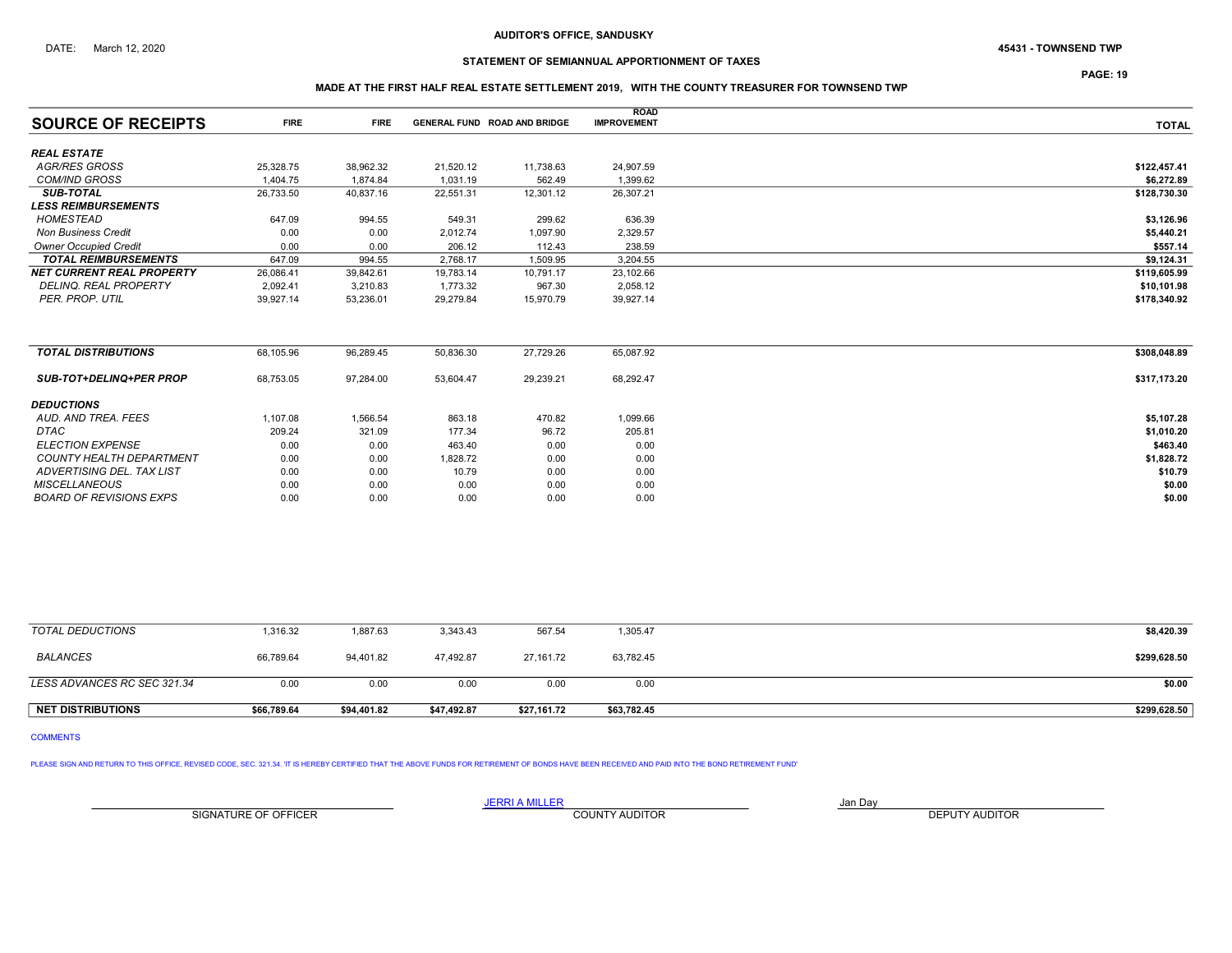# STATEMENT OF SEMIANNUAL APPORTIONMENT OF TAXES

PAGE: 19

## MADE AT THE FIRST HALF REAL ESTATE SETTLEMENT 2019, WITH THE COUNTY TREASURER FOR TOWNSEND TWP

| <b>SOURCE OF RECEIPTS</b>        | <b>FIRE</b> | <b>FIRE</b> |           | GENERAL FUND ROAD AND BRIDGE | <b>ROAD</b><br><b>IMPROVEMENT</b> | <b>TOTAL</b> |
|----------------------------------|-------------|-------------|-----------|------------------------------|-----------------------------------|--------------|
| <b>REAL ESTATE</b>               |             |             |           |                              |                                   |              |
| <b>AGR/RES GROSS</b>             |             |             |           |                              |                                   |              |
|                                  | 25,328.75   | 38,962.32   | 21,520.12 | 11,738.63                    | 24,907.59                         | \$122,457.41 |
| <b>COM/IND GROSS</b>             | 1.404.75    | 1.874.84    | 1,031.19  | 562.49                       | 1,399.62                          | \$6,272.89   |
| <b>SUB-TOTAL</b>                 | 26,733.50   | 40,837.16   | 22,551.31 | 12,301.12                    | 26,307.21                         | \$128,730.30 |
| <b>LESS REIMBURSEMENTS</b>       |             |             |           |                              |                                   |              |
| <b>HOMESTEAD</b>                 | 647.09      | 994.55      | 549.31    | 299.62                       | 636.39                            | \$3,126.96   |
| <b>Non Business Credit</b>       | 0.00        | 0.00        | 2,012.74  | 1,097.90                     | 2,329.57                          | \$5,440.21   |
| <b>Owner Occupied Credit</b>     | 0.00        | 0.00        | 206.12    | 112.43                       | 238.59                            | \$557.14     |
| <b>TOTAL REIMBURSEMENTS</b>      | 647.09      | 994.55      | 2,768.17  | 1,509.95                     | 3,204.55                          | \$9,124.31   |
| <b>NET CURRENT REAL PROPERTY</b> | 26,086.41   | 39,842.61   | 19,783.14 | 10,791.17                    | 23,102.66                         | \$119,605.99 |
| <b>DELINQ, REAL PROPERTY</b>     | 2,092.41    | 3,210.83    | 1,773.32  | 967.30                       | 2,058.12                          | \$10,101.98  |
| PER. PROP. UTIL                  | 39,927.14   | 53,236.01   | 29,279.84 | 15,970.79                    | 39,927.14                         | \$178,340.92 |
|                                  |             |             |           |                              |                                   |              |
| <b>TOTAL DISTRIBUTIONS</b>       | 68,105.96   | 96,289.45   | 50,836.30 | 27,729.26                    | 65,087.92                         | \$308,048.89 |
| <b>SUB-TOT+DELINQ+PER PROP</b>   | 68,753.05   | 97.284.00   | 53,604.47 | 29,239.21                    | 68,292.47                         | \$317,173.20 |
| <b>DEDUCTIONS</b>                |             |             |           |                              |                                   |              |
| AUD, AND TREA, FEES              | 1,107.08    | 1,566.54    | 863.18    | 470.82                       | 1,099.66                          | \$5,107.28   |
| <b>DTAC</b>                      | 209.24      | 321.09      | 177.34    | 96.72                        | 205.81                            | \$1,010.20   |
| <b>ELECTION EXPENSE</b>          | 0.00        | 0.00        | 463.40    | 0.00                         | 0.00                              | \$463.40     |
| <b>COUNTY HEALTH DEPARTMENT</b>  | 0.00        | 0.00        | 1,828.72  | 0.00                         | 0.00                              | \$1,828.72   |
| ADVERTISING DEL. TAX LIST        | 0.00        | 0.00        | 10.79     | 0.00                         | 0.00                              | \$10.79      |
| <b>MISCELLANEOUS</b>             | 0.00        | 0.00        | 0.00      | 0.00                         | 0.00                              | \$0.00       |
| <b>BOARD OF REVISIONS EXPS</b>   | 0.00        | 0.00        | 0.00      | 0.00                         | 0.00                              | \$0.00       |

| <b>NET DISTRIBUTIONS</b>    | \$66,789.64 | \$94.401.82 | \$47,492.87 | \$27,161.72 | \$63,782.45 | \$299,628.50 |
|-----------------------------|-------------|-------------|-------------|-------------|-------------|--------------|
| LESS ADVANCES RC SEC 321.34 | 0.00        | 0.00        | 0.00        | 0.00        | 0.00        | \$0.00       |
| <b>BALANCES</b>             | 66,789.64   | 94,401.82   | 47,492.87   | 27,161.72   | 63,782.45   | \$299,628.50 |
| TOTAL DEDUCTIONS            | 1,316.32    | 1,887.63    | 3,343.43    | 567.54      | 1,305.47    | \$8,420.39   |

# COMMENTS

PLEASE SIGN AND RETURN TO THIS OFFICE, REVISED CODE, SEC. 321.34. IT IS HEREBY CERTIFIED THAT THE ABOVE FUNDS FOR RETIREMENT OF BONDS HAVE BEEN RECEIVED AND PAID INTO THE BOND RETIREMENT FUND'

**JERRI A MILLER**<br>COUNTY AUDITOR SIGNATURE OF OFFICER **EXECUTE A RELATION COUNTY AUDITOR** COUNTY AUDITOR **DEPUTY AUDITOR**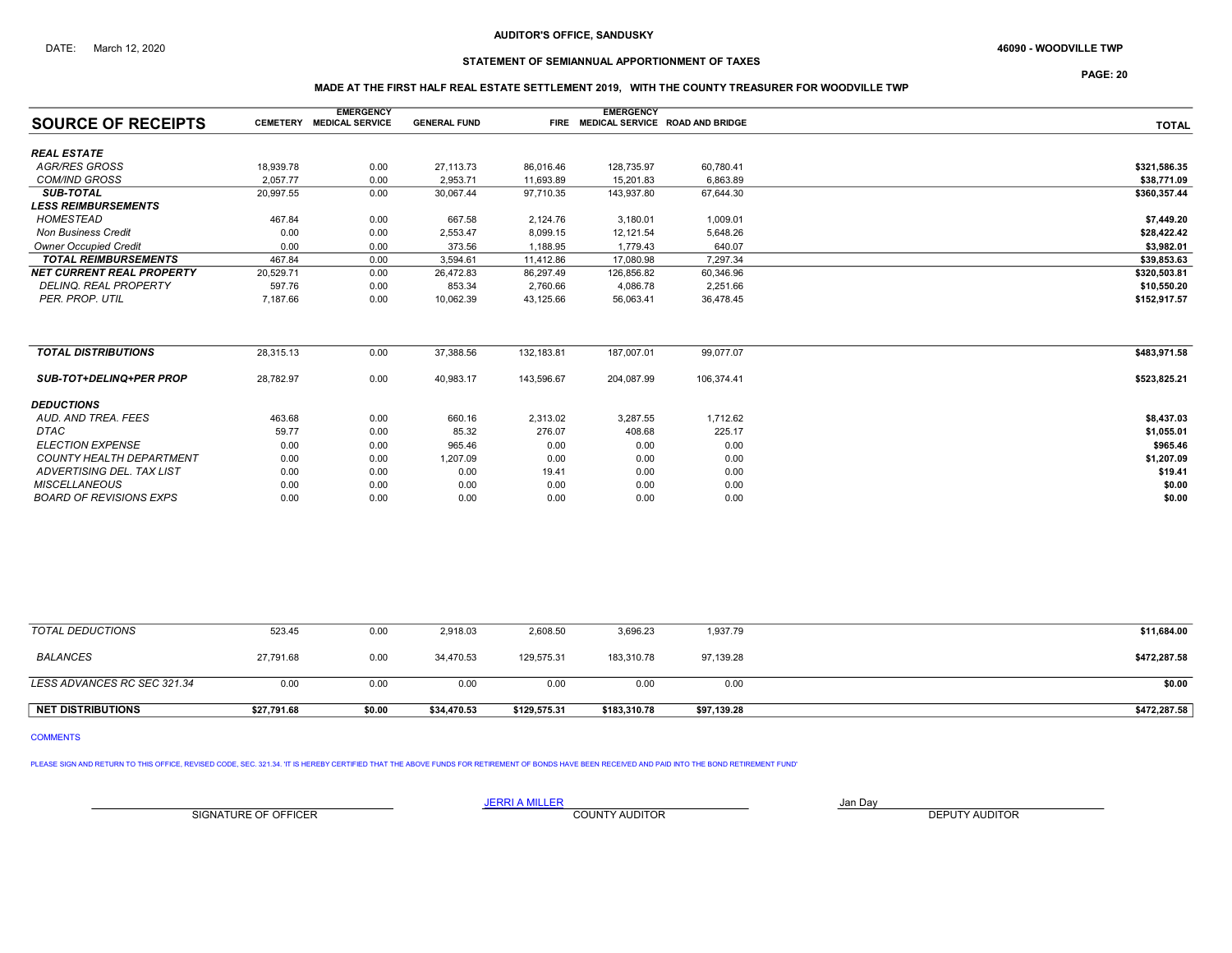# STATEMENT OF SEMIANNUAL APPORTIONMENT OF TAXES

PAGE: 20

## MADE AT THE FIRST HALF REAL ESTATE SETTLEMENT 2019, WITH THE COUNTY TREASURER FOR WOODVILLE TWP

|                                  |                 | <b>EMERGENCY</b>       |                     |            | <b>EMERGENCY</b> |                                      |              |
|----------------------------------|-----------------|------------------------|---------------------|------------|------------------|--------------------------------------|--------------|
| <b>SOURCE OF RECEIPTS</b>        | <b>CEMETERY</b> | <b>MEDICAL SERVICE</b> | <b>GENERAL FUND</b> |            |                  | FIRE MEDICAL SERVICE ROAD AND BRIDGE | <b>TOTAL</b> |
| <b>REAL ESTATE</b>               |                 |                        |                     |            |                  |                                      |              |
| <b>AGR/RES GROSS</b>             | 18,939.78       | 0.00                   | 27,113.73           | 86,016.46  | 128,735.97       | 60,780.41                            | \$321,586.35 |
| <b>COM/IND GROSS</b>             | 2,057.77        | 0.00                   | 2,953.71            | 11,693.89  | 15,201.83        | 6,863.89                             | \$38,771.09  |
| <b>SUB-TOTAL</b>                 | 20,997.55       | 0.00                   | 30,067.44           | 97,710.35  | 143,937.80       | 67,644.30                            | \$360,357.44 |
| <b>LESS REIMBURSEMENTS</b>       |                 |                        |                     |            |                  |                                      |              |
| <b>HOMESTEAD</b>                 | 467.84          | 0.00                   | 667.58              | 2,124.76   | 3,180.01         | 1,009.01                             | \$7,449.20   |
| <b>Non Business Credit</b>       | 0.00            | 0.00                   | 2,553.47            | 8,099.15   | 12,121.54        | 5,648.26                             | \$28,422.42  |
| <b>Owner Occupied Credit</b>     | 0.00            | 0.00                   | 373.56              | 1,188.95   | 1,779.43         | 640.07                               | \$3,982.01   |
| <b>TOTAL REIMBURSEMENTS</b>      | 467.84          | 0.00                   | 3,594.61            | 11,412.86  | 17,080.98        | 7,297.34                             | \$39,853.63  |
| <b>NET CURRENT REAL PROPERTY</b> | 20,529.71       | 0.00                   | 26,472.83           | 86,297.49  | 126,856.82       | 60,346.96                            | \$320,503.81 |
| DELINQ. REAL PROPERTY            | 597.76          | 0.00                   | 853.34              | 2,760.66   | 4,086.78         | 2,251.66                             | \$10,550.20  |
| PER. PROP. UTIL                  | 7,187.66        | 0.00                   | 10,062.39           | 43,125.66  | 56,063.41        | 36,478.45                            | \$152,917.57 |
| <b>TOTAL DISTRIBUTIONS</b>       | 28,315.13       | 0.00                   | 37,388.56           | 132,183.81 | 187,007.01       | 99,077.07                            | \$483,971.58 |
|                                  |                 |                        |                     |            |                  |                                      |              |
| <b>SUB-TOT+DELINQ+PER PROP</b>   | 28,782.97       | 0.00                   | 40,983.17           | 143,596.67 | 204,087.99       | 106,374.41                           | \$523,825.21 |
| <b>DEDUCTIONS</b>                |                 |                        |                     |            |                  |                                      |              |
| AUD, AND TREA, FEES              | 463.68          | 0.00                   | 660.16              | 2,313.02   | 3,287.55         | 1,712.62                             | \$8,437.03   |
| <b>DTAC</b>                      | 59.77           | 0.00                   | 85.32               | 276.07     | 408.68           | 225.17                               | \$1,055.01   |
| <b>ELECTION EXPENSE</b>          | 0.00            | 0.00                   | 965.46              | 0.00       | 0.00             | 0.00                                 | \$965.46     |
| <b>COUNTY HEALTH DEPARTMENT</b>  | 0.00            | 0.00                   | 1,207.09            | 0.00       | 0.00             | 0.00                                 | \$1,207.09   |
| ADVERTISING DEL. TAX LIST        | 0.00            | 0.00                   | 0.00                | 19.41      | 0.00             | 0.00                                 | \$19.41      |
| <b>MISCELLANEOUS</b>             | 0.00            | 0.00                   | 0.00                | 0.00       | 0.00             | 0.00                                 | \$0.00       |
| <b>BOARD OF REVISIONS EXPS</b>   | 0.00            | 0.00                   | 0.00                | 0.00       | 0.00             | 0.00                                 | \$0.00       |

| <b>NET DISTRIBUTIONS</b>    | \$27,791.68 | \$0.00 | \$34.470.53 | \$129,575.31 | \$183,310.78 | \$97,139.28 | \$472,287.58 |
|-----------------------------|-------------|--------|-------------|--------------|--------------|-------------|--------------|
| LESS ADVANCES RC SEC 321.34 | 0.00        | 0.00   | 0.00        | 0.00         | 0.00         | 0.00        | \$0.00       |
| BALANCES                    | 27.791.68   | 0.00   | 34.470.53   | 129.575.31   | 183.310.78   | 97,139.28   | \$472,287.58 |
| TOTAL DEDUCTIONS            | 523.45      | 0.00   | 2,918.03    | 2,608.50     | 3,696.23     | 1,937.79    | \$11,684.00  |

# COMMENTS

PLEASE SIGN AND RETURN TO THIS OFFICE, REVISED CODE, SEC. 321.34. 'IT IS HEREBY CERTIFIED THAT THE ABOVE FUNDS FOR RETIREMENT OF BONDS HAVE BEEN RECEIVED AND PAID INTO THE BOND RETIREMENT FUND'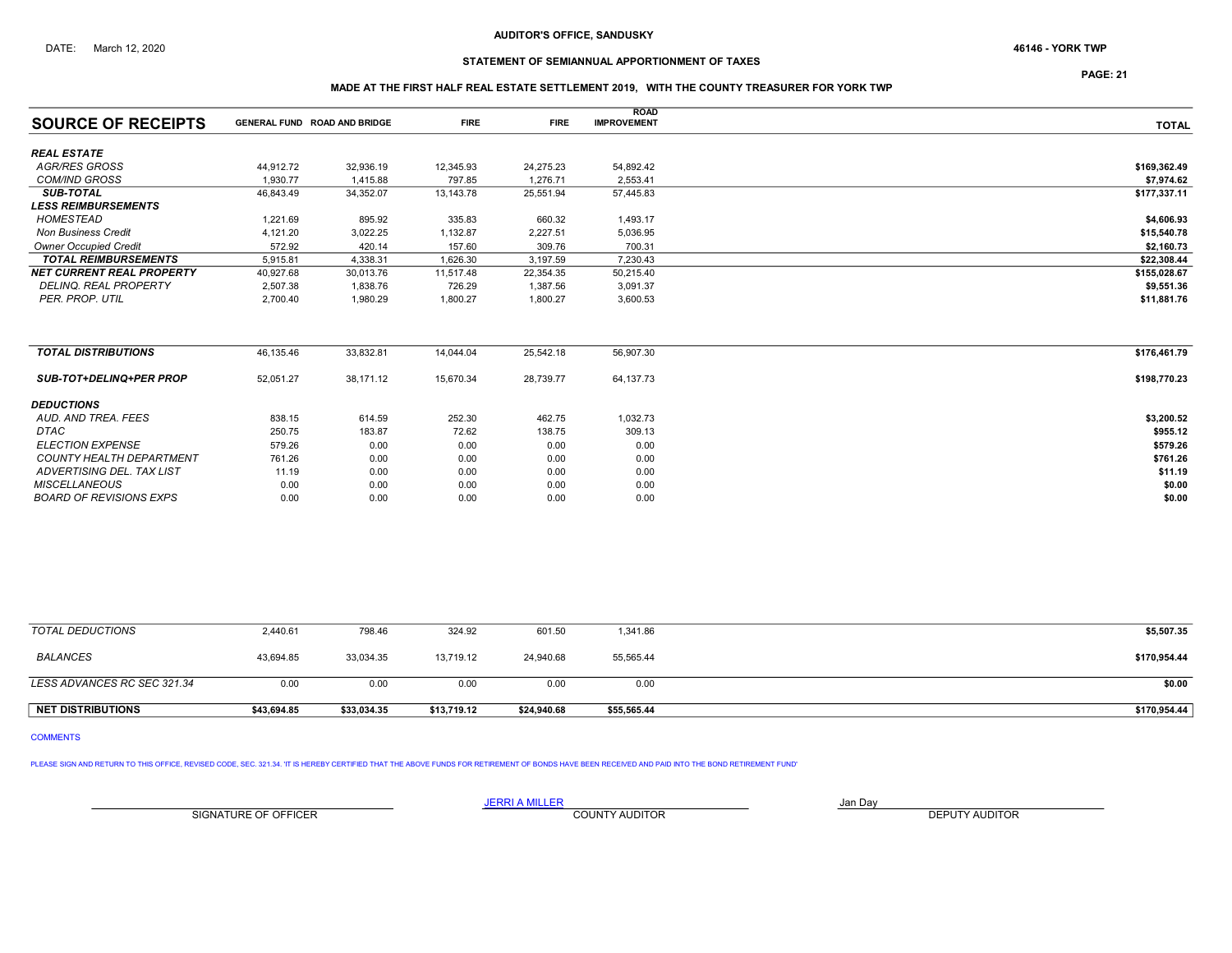# STATEMENT OF SEMIANNUAL APPORTIONMENT OF TAXES

PAGE: 21

## MADE AT THE FIRST HALF REAL ESTATE SETTLEMENT 2019, WITH THE COUNTY TREASURER FOR YORK TWP

|                                  |                                     |           |             |             | <b>ROAD</b>        |              |
|----------------------------------|-------------------------------------|-----------|-------------|-------------|--------------------|--------------|
| <b>SOURCE OF RECEIPTS</b>        | <b>GENERAL FUND ROAD AND BRIDGE</b> |           | <b>FIRE</b> | <b>FIRE</b> | <b>IMPROVEMENT</b> | <b>TOTAL</b> |
| <b>REAL ESTATE</b>               |                                     |           |             |             |                    |              |
| AGR/RES GROSS                    | 44,912.72                           | 32,936.19 | 12,345.93   | 24,275.23   | 54,892.42          | \$169,362.49 |
| <b>COM/IND GROSS</b>             | 1.930.77                            | 1,415.88  | 797.85      | 1,276.71    | 2,553.41           | \$7,974.62   |
| <b>SUB-TOTAL</b>                 | 46,843.49                           | 34,352.07 | 13,143.78   | 25,551.94   | 57,445.83          | \$177,337.11 |
| <b>LESS REIMBURSEMENTS</b>       |                                     |           |             |             |                    |              |
| HOMESTEAD                        | 1,221.69                            | 895.92    | 335.83      | 660.32      | 1,493.17           | \$4,606.93   |
| <b>Non Business Credit</b>       | 4,121.20                            | 3,022.25  | 1,132.87    | 2,227.51    | 5,036.95           | \$15,540.78  |
| <b>Owner Occupied Credit</b>     | 572.92                              | 420.14    | 157.60      | 309.76      | 700.31             | \$2,160.73   |
| <b>TOTAL REIMBURSEMENTS</b>      | 5.915.81                            | 4,338.31  | 1,626.30    | 3,197.59    | 7,230.43           | \$22,308.44  |
| <b>NET CURRENT REAL PROPERTY</b> | 40,927.68                           | 30,013.76 | 11,517.48   | 22,354.35   | 50,215.40          | \$155,028.67 |
| <b>DELINQ, REAL PROPERTY</b>     | 2,507.38                            | 1,838.76  | 726.29      | 1,387.56    | 3,091.37           | \$9,551.36   |
| PER. PROP. UTIL                  | 2.700.40                            | 1.980.29  | 1,800.27    | 1,800.27    | 3,600.53           | \$11,881.76  |
|                                  |                                     |           |             |             |                    |              |
| <b>TOTAL DISTRIBUTIONS</b>       | 46,135.46                           | 33,832.81 | 14,044.04   | 25,542.18   | 56,907.30          | \$176,461.79 |
| <b>SUB-TOT+DELINQ+PER PROP</b>   | 52,051.27                           | 38,171.12 | 15,670.34   | 28,739.77   | 64,137.73          | \$198,770.23 |
| <b>DEDUCTIONS</b>                |                                     |           |             |             |                    |              |
| AUD. AND TREA. FEES              | 838.15                              | 614.59    | 252.30      | 462.75      | 1,032.73           | \$3,200.52   |
| <b>DTAC</b>                      | 250.75                              | 183.87    | 72.62       | 138.75      | 309.13             | \$955.12     |
| <b>ELECTION EXPENSE</b>          | 579.26                              | 0.00      | 0.00        | 0.00        | 0.00               | \$579.26     |
| <b>COUNTY HEALTH DEPARTMENT</b>  | 761.26                              | 0.00      | 0.00        | 0.00        | 0.00               | \$761.26     |
| ADVERTISING DEL. TAX LIST        | 11.19                               | 0.00      | 0.00        | 0.00        | 0.00               | \$11.19      |
| <b>MISCELLANEOUS</b>             | 0.00                                | 0.00      | 0.00        | 0.00        | 0.00               | \$0.00       |

| TOTAL DEDUCTIONS            | 2.440.61    | 798.46      | 324.92      | 601.50      | 1,341.86    | \$5,507.35   |
|-----------------------------|-------------|-------------|-------------|-------------|-------------|--------------|
| <b>BALANCES</b>             | 43.694.85   | 33.034.35   | 13.719.12   | 24.940.68   | 55,565.44   | \$170,954.44 |
| LESS ADVANCES RC SEC 321.34 | 0.00        | 0.00        | 0.00        | 0.00        | 0.00        | \$0.00       |
| <b>NET DISTRIBUTIONS</b>    | \$43.694.85 | \$33,034.35 | \$13,719.12 | \$24,940.68 | \$55,565.44 | \$170,954.44 |

 $BOARD \, OF \, REVISIONS \, EXPS$   $10.00$   $0.00$   $0.00$   $0.00$   $0.00$   $0.00$   $0.00$   $0.00$   $0.00$   $0.00$   $0.00$   $0.00$   $0.00$   $0.00$   $0.00$ 

```
COMMENTS
```
PLEASE SIGN AND RETURN TO THIS OFFICE, REVISED CODE, SEC. 321.34. 'IT IS HEREBY CERTIFIED THAT THE ABOVE FUNDS FOR RETIREMENT OF BONDS HAVE BEEN RECEIVED AND PAID INTO THE BOND RETIREMENT FUND'

SIGNATURE OF OFFICER **EXECUTE A RELATION COUNTY AUDITOR** COUNTY AUDITOR **DEPUTY AUDITOR**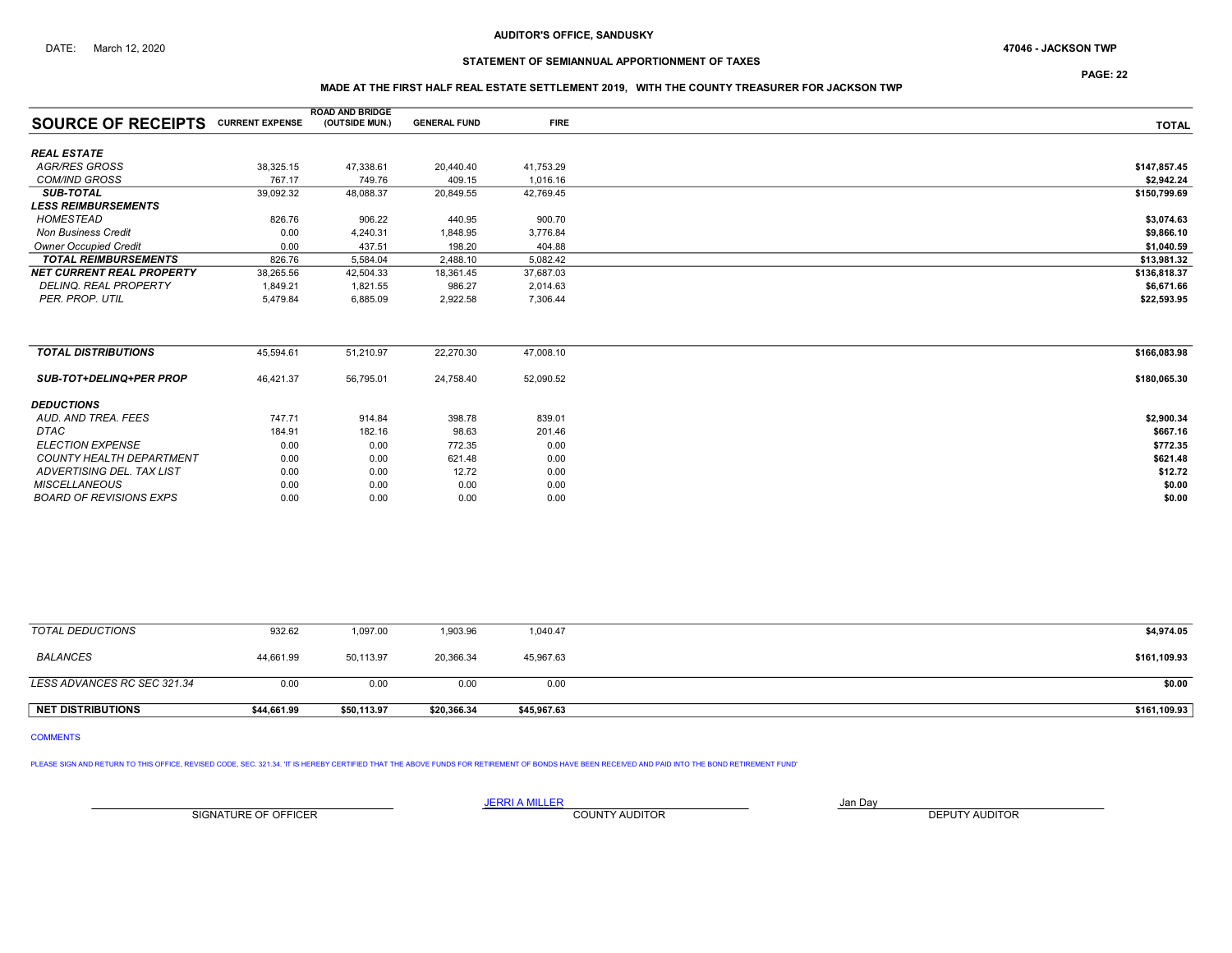# STATEMENT OF SEMIANNUAL APPORTIONMENT OF TAXES

PAGE: 22

## MADE AT THE FIRST HALF REAL ESTATE SETTLEMENT 2019, WITH THE COUNTY TREASURER FOR JACKSON TWP

|                                           |           | <b>ROAD AND BRIDGE</b> |                     |             |              |
|-------------------------------------------|-----------|------------------------|---------------------|-------------|--------------|
| <b>SOURCE OF RECEIPTS CURRENT EXPENSE</b> |           | (OUTSIDE MUN.)         | <b>GENERAL FUND</b> | <b>FIRE</b> | <b>TOTAL</b> |
| <b>REAL ESTATE</b>                        |           |                        |                     |             |              |
| <b>AGR/RES GROSS</b>                      | 38,325.15 | 47,338.61              | 20,440.40           | 41,753.29   | \$147,857.45 |
| <b>COM/IND GROSS</b>                      | 767.17    | 749.76                 | 409.15              | 1,016.16    | \$2.942.24   |
| <b>SUB-TOTAL</b>                          | 39,092.32 | 48,088.37              | 20,849.55           | 42,769.45   | \$150,799.69 |
| <b>LESS REIMBURSEMENTS</b>                |           |                        |                     |             |              |
| HOMESTEAD                                 | 826.76    | 906.22                 | 440.95              | 900.70      | \$3,074.63   |
| <b>Non Business Credit</b>                | 0.00      | 4,240.31               | 1,848.95            | 3,776.84    | \$9,866.10   |
| <b>Owner Occupied Credit</b>              | 0.00      | 437.51                 | 198.20              | 404.88      | \$1,040.59   |
| <b>TOTAL REIMBURSEMENTS</b>               | 826.76    | 5,584.04               | 2,488.10            | 5,082.42    | \$13,981.32  |
| <b>NET CURRENT REAL PROPERTY</b>          | 38,265.56 | 42,504.33              | 18,361.45           | 37,687.03   | \$136,818.37 |
| DELINQ. REAL PROPERTY                     | 1,849.21  | 1,821.55               | 986.27              | 2,014.63    | \$6,671.66   |
| PER. PROP. UTIL                           | 5,479.84  | 6,885.09               | 2,922.58            | 7,306.44    | \$22,593.95  |
| <b>TOTAL DISTRIBUTIONS</b>                | 45,594.61 | 51.210.97              | 22,270.30           | 47,008.10   | \$166,083.98 |
|                                           |           |                        |                     |             |              |
| SUB-TOT+DELINQ+PER PROP                   | 46,421.37 | 56,795.01              | 24,758.40           | 52,090.52   | \$180,065.30 |
| <b>DEDUCTIONS</b>                         |           |                        |                     |             |              |
| AUD, AND TREA, FEES                       | 747.71    | 914.84                 | 398.78              | 839.01      | \$2,900.34   |
| DTAC                                      | 184.91    | 182.16                 | 98.63               | 201.46      | \$667.16     |
| <b>ELECTION EXPENSE</b>                   | 0.00      | 0.00                   | 772.35              | 0.00        | \$772.35     |
| <b>COUNTY HEALTH DEPARTMENT</b>           | 0.00      | 0.00                   | 621.48              | 0.00        | \$621.48     |
| ADVERTISING DEL. TAX LIST                 | 0.00      | 0.00                   | 12.72               | 0.00        | \$12.72      |
| <b>MISCELLANEOUS</b>                      | 0.00      | 0.00                   | 0.00                | 0.00        | \$0.00       |
| <b>BOARD OF REVISIONS EXPS</b>            | 0.00      | 0.00                   | 0.00                | 0.00        | \$0.00       |
|                                           |           |                        |                     |             |              |

| <b>NET DISTRIBUTIONS</b>    | \$44.661.99 | \$50.113.97 | \$20,366.34 | \$45,967.63 | \$161,109.93 |
|-----------------------------|-------------|-------------|-------------|-------------|--------------|
| LESS ADVANCES RC SEC 321.34 | 0.00        | 0.00        | 0.00        | 0.00        | \$0.00       |
|                             |             |             |             |             |              |
| BALANCES                    | 44,661.99   | 50,113.97   | 20,366.34   | 45,967.63   | \$161,109.93 |
| TOTAL DEDUCTIONS            | 932.62      | 1,097.00    | 1,903.96    | 1,040.47    | \$4,974.05   |

# COMMENTS

PLEASE SIGN AND RETURN TO THIS OFFICE, REVISED CODE, SEC. 321.34. 'IT IS HEREBY CERTIFIED THAT THE ABOVE FUNDS FOR RETIREMENT OF BONDS HAVE BEEN RECEIVED AND PAID INTO THE BOND RETIREMENT FUND'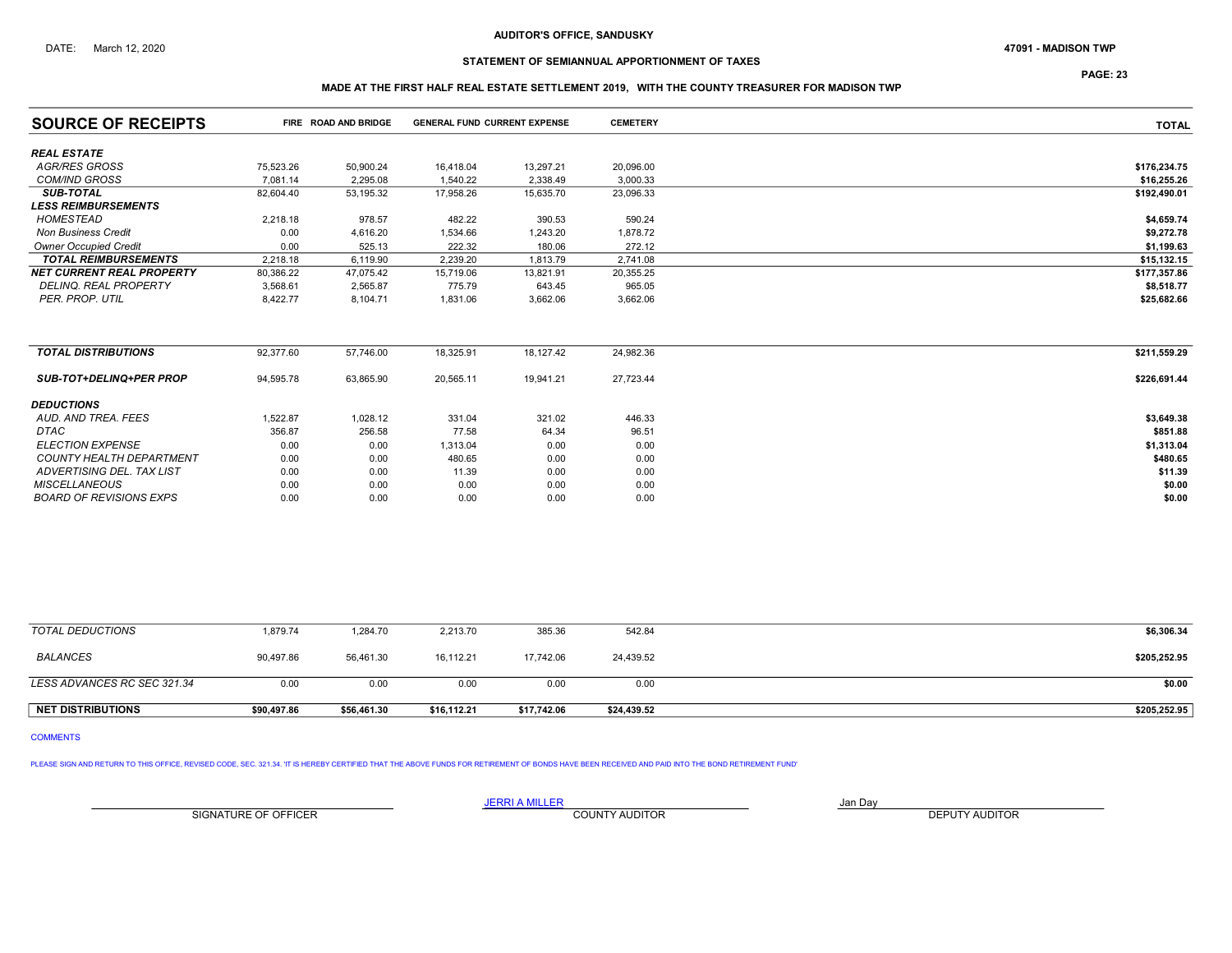# STATEMENT OF SEMIANNUAL APPORTIONMENT OF TAXES

PAGE: 23

## MADE AT THE FIRST HALF REAL ESTATE SETTLEMENT 2019, WITH THE COUNTY TREASURER FOR MADISON TWP

| <b>SOURCE OF RECEIPTS</b>        |           | FIRE ROAD AND BRIDGE | <b>GENERAL FUND CURRENT EXPENSE</b> |           | <b>CEMETERY</b> | <b>TOTAL</b> |
|----------------------------------|-----------|----------------------|-------------------------------------|-----------|-----------------|--------------|
| <b>REAL ESTATE</b>               |           |                      |                                     |           |                 |              |
| AGR/RES GROSS                    | 75,523.26 | 50,900.24            | 16,418.04                           | 13,297.21 | 20,096.00       | \$176,234.75 |
| <b>COM/IND GROSS</b>             | 7.081.14  | 2.295.08             | 1,540.22                            | 2,338.49  | 3,000.33        | \$16,255.26  |
| <b>SUB-TOTAL</b>                 | 82,604.40 | 53,195.32            | 17,958.26                           | 15,635.70 | 23,096.33       | \$192,490.01 |
| <b>LESS REIMBURSEMENTS</b>       |           |                      |                                     |           |                 |              |
| <b>HOMESTEAD</b>                 | 2,218.18  | 978.57               | 482.22                              | 390.53    | 590.24          | \$4,659.74   |
| <b>Non Business Credit</b>       | 0.00      | 4,616.20             | 1,534.66                            | 1,243.20  | 1,878.72        | \$9,272.78   |
| <b>Owner Occupied Credit</b>     | 0.00      | 525.13               | 222.32                              | 180.06    | 272.12          | \$1,199.63   |
| <b>TOTAL REIMBURSEMENTS</b>      | 2.218.18  | 6,119.90             | 2,239.20                            | 1,813.79  | 2,741.08        | \$15,132.15  |
| <b>NET CURRENT REAL PROPERTY</b> | 80,386.22 | 47,075.42            | 15,719.06                           | 13,821.91 | 20,355.25       | \$177,357.86 |
| <b>DELINQ, REAL PROPERTY</b>     | 3,568.61  | 2,565.87             | 775.79                              | 643.45    | 965.05          | \$8,518.77   |
| PER. PROP. UTIL                  | 8,422.77  | 8,104.71             | 1,831.06                            | 3,662.06  | 3,662.06        | \$25,682.66  |
|                                  |           |                      |                                     |           |                 |              |
| <b>TOTAL DISTRIBUTIONS</b>       | 92,377.60 | 57,746.00            | 18,325.91                           | 18,127.42 | 24,982.36       | \$211,559.29 |
| <b>SUB-TOT+DELINQ+PER PROP</b>   | 94,595.78 | 63,865.90            | 20,565.11                           | 19,941.21 | 27,723.44       | \$226,691.44 |
| <b>DEDUCTIONS</b>                |           |                      |                                     |           |                 |              |
| AUD. AND TREA. FEES              | 1,522.87  | 1,028.12             | 331.04                              | 321.02    | 446.33          | \$3,649.38   |
| <b>DTAC</b>                      | 356.87    | 256.58               | 77.58                               | 64.34     | 96.51           | \$851.88     |
| <b>ELECTION EXPENSE</b>          | 0.00      | 0.00                 | 1,313.04                            | 0.00      | 0.00            | \$1,313.04   |
| <b>COUNTY HEALTH DEPARTMENT</b>  | 0.00      | 0.00                 | 480.65                              | 0.00      | 0.00            | \$480.65     |
| ADVERTISING DEL. TAX LIST        | 0.00      | 0.00                 | 11.39                               | 0.00      | 0.00            | \$11.39      |
| <b>MISCELLANEOUS</b>             | 0.00      | 0.00                 | 0.00                                | 0.00      | 0.00            | \$0.00       |
| <b>BOARD OF REVISIONS EXPS</b>   | 0.00      | 0.00                 | 0.00                                | 0.00      | 0.00            | \$0.00       |

| <b>NET DISTRIBUTIONS</b>    | \$90,497.86 | \$56,461.30 | \$16,112.21 | \$17,742.06 | \$24,439.52 | \$205,252.95 |
|-----------------------------|-------------|-------------|-------------|-------------|-------------|--------------|
| LESS ADVANCES RC SEC 321.34 | 0.00        | 0.00        | 0.00        | 0.00        | 0.00        | \$0.00       |
| <b>BALANCES</b>             | 90,497.86   | 56,461.30   | 16,112.21   | 17.742.06   | 24,439.52   | \$205,252.95 |
| TOTAL DEDUCTIONS            | 1,879.74    | 1,284.70    | 2,213.70    | 385.36      | 542.84      | \$6,306.34   |

# COMMENTS

PLEASE SIGN AND RETURN TO THIS OFFICE, REVISED CODE, SEC. 321.34. 'IT IS HEREBY CERTIFIED THAT THE ABOVE FUNDS FOR RETIREMENT OF BONDS HAVE BEEN RECEIVED AND PAID INTO THE BOND RETIREMENT FUND'

SIGNATURE OF OFFICER **EXECUTE A RELATION COUNTY AUDITOR** COUNTY AUDITOR **DEPUTY AUDITOR**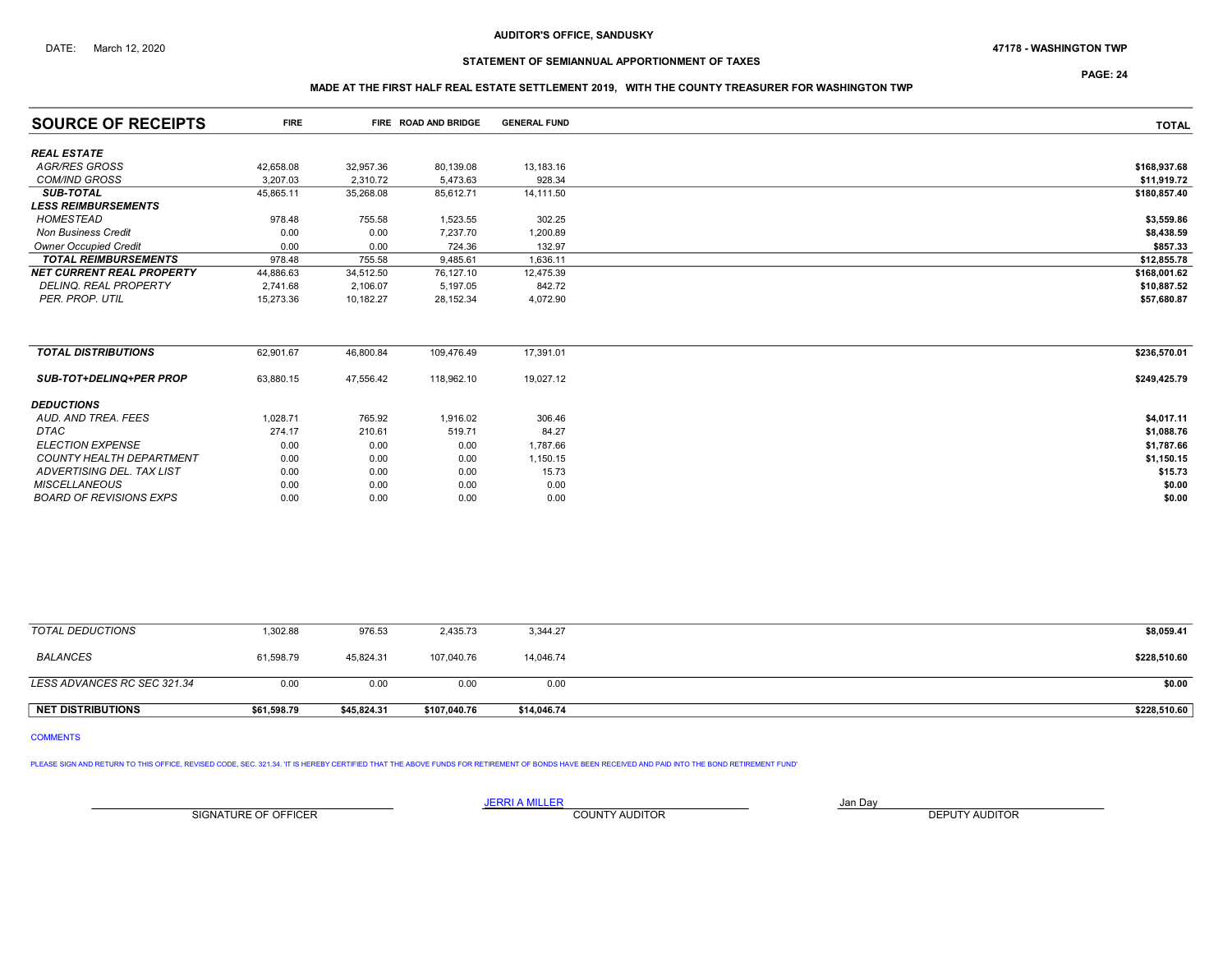## DATE: March 12, 2020 47178 - WASHINGTON TWP

# STATEMENT OF SEMIANNUAL APPORTIONMENT OF TAXES

PAGE: 24

## MADE AT THE FIRST HALF REAL ESTATE SETTLEMENT 2019, WITH THE COUNTY TREASURER FOR WASHINGTON TWP

| <b>SOURCE OF RECEIPTS</b>        | <b>FIRE</b> |           | FIRE ROAD AND BRIDGE | <b>GENERAL FUND</b> | <b>TOTAL</b> |
|----------------------------------|-------------|-----------|----------------------|---------------------|--------------|
| <b>REAL ESTATE</b>               |             |           |                      |                     |              |
| <b>AGR/RES GROSS</b>             | 42,658.08   | 32,957.36 | 80,139.08            | 13,183.16           | \$168,937.68 |
| <b>COM/IND GROSS</b>             | 3,207.03    | 2,310.72  | 5,473.63             | 928.34              | \$11,919.72  |
| <b>SUB-TOTAL</b>                 | 45,865.11   | 35,268.08 | 85,612.71            | 14,111.50           | \$180,857.40 |
| <b>LESS REIMBURSEMENTS</b>       |             |           |                      |                     |              |
| HOMESTEAD                        | 978.48      | 755.58    | 1,523.55             | 302.25              | \$3,559.86   |
| <b>Non Business Credit</b>       | 0.00        | 0.00      | 7,237.70             | 1,200.89            | \$8,438.59   |
| <b>Owner Occupied Credit</b>     | 0.00        | 0.00      | 724.36               | 132.97              | \$857.33     |
| <b>TOTAL REIMBURSEMENTS</b>      | 978.48      | 755.58    | 9,485.61             | 1,636.11            | \$12,855.78  |
| <b>NET CURRENT REAL PROPERTY</b> | 44,886.63   | 34,512.50 | 76,127.10            | 12,475.39           | \$168,001.62 |
| <b>DELINQ. REAL PROPERTY</b>     | 2,741.68    | 2,106.07  | 5,197.05             | 842.72              | \$10,887.52  |
| PER. PROP. UTIL                  | 15,273.36   | 10,182.27 | 28,152.34            | 4,072.90            | \$57,680.87  |
|                                  |             |           |                      |                     |              |
| <b>TOTAL DISTRIBUTIONS</b>       | 62,901.67   | 46,800.84 | 109,476.49           | 17,391.01           | \$236,570.01 |
| <b>SUB-TOT+DELINQ+PER PROP</b>   | 63,880.15   | 47,556.42 | 118,962.10           | 19,027.12           | \$249,425.79 |
| <b>DEDUCTIONS</b>                |             |           |                      |                     |              |
| AUD. AND TREA. FEES              | 1,028.71    | 765.92    | 1,916.02             | 306.46              | \$4,017.11   |
| <b>DTAC</b>                      | 274.17      | 210.61    | 519.71               | 84.27               | \$1,088.76   |
| <b>ELECTION EXPENSE</b>          | 0.00        | 0.00      | 0.00                 | 1,787.66            | \$1,787.66   |
| <b>COUNTY HEALTH DEPARTMENT</b>  | 0.00        | 0.00      | 0.00                 | 1,150.15            | \$1,150.15   |
| ADVERTISING DEL. TAX LIST        | 0.00        | 0.00      | 0.00                 | 15.73               | \$15.73      |
| <b>MISCELLANEOUS</b>             | 0.00        | 0.00      | 0.00                 | 0.00                | \$0.00       |
| <b>BOARD OF REVISIONS EXPS</b>   | 0.00        | 0.00      | 0.00                 | 0.00                | \$0.00       |
|                                  |             |           |                      |                     |              |

| <b>NET DISTRIBUTIONS</b>    | \$61,598.79 | \$45,824.31 | \$107,040.76 | \$14,046.74 | \$228,510.60 |
|-----------------------------|-------------|-------------|--------------|-------------|--------------|
| LESS ADVANCES RC SEC 321.34 | 0.00        | 0.00        | 0.00         | 0.00        | \$0.00       |
|                             |             |             |              |             |              |
| BALANCES                    | 61,598.79   | 45.824.31   | 107,040.76   | 14.046.74   | \$228,510.60 |
| TOTAL DEDUCTIONS            | 1,302.88    | 976.53      | 2,435.73     | 3,344.27    | \$8,059.41   |

# COMMENTS

PLEASE SIGN AND RETURN TO THIS OFFICE, REVISED CODE, SEC. 321.34. 'IT IS HEREBY CERTIFIED THAT THE ABOVE FUNDS FOR RETIREMENT OF BONDS HAVE BEEN RECEIVED AND PAID INTO THE BOND RETIREMENT FUND'

SIGNATURE OF OFFICER **EXECUTE A RELATION COUNTY AUDITOR** COUNTY AUDITOR **DEPUTY AUDITOR**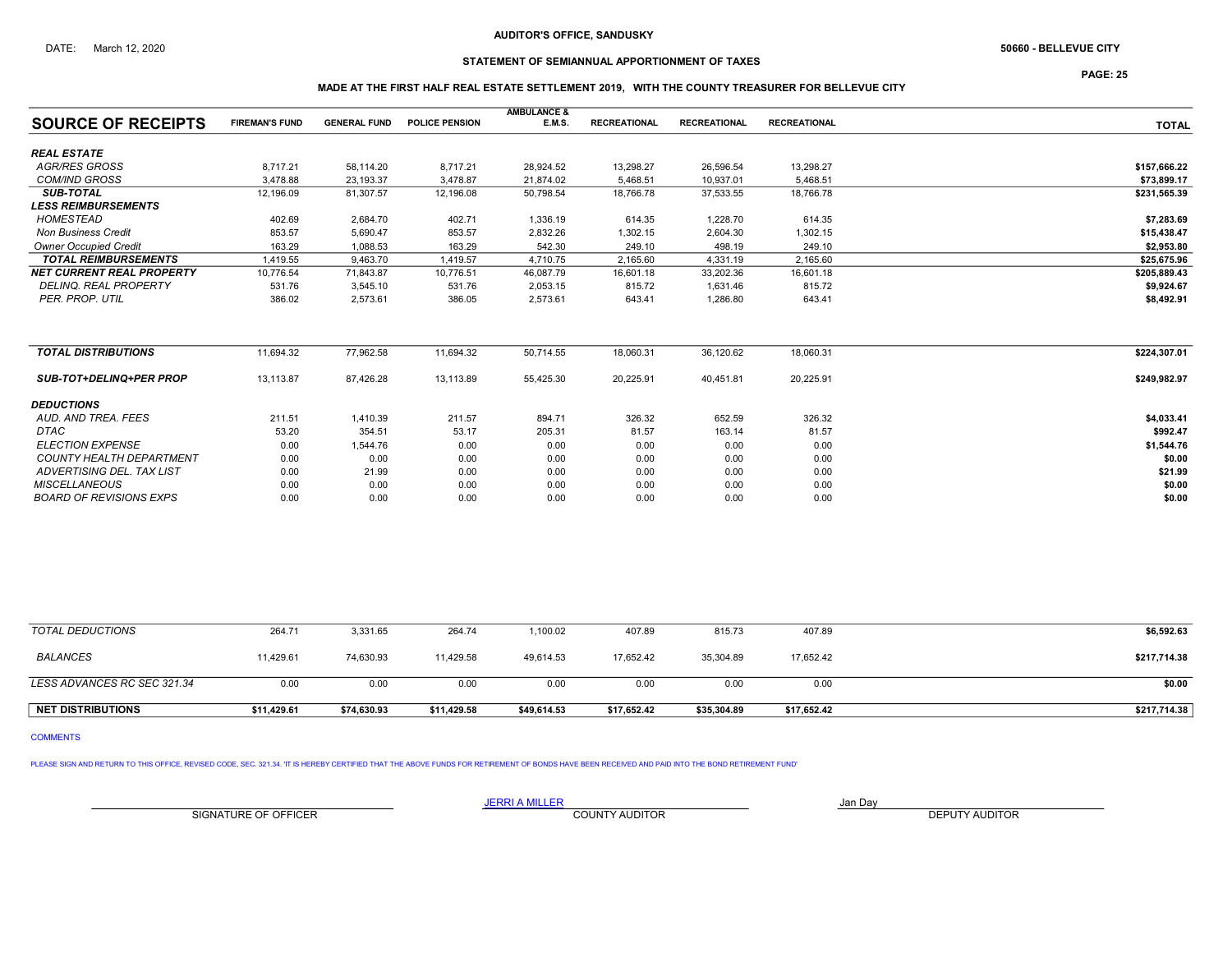# STATEMENT OF SEMIANNUAL APPORTIONMENT OF TAXES

PAGE: 25

## MADE AT THE FIRST HALF REAL ESTATE SETTLEMENT 2019, WITH THE COUNTY TREASURER FOR BELLEVUE CITY

| <b>SOURCE OF RECEIPTS</b>        | <b>FIREMAN'S FUND</b> | <b>GENERAL FUND</b> | <b>POLICE PENSION</b> | <b>AMBULANCE &amp;</b><br>E.M.S. | <b>RECREATIONAL</b> | <b>RECREATIONAL</b> | <b>RECREATIONAL</b> | <b>TOTAL</b> |
|----------------------------------|-----------------------|---------------------|-----------------------|----------------------------------|---------------------|---------------------|---------------------|--------------|
|                                  |                       |                     |                       |                                  |                     |                     |                     |              |
| <b>REAL ESTATE</b>               |                       |                     |                       |                                  |                     |                     |                     |              |
| <b>AGR/RES GROSS</b>             | 8,717.21              | 58,114.20           | 8,717.21              | 28,924.52                        | 13,298.27           | 26,596.54           | 13,298.27           | \$157,666.22 |
| <b>COM/IND GROSS</b>             | 3.478.88              | 23,193.37           | 3,478.87              | 21,874.02                        | 5,468.51            | 10,937.01           | 5,468.51            | \$73,899.17  |
| <b>SUB-TOTAL</b>                 | 12,196.09             | 81,307.57           | 12,196.08             | 50,798.54                        | 18,766.78           | 37,533.55           | 18,766.78           | \$231,565.39 |
| <b>LESS REIMBURSEMENTS</b>       |                       |                     |                       |                                  |                     |                     |                     |              |
| <b>HOMESTEAD</b>                 | 402.69                | 2,684.70            | 402.71                | 1,336.19                         | 614.35              | 1,228.70            | 614.35              | \$7,283.69   |
| <b>Non Business Credit</b>       | 853.57                | 5,690.47            | 853.57                | 2,832.26                         | 1,302.15            | 2,604.30            | 1,302.15            | \$15,438.47  |
| <b>Owner Occupied Credit</b>     | 163.29                | 1,088.53            | 163.29                | 542.30                           | 249.10              | 498.19              | 249.10              | \$2,953.80   |
| <b>TOTAL REIMBURSEMENTS</b>      | 1,419.55              | 9.463.70            | 1,419.57              | 4,710.75                         | 2,165.60            | 4,331.19            | 2,165.60            | \$25,675.96  |
| <b>NET CURRENT REAL PROPERTY</b> | 10,776.54             | 71,843.87           | 10,776.51             | 46,087.79                        | 16,601.18           | 33,202.36           | 16,601.18           | \$205,889.43 |
| <b>DELINQ, REAL PROPERTY</b>     | 531.76                | 3,545.10            | 531.76                | 2,053.15                         | 815.72              | 1,631.46            | 815.72              | \$9,924.67   |
| PER. PROP. UTIL                  | 386.02                | 2.573.61            | 386.05                | 2,573.61                         | 643.41              | 1,286.80            | 643.41              | \$8,492.91   |
|                                  |                       |                     |                       |                                  |                     |                     |                     |              |
| <b>TOTAL DISTRIBUTIONS</b>       | 11,694.32             | 77,962.58           | 11,694.32             | 50,714.55                        | 18,060.31           | 36,120.62           | 18,060.31           | \$224,307.01 |
| <b>SUB-TOT+DELINQ+PER PROP</b>   | 13,113.87             | 87,426.28           | 13,113.89             | 55,425.30                        | 20,225.91           | 40,451.81           | 20,225.91           | \$249,982.97 |
| <b>DEDUCTIONS</b>                |                       |                     |                       |                                  |                     |                     |                     |              |
| AUD, AND TREA, FEES              | 211.51                | 1,410.39            | 211.57                | 894.71                           | 326.32              | 652.59              | 326.32              | \$4,033.41   |
| <b>DTAC</b>                      | 53.20                 | 354.51              | 53.17                 | 205.31                           | 81.57               | 163.14              | 81.57               | \$992.47     |
| <b>ELECTION EXPENSE</b>          | 0.00                  | 1,544.76            | 0.00                  | 0.00                             | 0.00                | 0.00                | 0.00                | \$1,544.76   |
| <b>COUNTY HEALTH DEPARTMENT</b>  | 0.00                  | 0.00                | 0.00                  | 0.00                             | 0.00                | 0.00                | 0.00                | \$0.00       |
| ADVERTISING DEL. TAX LIST        | 0.00                  | 21.99               | 0.00                  | 0.00                             | 0.00                | 0.00                | 0.00                | \$21.99      |
| <b>MISCELLANEOUS</b>             | 0.00                  | 0.00                | 0.00                  | 0.00                             | 0.00                | 0.00                | 0.00                | \$0.00       |
| <b>BOARD OF REVISIONS EXPS</b>   | 0.00                  | 0.00                | 0.00                  | 0.00                             | 0.00                | 0.00                | 0.00                | \$0.00       |

| <b>NET DISTRIBUTIONS</b>    | \$11.429.61 | \$74,630.93 | \$11,429.58 | \$49,614.53 | \$17,652.42 | \$35,304.89 | \$17,652.42 | \$217,714.38 |
|-----------------------------|-------------|-------------|-------------|-------------|-------------|-------------|-------------|--------------|
| LESS ADVANCES RC SEC 321.34 | 0.00        | 0.00        | 0.00        | 0.00        | 0.00        | 0.00        | 0.00        | \$0.00       |
| <b>BALANCES</b>             | 11,429.61   | 74,630.93   | 11,429.58   | 49.614.53   | 17,652.42   | 35,304.89   | 17,652.42   | \$217,714.38 |
| TOTAL DEDUCTIONS            | 264.71      | 3,331.65    | 264.74      | ,100.02     | 407.89      | 815.73      | 407.89      | \$6,592.63   |

COMMENTS

PLEASE SIGN AND RETURN TO THIS OFFICE, REVISED CODE, SEC. 321.34. 'IT IS HEREBY CERTIFIED THAT THE ABOVE FUNDS FOR RETIREMENT OF BONDS HAVE BEEN RECEIVED AND PAID INTO THE BOND RETIREMENT FUND'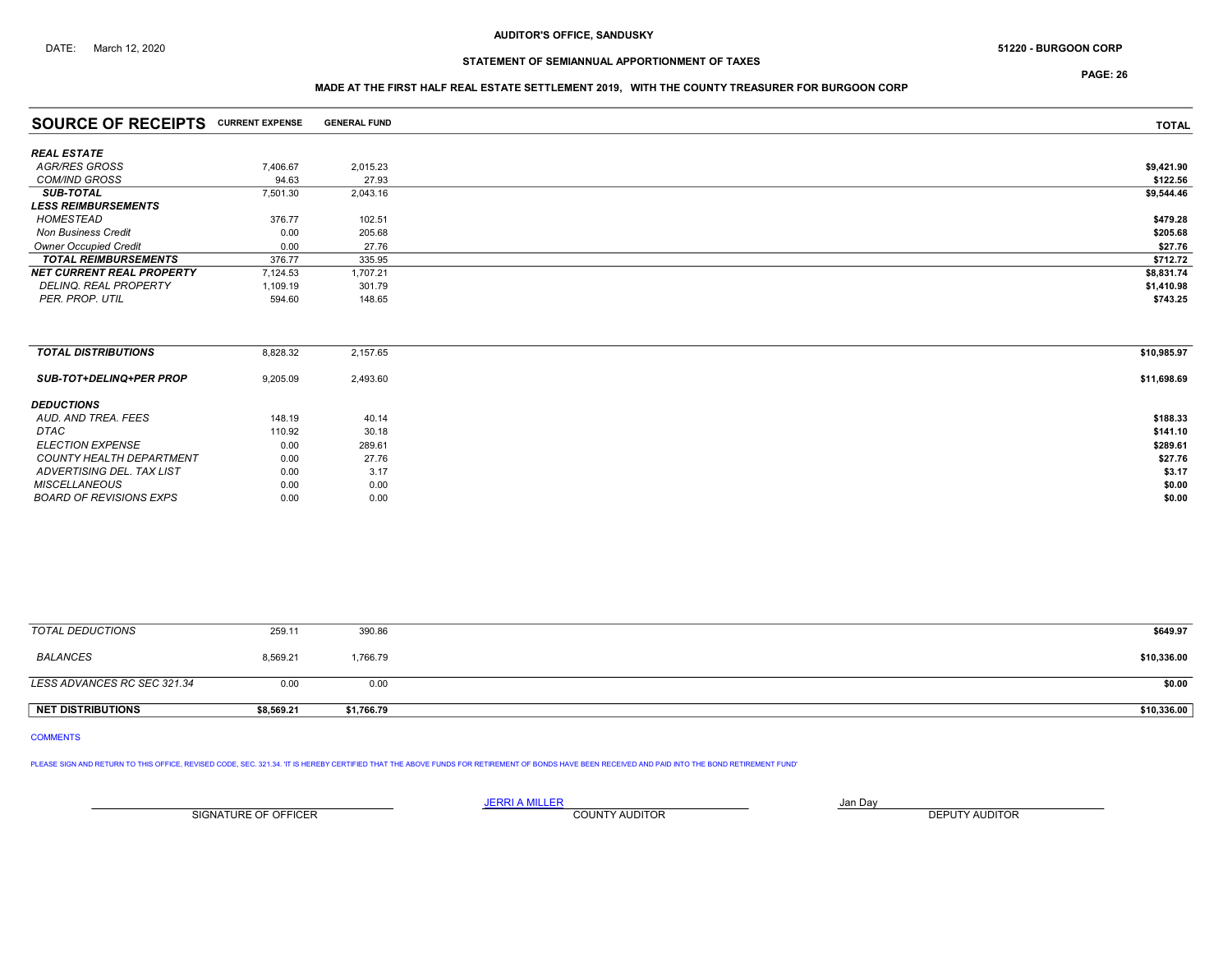# STATEMENT OF SEMIANNUAL APPORTIONMENT OF TAXES

PAGE: 26

## MADE AT THE FIRST HALF REAL ESTATE SETTLEMENT 2019, WITH THE COUNTY TREASURER FOR BURGOON CORP

| <b>SOURCE OF RECEIPTS CURRENT EXPENSE</b> |          | <b>GENERAL FUND</b> | <b>TOTAL</b> |
|-------------------------------------------|----------|---------------------|--------------|
| <b>REAL ESTATE</b>                        |          |                     |              |
| AGR/RES GROSS                             | 7,406.67 | 2,015.23            | \$9,421.90   |
| <b>COM/IND GROSS</b>                      | 94.63    | 27.93               | \$122.56     |
| <b>SUB-TOTAL</b>                          | 7,501.30 | 2,043.16            | \$9,544.46   |
| <b>LESS REIMBURSEMENTS</b>                |          |                     |              |
| <b>HOMESTEAD</b>                          | 376.77   | 102.51              | \$479.28     |
| <b>Non Business Credit</b>                | 0.00     | 205.68              | \$205.68     |
| <b>Owner Occupied Credit</b>              | 0.00     | 27.76               | \$27.76      |
| <b>TOTAL REIMBURSEMENTS</b>               | 376.77   | 335.95              | \$712.72     |
| <b>NET CURRENT REAL PROPERTY</b>          | 7,124.53 | 1,707.21            | \$8,831.74   |
| DELINQ. REAL PROPERTY                     | 1,109.19 | 301.79              | \$1,410.98   |
| PER. PROP. UTIL                           | 594.60   | 148.65              | \$743.25     |
|                                           |          |                     |              |
| <b>TOTAL DISTRIBUTIONS</b>                | 8,828.32 | 2,157.65            | \$10,985.97  |
| <b>SUB-TOT+DELINQ+PER PROP</b>            | 9,205.09 | 2,493.60            | \$11,698.69  |
| <b>DEDUCTIONS</b><br>AUD. AND TREA. FEES  | 148.19   | 40.14               | \$188.33     |
|                                           |          |                     |              |

| AUD. AND INLA. I LLU           | 140.15 | 40. IT | - 100.00 |
|--------------------------------|--------|--------|----------|
| <b>DTAC</b>                    | 110.92 | 30.18  | \$141.10 |
| <b>ELECTION EXPENSE</b>        | 0.00   | 289.61 | \$289.61 |
| COUNTY HEALTH DEPARTMENT       | 0.00   | 27.76  | \$27.76  |
| ADVERTISING DEL. TAX LIST      | 0.00   | 3.17   | \$3.17   |
| <b>MISCELLANEOUS</b>           | 0.00   | 0.00   | \$0.00   |
| <b>BOARD OF REVISIONS EXPS</b> | 0.00   | 0.00   | \$0.00   |
|                                |        |        |          |
|                                |        |        |          |

| TOTAL DEDUCTIONS            | 259.11     | 390.86     | \$649.97    |
|-----------------------------|------------|------------|-------------|
| BALANCES                    | 8,569.21   | 1,766.79   | \$10,336.00 |
| LESS ADVANCES RC SEC 321.34 | 0.00       | 0.00       | \$0.00      |
| <b>NET DISTRIBUTIONS</b>    | \$8,569.21 | \$1,766.79 | \$10,336.00 |

## COMMENTS

PLEASE SIGN AND RETURN TO THIS OFFICE, REVISED CODE, SEC. 321.34. 'IT IS HEREBY CERTIFIED THAT THE ABOVE FUNDS FOR RETIREMENT OF BONDS HAVE BEEN RECEIVED AND PAID INTO THE BOND RETIREMENT FUND'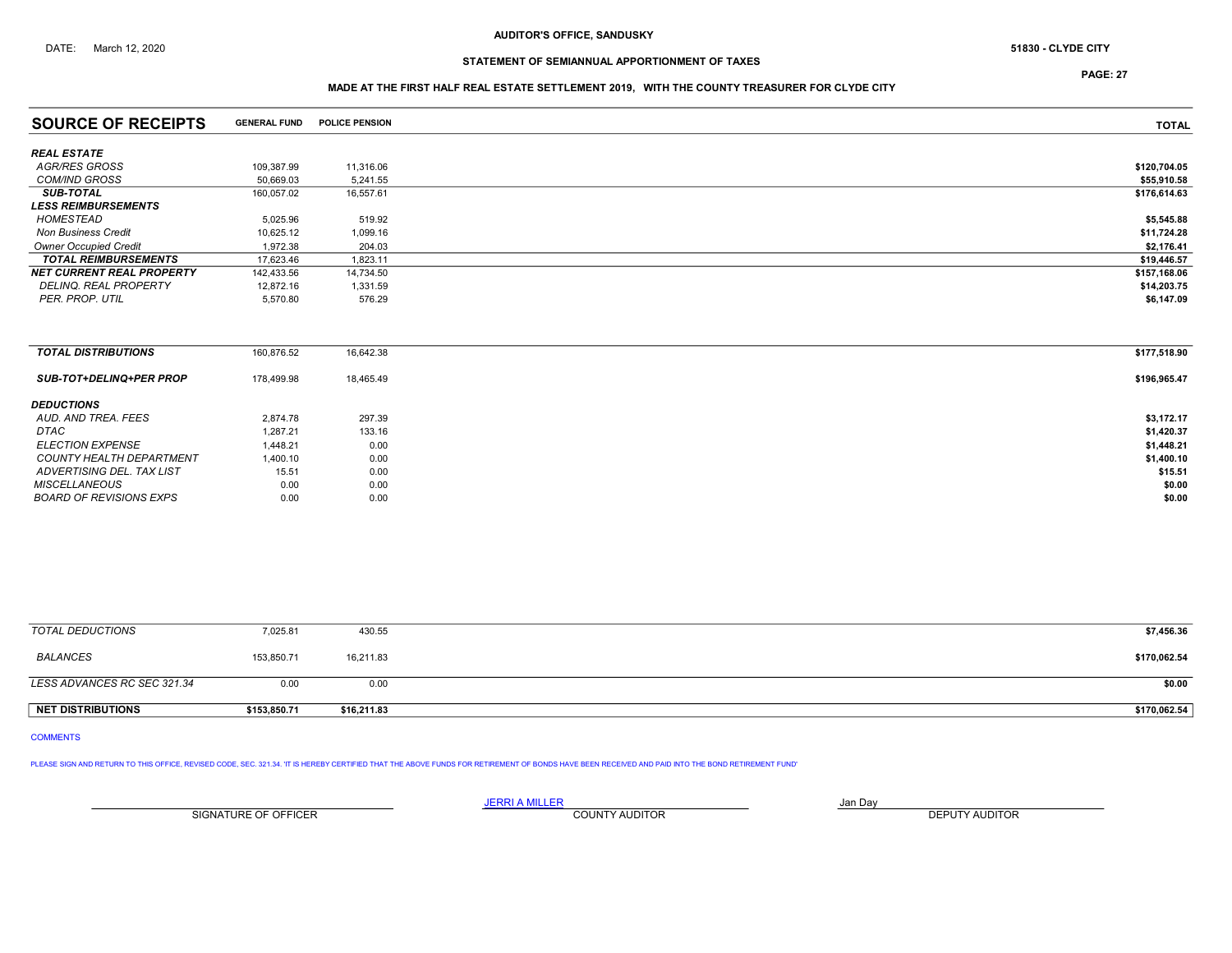# STATEMENT OF SEMIANNUAL APPORTIONMENT OF TAXES

PAGE: 27

## MADE AT THE FIRST HALF REAL ESTATE SETTLEMENT 2019, WITH THE COUNTY TREASURER FOR CLYDE CITY

| <b>SOURCE OF RECEIPTS</b>        | <b>GENERAL FUND</b> | <b>POLICE PENSION</b> | <b>TOTAL</b> |
|----------------------------------|---------------------|-----------------------|--------------|
| <b>REAL ESTATE</b>               |                     |                       |              |
| AGR/RES GROSS                    | 109,387.99          | 11,316.06             | \$120,704.05 |
| <b>COM/IND GROSS</b>             | 50,669.03           | 5,241.55              | \$55,910.58  |
| <b>SUB-TOTAL</b>                 | 160,057.02          | 16,557.61             | \$176,614.63 |
| <b>LESS REIMBURSEMENTS</b>       |                     |                       |              |
| <b>HOMESTEAD</b>                 | 5,025.96            | 519.92                | \$5,545.88   |
| <b>Non Business Credit</b>       | 10,625.12           | 1,099.16              | \$11,724.28  |
| <b>Owner Occupied Credit</b>     | 1.972.38            | 204.03                | \$2,176.41   |
| <b>TOTAL REIMBURSEMENTS</b>      | 17,623.46           | 1,823.11              | \$19,446.57  |
| <b>NET CURRENT REAL PROPERTY</b> | 142,433.56          | 14,734.50             | \$157,168.06 |
| DELINQ. REAL PROPERTY            | 12,872.16           | 1,331.59              | \$14,203.75  |
| PER. PROP. UTIL                  | 5,570.80            | 576.29                | \$6,147.09   |
|                                  |                     |                       |              |
| <b>TOTAL DISTRIBUTIONS</b>       | 160,876.52          | 16,642.38             | \$177,518.90 |
| <b>SUB-TOT+DELINQ+PER PROP</b>   | 178,499.98          | 18,465.49             | \$196,965.47 |
| <b>DEDUCTIONS</b>                |                     |                       |              |
| AUD. AND TREA. FEES              | 2,874.78            | 297.39                | \$3,172.17   |
| DTAC                             | 1,287.21            | 133.16                | \$1,420.37   |
| <b>ELECTION EXPENSE</b>          | 1,448.21            | 0.00                  | \$1,448.21   |
| <b>COUNTY HEALTH DEPARTMENT</b>  | 1,400.10            | 0.00                  | \$1,400.10   |
| ADVERTISING DEL. TAX LIST        | 15.51               | 0.00                  | \$15.51      |
| <b>MISCELLANEOUS</b>             | 0.00                | 0.00                  | \$0.00       |
| <b>BOARD OF REVISIONS EXPS</b>   | 0.00                | 0.00                  | \$0.00       |

| TOTAL DEDUCTIONS            | 7,025.81     | 430.55      | \$7,456.36   |
|-----------------------------|--------------|-------------|--------------|
| <b>BALANCES</b>             | 153,850.71   | 16.211.83   | \$170,062.54 |
| LESS ADVANCES RC SEC 321.34 | 0.00         | 0.00        | \$0.00       |
| <b>NET DISTRIBUTIONS</b>    | \$153,850.71 | \$16,211.83 | \$170,062.54 |

### COMMENTS

PLEASE SIGN AND RETURN TO THIS OFFICE, REVISED CODE, SEC. 321.34. 'IT IS HEREBY CERTIFIED THAT THE ABOVE FUNDS FOR RETIREMENT OF BONDS HAVE BEEN RECEIVED AND PAID INTO THE BOND RETIREMENT FUND'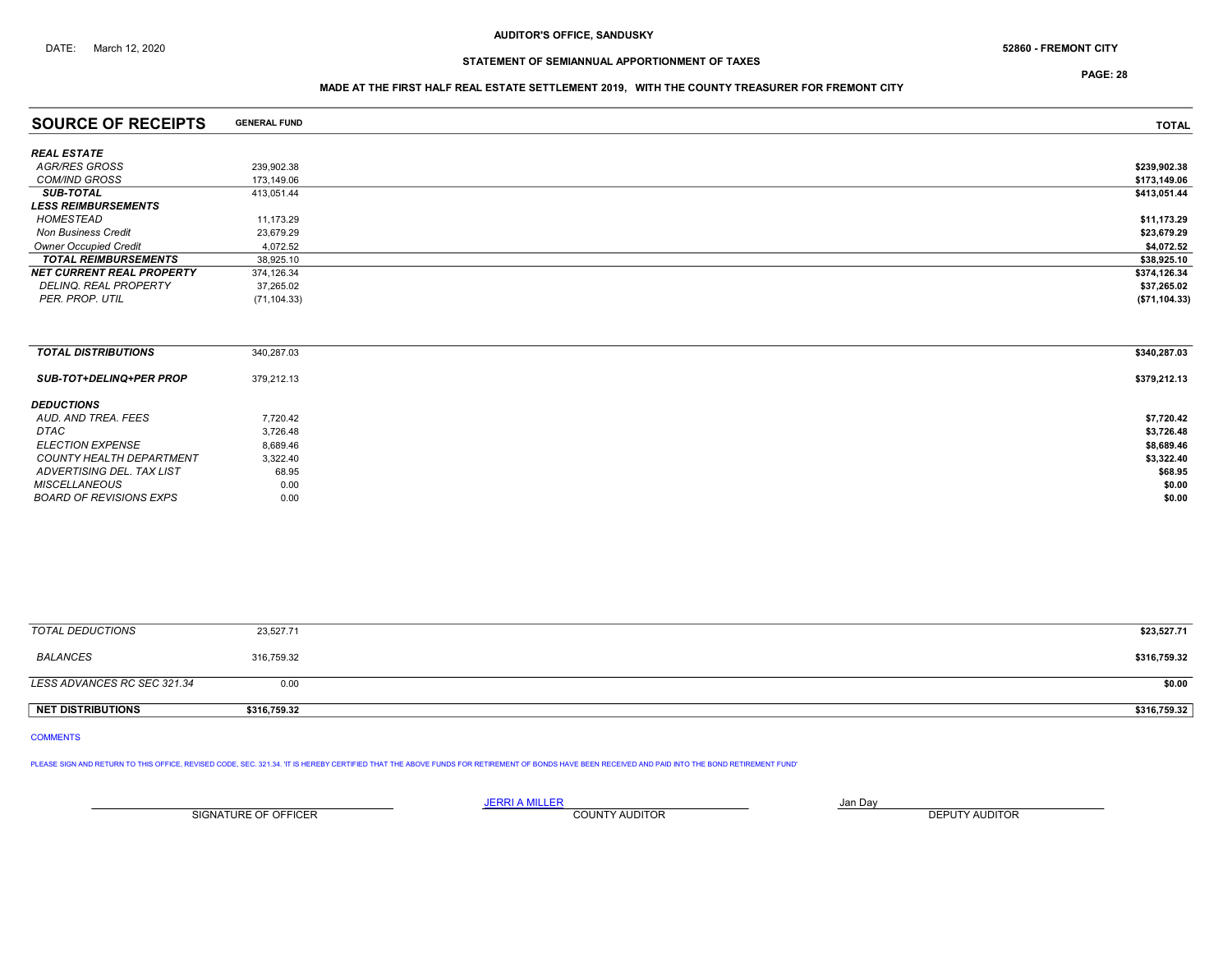PAGE: 28

## MADE AT THE FIRST HALF REAL ESTATE SETTLEMENT 2019, WITH THE COUNTY TREASURER FOR FREMONT CITY

| <b>SOURCE OF RECEIPTS</b>        | <b>GENERAL FUND</b> | <b>TOTAL</b>  |
|----------------------------------|---------------------|---------------|
|                                  |                     |               |
| <b>REAL ESTATE</b>               |                     |               |
| AGR/RES GROSS                    | 239,902.38          | \$239,902.38  |
| <b>COM/IND GROSS</b>             | 173,149.06          | \$173,149.06  |
| <b>SUB-TOTAL</b>                 | 413,051.44          | \$413,051.44  |
| <b>LESS REIMBURSEMENTS</b>       |                     |               |
| HOMESTEAD                        | 11,173.29           | \$11,173.29   |
| <b>Non Business Credit</b>       | 23,679.29           | \$23,679.29   |
| <b>Owner Occupied Credit</b>     | 4,072.52            | \$4,072.52    |
| <b>TOTAL REIMBURSEMENTS</b>      | 38,925.10           | \$38,925.10   |
| <b>NET CURRENT REAL PROPERTY</b> | 374,126.34          | \$374,126.34  |
| DELINQ. REAL PROPERTY            | 37,265.02           | \$37,265.02   |
| PER. PROP. UTIL                  | (71, 104.33)        | (\$71,104.33) |
|                                  |                     |               |
|                                  |                     |               |
| <b>TOTAL DISTRIBUTIONS</b>       | 340,287.03          | \$340,287.03  |
| <b>SUB-TOT+DELINQ+PER PROP</b>   | 379,212.13          | \$379,212.13  |
| <b>DEDUCTIONS</b>                |                     |               |
| AUD. AND TREA. FEES              | 7,720.42            | \$7,720.42    |
| DTAC                             | 3,726.48            | \$3,726.48    |
| <b>ELECTION EXPENSE</b>          | 8,689.46            | \$8,689.46    |

| <b>COUNTY HEALTH DEPARTMENT</b> | 3.322.40 | .<br>\$3,322.40 |
|---------------------------------|----------|-----------------|
| ADVERTISING DEL. TAX LIST       | 68.95    | \$68.95         |
| <b>MISCELLANEOUS</b>            | 0.00     | \$0.00          |
| <b>BOARD OF REVISIONS EXPS</b>  | 0.00     | \$0.00          |
|                                 |          |                 |
|                                 |          |                 |

| TOTAL DEDUCTIONS            | 23,527.71    | \$23,527.71  |
|-----------------------------|--------------|--------------|
| <b>BALANCES</b>             | 316,759.32   | \$316,759.32 |
| LESS ADVANCES RC SEC 321.34 | 0.00         | \$0.00       |
| <b>NET DISTRIBUTIONS</b>    | \$316,759.32 | \$316,759.32 |

COMMENTS

PLEASE SIGN AND RETURN TO THIS OFFICE, REVISED CODE, SEC. 321.34. 'IT IS HEREBY CERTIFIED THAT THE ABOVE FUNDS FOR RETIREMENT OF BONDS HAVE BEEN RECEIVED AND PAID INTO THE BOND RETIREMENT FUND'

SIGNATURE OF OFFICER **EXECUTE A RELATION COUNTY AUDITOR** COUNTY AUDITOR **DEPUTY AUDITOR**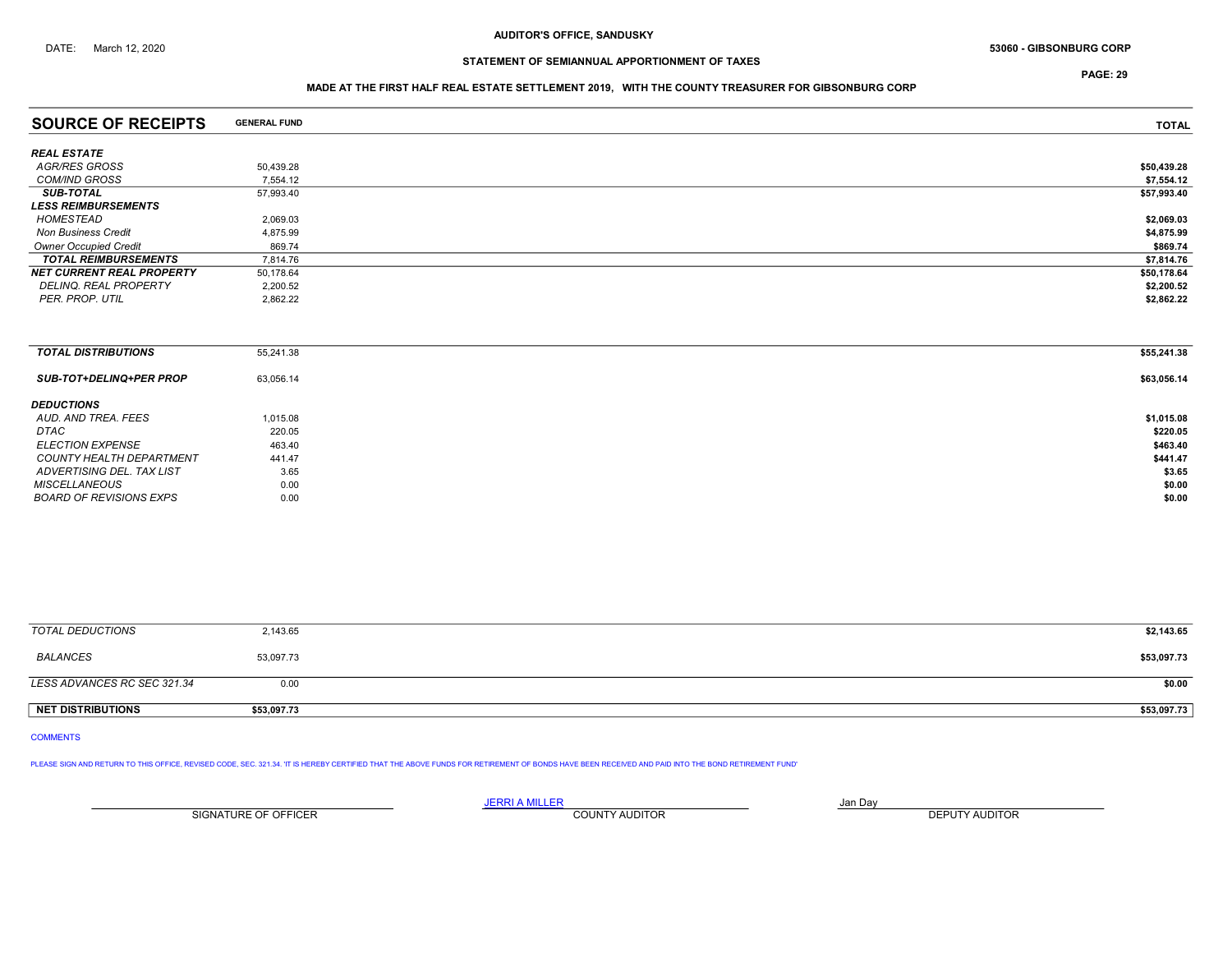PAGE: 29

## MADE AT THE FIRST HALF REAL ESTATE SETTLEMENT 2019, WITH THE COUNTY TREASURER FOR GIBSONBURG CORP

| <b>SOURCE OF RECEIPTS</b>        | <b>GENERAL FUND</b> | <b>TOTAL</b> |
|----------------------------------|---------------------|--------------|
| <b>REAL ESTATE</b>               |                     |              |
| AGR/RES GROSS                    | 50,439.28           | \$50,439.28  |
| <b>COM/IND GROSS</b>             | 7,554.12            | \$7,554.12   |
| <b>SUB-TOTAL</b>                 | 57,993.40           | \$57,993.40  |
| <b>LESS REIMBURSEMENTS</b>       |                     |              |
| HOMESTEAD                        | 2,069.03            | \$2,069.03   |
| <b>Non Business Credit</b>       | 4,875.99            | \$4,875.99   |
| <b>Owner Occupied Credit</b>     | 869.74              | \$869.74     |
| <b>TOTAL REIMBURSEMENTS</b>      | 7,814.76            | \$7,814.76   |
| <b>NET CURRENT REAL PROPERTY</b> | 50,178.64           | \$50,178.64  |
| DELINQ. REAL PROPERTY            | 2,200.52            | \$2,200.52   |
| PER. PROP. UTIL                  | 2,862.22            | \$2,862.22   |
|                                  |                     |              |
|                                  |                     |              |
| <b>TOTAL DISTRIBUTIONS</b>       | 55,241.38           | \$55,241.38  |
| <b>SUB-TOT+DELINQ+PER PROP</b>   | 63,056.14           | \$63,056.14  |
| <b>DEDUCTIONS</b>                |                     |              |
| AUD. AND TREA. FEES              | 1,015.08            | \$1,015.08   |
| DTAC                             | 220.05              | \$220.05     |

ELECTION EXPENSE  $463.40$  \$463.40 COUNTY HEALTH DEPARTMENT 441.47 \$441.47 ADVERTISING DEL. TAX LIST  $3.65$   $3.65$ MISCELLANEOUS 60.00 60.00 60.00 60.00 60.00 60.00 60.00 60.00 60.00 60.00 60.00 60.00 60.00 60.00 60.00 60.00 60.00 60.00 60.00 60.00 60.00 60.00 60.00 60.00 60.00 60.00 60.00 60.00 60.00 60.00 60.00 60.00 60.00 60.00 60.0 BOARD OF REVISIONS EXPS 0.00 \$0.00

| TOTAL DEDUCTIONS            | 2,143.65    | \$2,143.65  |
|-----------------------------|-------------|-------------|
| BALANCES                    | 53,097.73   | \$53,097.73 |
| LESS ADVANCES RC SEC 321.34 | 0.00        | \$0.00      |
| <b>NET DISTRIBUTIONS</b>    | \$53,097.73 | \$53,097.73 |
|                             |             |             |

COMMENTS

PLEASE SIGN AND RETURN TO THIS OFFICE, REVISED CODE, SEC. 321.34. IT IS HEREBY CERTIFIED THAT THE ABOVE FUNDS FOR RETIREMENT OF BONDS HAVE BEEN RECEIVED AND PAID INTO THE BOND RETIREMENT FUND'

<u>JERRI A MILLER</u> JAN DAY AND A STREAM AND A STREAM OF THE STREAM OF THE STREAM OF THE STREAM OF THE STREAM OF THE STREAM OF THE STREAM OF THE STREAM OF THE STREAM OF THE STREAM OF THE STREAM OF THE STREAM OF THE STREAM OF SIGNATURE OF OFFICER **EXECUTS A TELEPHONE COUNTY AUDITOR** COUNTY AUDITOR **DEPUTY AUDITOR**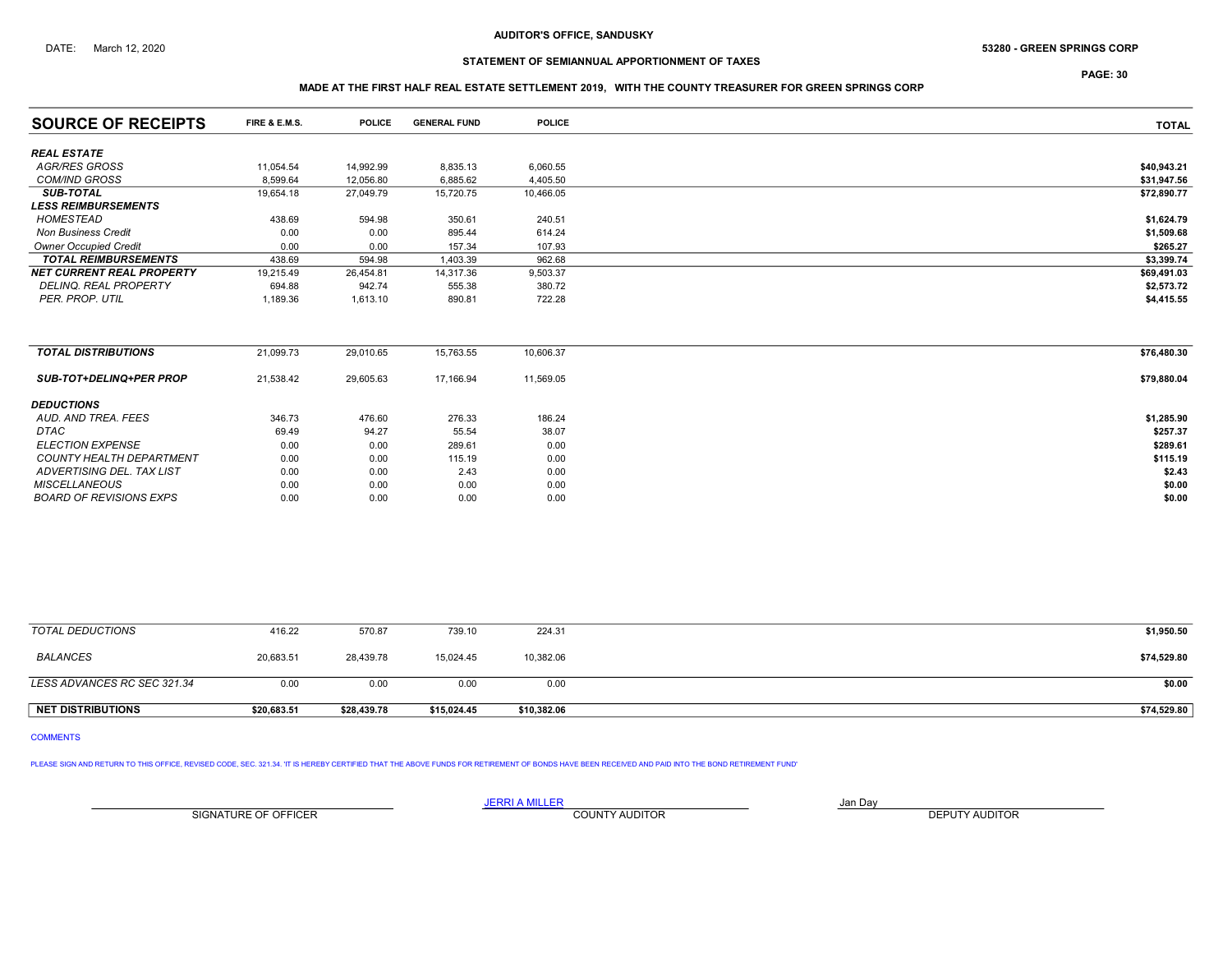## DATE: March 12, 2020 68 - 2020 53280 - GREEN SPRINGS CORP

# STATEMENT OF SEMIANNUAL APPORTIONMENT OF TAXES

PAGE: 30

## MADE AT THE FIRST HALF REAL ESTATE SETTLEMENT 2019, WITH THE COUNTY TREASURER FOR GREEN SPRINGS CORP

| <b>SOURCE OF RECEIPTS</b>        | <b>FIRE &amp; E.M.S.</b> | <b>POLICE</b> | <b>GENERAL FUND</b> | <b>POLICE</b> | <b>TOTAL</b> |
|----------------------------------|--------------------------|---------------|---------------------|---------------|--------------|
| <b>REAL ESTATE</b>               |                          |               |                     |               |              |
| AGR/RES GROSS                    | 11,054.54                | 14,992.99     | 8,835.13            | 6,060.55      | \$40,943.21  |
| <b>COM/IND GROSS</b>             | 8.599.64                 | 12.056.80     | 6,885.62            | 4,405.50      | \$31,947.56  |
| <b>SUB-TOTAL</b>                 | 19.654.18                | 27.049.79     | 15,720.75           | 10,466.05     | \$72,890.77  |
| <b>LESS REIMBURSEMENTS</b>       |                          |               |                     |               |              |
| HOMESTEAD                        | 438.69                   | 594.98        | 350.61              | 240.51        | \$1,624.79   |
| <b>Non Business Credit</b>       | 0.00                     | 0.00          | 895.44              | 614.24        | \$1,509.68   |
| <b>Owner Occupied Credit</b>     | 0.00                     | 0.00          | 157.34              | 107.93        | \$265.27     |
| <b>TOTAL REIMBURSEMENTS</b>      | 438.69                   | 594.98        | 1,403.39            | 962.68        | \$3,399.74   |
| <b>NET CURRENT REAL PROPERTY</b> | 19,215.49                | 26,454.81     | 14,317.36           | 9,503.37      | \$69,491.03  |
| <b>DELINQ, REAL PROPERTY</b>     | 694.88                   | 942.74        | 555.38              | 380.72        | \$2,573.72   |
| PER. PROP. UTIL                  | 1,189.36                 | 1,613.10      | 890.81              | 722.28        | \$4,415.55   |
|                                  |                          |               |                     |               |              |
| <b>TOTAL DISTRIBUTIONS</b>       | 21,099.73                | 29,010.65     | 15,763.55           | 10,606.37     | \$76,480.30  |
| <b>SUB-TOT+DELINQ+PER PROP</b>   | 21,538.42                | 29,605.63     | 17,166.94           | 11,569.05     | \$79,880.04  |
| <b>DEDUCTIONS</b>                |                          |               |                     |               |              |
| AUD. AND TREA. FEES              | 346.73                   | 476.60        | 276.33              | 186.24        | \$1,285.90   |
| <b>DTAC</b>                      | 69.49                    | 94.27         | 55.54               | 38.07         | \$257.37     |
| <b>ELECTION EXPENSE</b>          | 0.00                     | 0.00          | 289.61              | 0.00          | \$289.61     |
| <b>COUNTY HEALTH DEPARTMENT</b>  | 0.00                     | 0.00          | 115.19              | 0.00          | \$115.19     |
| ADVERTISING DEL. TAX LIST        | 0.00                     | 0.00          | 2.43                | 0.00          | \$2.43       |
| <b>MISCELLANEOUS</b>             | 0.00                     | 0.00          | 0.00                | 0.00          | \$0.00       |
| <b>BOARD OF REVISIONS EXPS</b>   | 0.00                     | 0.00          | 0.00                | 0.00          | \$0.00       |

| TOTAL DEDUCTIONS            | 416.22      | 570.87      | 739.10      | 224.31      | \$1,950.50  |
|-----------------------------|-------------|-------------|-------------|-------------|-------------|
| <b>BALANCES</b>             | 20,683.51   | 28,439.78   | 15,024.45   | 10,382.06   | \$74,529.80 |
| LESS ADVANCES RC SEC 321.34 | 0.00        | 0.00        | 0.00        | 0.00        | \$0.00      |
| <b>NET DISTRIBUTIONS</b>    | \$20.683.51 | \$28,439.78 | \$15.024.45 | \$10,382.06 | \$74,529.80 |

## COMMENTS

PLEASE SIGN AND RETURN TO THIS OFFICE, REVISED CODE, SEC. 321.34. IT IS HEREBY CERTIFIED THAT THE ABOVE FUNDS FOR RETIREMENT OF BONDS HAVE BEEN RECEIVED AND PAID INTO THE BOND RETIREMENT FUND'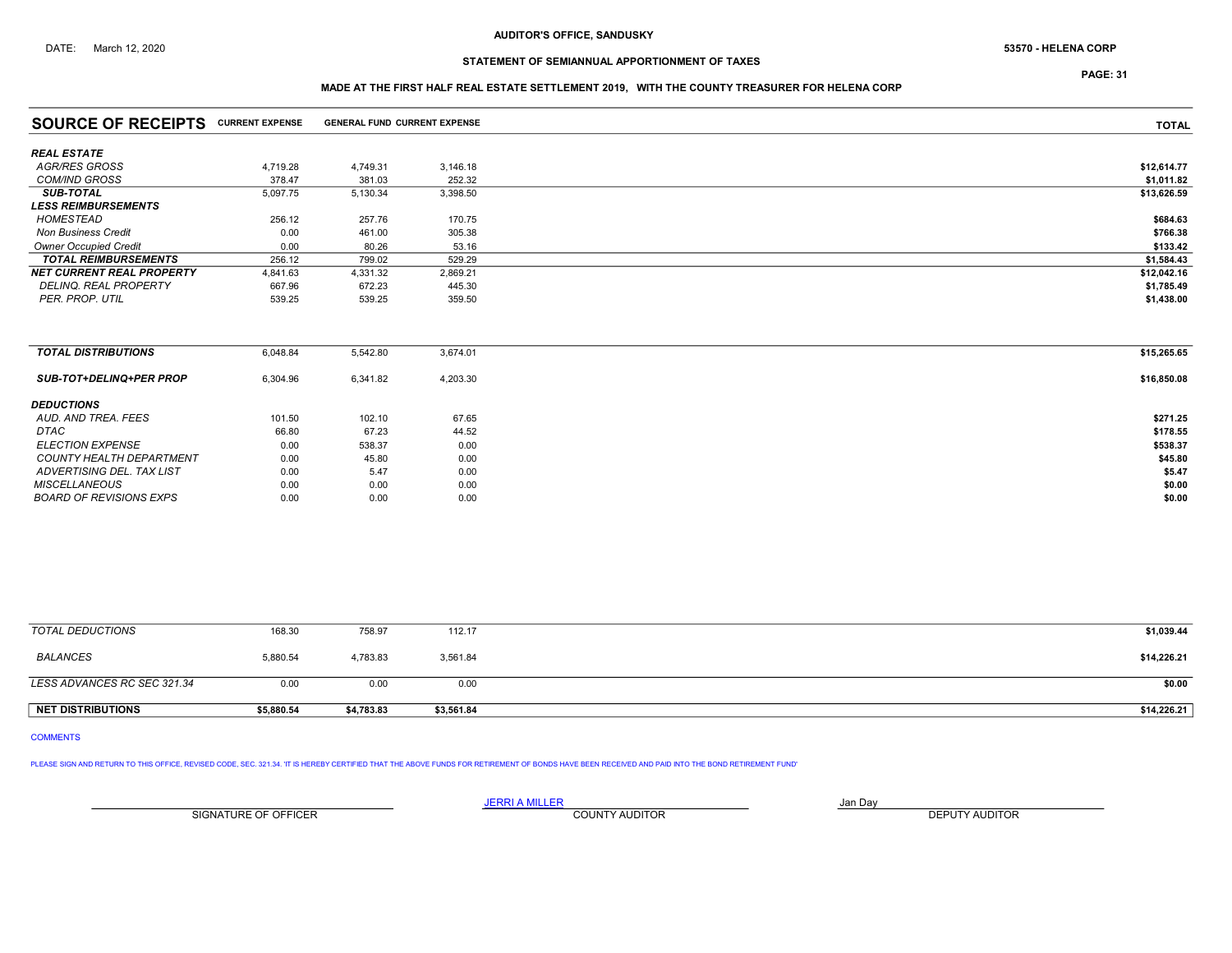# STATEMENT OF SEMIANNUAL APPORTIONMENT OF TAXES

## MADE AT THE FIRST HALF REAL ESTATE SETTLEMENT 2019, WITH THE COUNTY TREASURER FOR HELENA CORP

| <b>SOURCE OF RECEIPTS CURRENT EXPENSE</b> |          | <b>GENERAL FUND CURRENT EXPENSE</b> |          | <b>TOTAL</b> |
|-------------------------------------------|----------|-------------------------------------|----------|--------------|
| <b>REAL ESTATE</b>                        |          |                                     |          |              |
| AGR/RES GROSS                             | 4,719.28 | 4,749.31                            | 3,146.18 | \$12,614.77  |
| <b>COM/IND GROSS</b>                      | 378.47   | 381.03                              | 252.32   | \$1,011.82   |
| <b>SUB-TOTAL</b>                          | 5,097.75 | 5,130.34                            | 3,398.50 | \$13,626.59  |
| <b>LESS REIMBURSEMENTS</b>                |          |                                     |          |              |
| HOMESTEAD                                 | 256.12   | 257.76                              | 170.75   | \$684.63     |
| <b>Non Business Credit</b>                | 0.00     | 461.00                              | 305.38   | \$766.38     |
| <b>Owner Occupied Credit</b>              | 0.00     | 80.26                               | 53.16    | \$133.42     |
| <b>TOTAL REIMBURSEMENTS</b>               | 256.12   | 799.02                              | 529.29   | \$1,584.43   |
| <b>NET CURRENT REAL PROPERTY</b>          | 4,841.63 | 4,331.32                            | 2,869.21 | \$12,042.16  |
| DELINQ. REAL PROPERTY                     | 667.96   | 672.23                              | 445.30   | \$1,785.49   |
| PER. PROP. UTIL                           | 539.25   | 539.25                              | 359.50   | \$1,438.00   |
|                                           |          |                                     |          |              |
| <b>TOTAL DISTRIBUTIONS</b>                | 6,048.84 | 5,542.80                            | 3,674.01 | \$15,265.65  |
| <b>SUB-TOT+DELINQ+PER PROP</b>            | 6,304.96 | 6,341.82                            | 4,203.30 | \$16,850.08  |
| <b>DEDUCTIONS</b>                         |          |                                     |          |              |
| AUD. AND TREA. FEES                       | 101.50   | 102.10                              | 67.65    | \$271.25     |
| <b>DTAC</b>                               | 66.80    | 67.23                               | 44.52    | \$178.55     |
| <b>ELECTION EXPENSE</b>                   | 0.00     | 538.37                              | 0.00     | \$538.37     |
| <b>COUNTY HEALTH DEPARTMENT</b>           | 0.00     | 45.80                               | 0.00     | \$45.80      |
| ADVERTISING DEL. TAX LIST                 | 0.00     | 5.47                                | 0.00     | \$5.47       |
| <b>MISCELLANEOUS</b>                      | 0.00     | 0.00                                | 0.00     | \$0.00       |
| <b>BOARD OF REVISIONS EXPS</b>            | 0.00     | 0.00                                | 0.00     | \$0.00       |

| <b>NET DISTRIBUTIONS</b>    | \$5,880.54 | \$4,783.83 | \$3,561.84 | \$14,226.21 |
|-----------------------------|------------|------------|------------|-------------|
| LESS ADVANCES RC SEC 321.34 | 0.00       | 0.00       | 0.00       | \$0.00      |
|                             |            |            |            |             |
| BALANCES                    | 5,880.54   | 4,783.83   | 3,561.84   | \$14,226.21 |
| TOTAL DEDUCTIONS            | 168.30     | 758.97     | 112.17     | \$1,039.44  |

# COMMENTS

PLEASE SIGN AND RETURN TO THIS OFFICE, REVISED CODE, SEC. 321.34. 'IT IS HEREBY CERTIFIED THAT THE ABOVE FUNDS FOR RETIREMENT OF BONDS HAVE BEEN RECEIVED AND PAID INTO THE BOND RETIREMENT FUND'

SIGNATURE OF OFFICER **EXECUTE A RELATION COUNTY AUDITOR** COUNTY AUDITOR **DEPUTY AUDITOR** 

JERRI A MILLER COUNTY AUDITOR **Fix A SERVICE A MILLER** Jan Day

PAGE: 31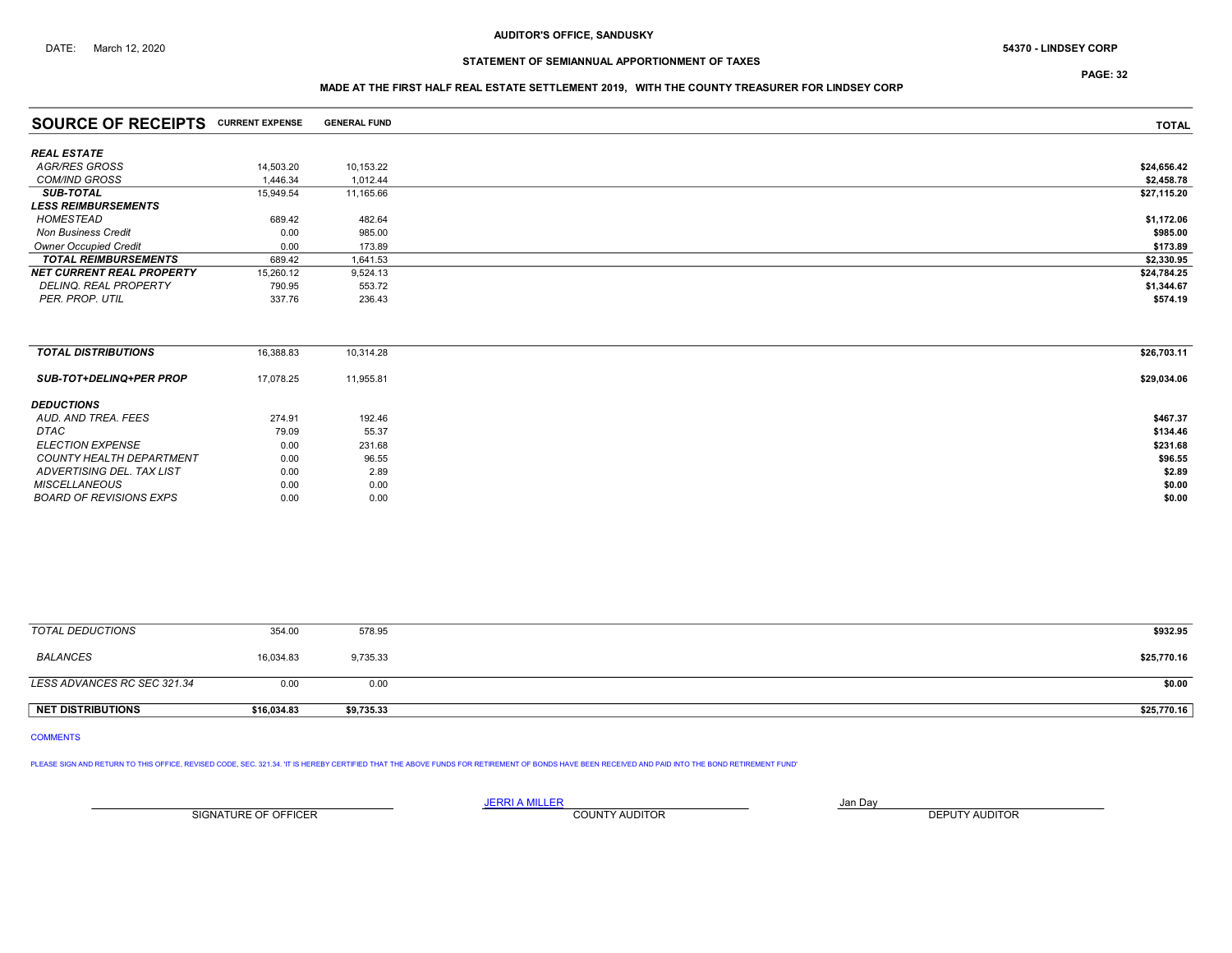# STATEMENT OF SEMIANNUAL APPORTIONMENT OF TAXES

PAGE: 32

## MADE AT THE FIRST HALF REAL ESTATE SETTLEMENT 2019, WITH THE COUNTY TREASURER FOR LINDSEY CORP

| <b>SOURCE OF RECEIPTS CURRENT EXPENSE</b> |           | <b>GENERAL FUND</b> | <b>TOTAL</b> |
|-------------------------------------------|-----------|---------------------|--------------|
| <b>REAL ESTATE</b>                        |           |                     |              |
| AGR/RES GROSS                             | 14,503.20 | 10,153.22           | \$24,656.42  |
| <b>COM/IND GROSS</b>                      | 1.446.34  | 1.012.44            | \$2,458.78   |
| <b>SUB-TOTAL</b>                          | 15,949.54 | 11,165.66           | \$27,115.20  |
| <b>LESS REIMBURSEMENTS</b>                |           |                     |              |
| HOMESTEAD                                 | 689.42    | 482.64              | \$1,172.06   |
| <b>Non Business Credit</b>                | 0.00      | 985.00              | \$985.00     |
| <b>Owner Occupied Credit</b>              | 0.00      | 173.89              | \$173.89     |
| <b>TOTAL REIMBURSEMENTS</b>               | 689.42    | 1,641.53            | \$2,330.95   |
| <b>NET CURRENT REAL PROPERTY</b>          | 15,260.12 | 9,524.13            | \$24,784.25  |
| <b>DELINQ, REAL PROPERTY</b>              | 790.95    | 553.72              | \$1,344.67   |
| PER. PROP. UTIL                           | 337.76    | 236.43              | \$574.19     |
|                                           |           |                     |              |
| <b>TOTAL DISTRIBUTIONS</b>                | 16,388.83 | 10,314.28           | \$26,703.11  |
| <b>SUB-TOT+DELINQ+PER PROP</b>            | 17,078.25 | 11,955.81           | \$29,034.06  |
| <b>DEDUCTIONS</b>                         |           |                     |              |
| AUD, AND TREA, FEES                       | 274.91    | 192.46              | \$467.37     |
| DTAC                                      | 79.09     | 55.37               | \$134.46     |
| <b>ELECTION EXPENSE</b>                   | 0.00      | 231.68              | \$231.68     |
| <b>COUNTY HEALTH DEPARTMENT</b>           | 0.00      | 96.55               | \$96.55      |
| ADVERTISING DEL. TAX LIST                 | 0.00      | 2.89                | \$2.89       |

| <b>TOTAL DEDUCTIONS</b> | 354.00    | 578.95   | \$932.95    |
|-------------------------|-----------|----------|-------------|
| BALANCES                | 16,034.83 | 9,735.33 | \$25,770.16 |
|                         |           |          |             |

ADVERTISING DEL. TAX LIST  $0.00$   $2.89$   $2.89$  $MISCELLANEOUS$  0.00 0.00 0.00 0.00 0.00 \$0.00 BOARD OF REVISIONS EXPS  $0.00$   $0.00$   $0.00$ 

| LESS ADVANCES RC SEC 321.34 | u.ul        | 0.00       | \$0.00      |
|-----------------------------|-------------|------------|-------------|
|                             |             |            |             |
| <b>NET DISTRIBUTIONS</b>    | \$16,034.83 | \$9,735.33 | \$25,770.16 |

### COMMENTS

PLEASE SIGN AND RETURN TO THIS OFFICE, REVISED CODE, SEC. 321.34. IT IS HEREBY CERTIFIED THAT THE ABOVE FUNDS FOR RETIREMENT OF BONDS HAVE BEEN RECEIVED AND PAID INTO THE BOND RETIREMENT FUND'

<u>JERRI A MILLER</u> JAN DAY AND A STREAM AND A STREAM OF THE STREAM OF THE STREAM OF THE STREAM OF THE STREAM OF THE STREAM OF THE STREAM OF THE STREAM OF THE STREAM OF THE STREAM OF THE STREAM OF THE STREAM OF THE STREAM OF SIGNATURE OF OFFICER **EXECUTS A TELEPHONE COUNTY AUDITOR** COUNTY AUDITOR **DEPUTY AUDITOR**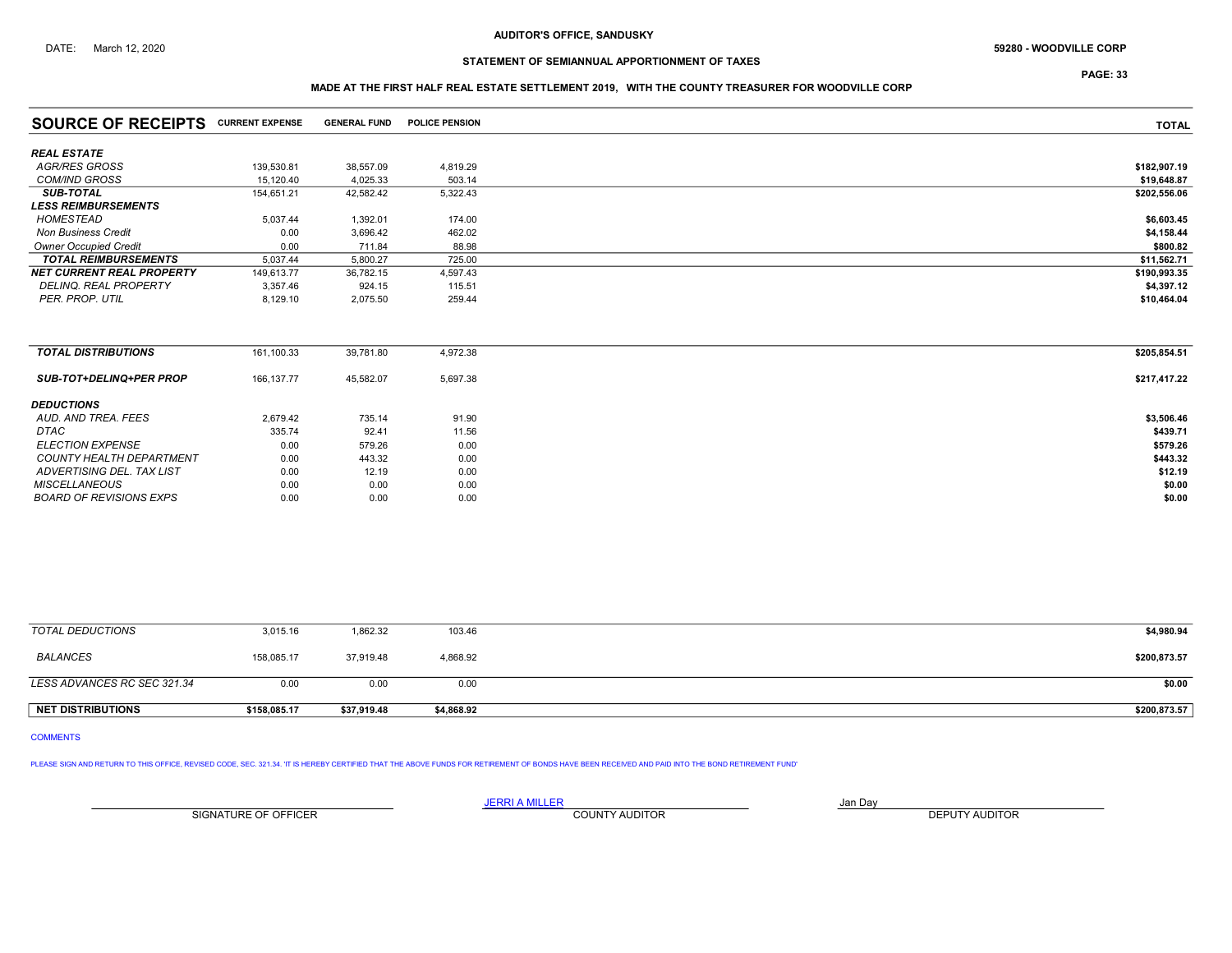# STATEMENT OF SEMIANNUAL APPORTIONMENT OF TAXES

PAGE: 33

## MADE AT THE FIRST HALF REAL ESTATE SETTLEMENT 2019, WITH THE COUNTY TREASURER FOR WOODVILLE CORP

| <b>SOURCE OF RECEIPTS CURRENT EXPENSE</b> |             | <b>GENERAL FUND</b> | <b>POLICE PENSION</b> | <b>TOTAL</b> |
|-------------------------------------------|-------------|---------------------|-----------------------|--------------|
| <b>REAL ESTATE</b>                        |             |                     |                       |              |
| AGR/RES GROSS                             | 139,530.81  | 38,557.09           | 4,819.29              | \$182,907.19 |
| <b>COM/IND GROSS</b>                      | 15,120.40   | 4,025.33            | 503.14                | \$19,648.87  |
| <b>SUB-TOTAL</b>                          | 154,651.21  | 42,582.42           | 5,322.43              | \$202,556.06 |
| <b>LESS REIMBURSEMENTS</b>                |             |                     |                       |              |
| HOMESTEAD                                 | 5,037.44    | 1,392.01            | 174.00                | \$6,603.45   |
| <b>Non Business Credit</b>                | 0.00        | 3,696.42            | 462.02                | \$4,158.44   |
| <b>Owner Occupied Credit</b>              | 0.00        | 711.84              | 88.98                 | \$800.82     |
| <b>TOTAL REIMBURSEMENTS</b>               | 5,037.44    | 5,800.27            | 725.00                | \$11,562.71  |
| <b>NET CURRENT REAL PROPERTY</b>          | 149,613.77  | 36,782.15           | 4,597.43              | \$190,993.35 |
| <b>DELINQ, REAL PROPERTY</b>              | 3,357.46    | 924.15              | 115.51                | \$4,397.12   |
| PER. PROP. UTIL                           | 8,129.10    | 2,075.50            | 259.44                | \$10,464.04  |
|                                           |             |                     |                       |              |
| <b>TOTAL DISTRIBUTIONS</b>                | 161,100.33  | 39,781.80           | 4,972.38              | \$205,854.51 |
| <b>SUB-TOT+DELINQ+PER PROP</b>            | 166, 137.77 | 45,582.07           | 5,697.38              | \$217,417.22 |
| <b>DEDUCTIONS</b>                         |             |                     |                       |              |
| AUD. AND TREA. FEES                       | 2,679.42    | 735.14              | 91.90                 | \$3,506.46   |
| <b>DTAC</b>                               | 335.74      | 92.41               | 11.56                 | \$439.71     |
| <b>ELECTION EXPENSE</b>                   | 0.00        | 579.26              | 0.00                  | \$579.26     |
| <b>COUNTY HEALTH DEPARTMENT</b>           | 0.00        | 443.32              | 0.00                  | \$443.32     |
| ADVERTISING DEL. TAX LIST                 | 0.00        | 12.19               | 0.00                  | \$12.19      |
| <b>MISCELLANEOUS</b>                      | 0.00        | 0.00                | 0.00                  | \$0.00       |
| <b>BOARD OF REVISIONS EXPS</b>            | 0.00        | 0.00                | 0.00                  | \$0.00       |

| TOTAL DEDUCTIONS            | 3,015.16     | 1,862.32    | 103.46     | \$4,980.94   |
|-----------------------------|--------------|-------------|------------|--------------|
| BALANCES                    | 158.085.17   | 37,919.48   | 4,868.92   | \$200,873.57 |
| LESS ADVANCES RC SEC 321.34 | 0.00         | 0.00        | 0.00       | \$0.00       |
| <b>NET DISTRIBUTIONS</b>    | \$158,085.17 | \$37,919.48 | \$4,868.92 | \$200,873.57 |

# COMMENTS

PLEASE SIGN AND RETURN TO THIS OFFICE, REVISED CODE, SEC. 321.34. 'IT IS HEREBY CERTIFIED THAT THE ABOVE FUNDS FOR RETIREMENT OF BONDS HAVE BEEN RECEIVED AND PAID INTO THE BOND RETIREMENT FUND'

SIGNATURE OF OFFICER **EXECUTE A RELATION COUNTY AUDITOR** COUNTY AUDITOR **DEPUTY AUDITOR**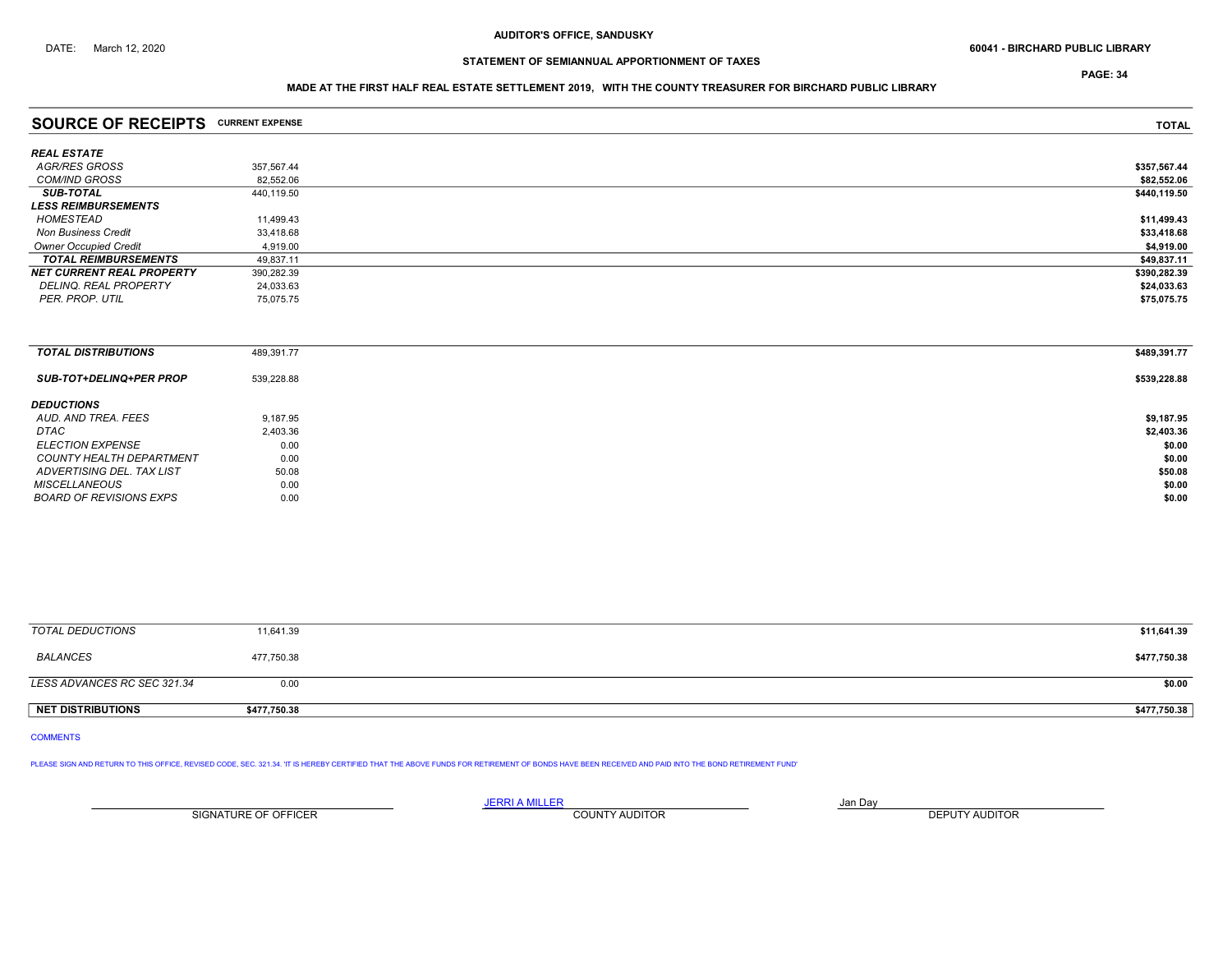PAGE: 34

## MADE AT THE FIRST HALF REAL ESTATE SETTLEMENT 2019, WITH THE COUNTY TREASURER FOR BIRCHARD PUBLIC LIBRARY

| <b>SOURCE OF RECEIPTS CURRENT EXPENSE</b> |            | <b>TOTAL</b> |
|-------------------------------------------|------------|--------------|
| <b>REAL ESTATE</b>                        |            |              |
| AGR/RES GROSS                             | 357,567.44 | \$357,567.44 |
| <b>COM/IND GROSS</b>                      | 82.552.06  | \$82,552.06  |
| <b>SUB-TOTAL</b>                          | 440,119.50 | \$440,119.50 |
| <b>LESS REIMBURSEMENTS</b>                |            |              |
| HOMESTEAD                                 | 11,499.43  | \$11,499.43  |
| <b>Non Business Credit</b>                | 33,418.68  | \$33,418.68  |
| <b>Owner Occupied Credit</b>              | 4,919.00   | \$4,919.00   |
| <b>TOTAL REIMBURSEMENTS</b>               | 49,837.11  | \$49,837.11  |
| <b>NET CURRENT REAL PROPERTY</b>          | 390,282.39 | \$390,282.39 |
| DELINQ. REAL PROPERTY                     | 24,033.63  | \$24,033.63  |
| PER. PROP. UTIL                           | 75,075.75  | \$75,075.75  |
|                                           |            |              |
|                                           |            |              |
|                                           |            |              |

| <b>TOTAL DISTRIBUTIONS</b>      | 489,391.77 | \$489,391.77 |
|---------------------------------|------------|--------------|
| SUB-TOT+DELINQ+PER PROP         | 539,228.88 | \$539,228.88 |
| <b>DEDUCTIONS</b>               |            |              |
| AUD. AND TREA. FEES             | 9,187.95   | \$9,187.95   |
| DTAC                            | 2,403.36   | \$2,403.36   |
| <b>ELECTION EXPENSE</b>         | 0.00       | \$0.00       |
| <b>COUNTY HEALTH DEPARTMENT</b> | 0.00       | \$0.00       |
| ADVERTISING DEL. TAX LIST       | 50.08      | \$50.08      |
| <b>MISCELLANEOUS</b>            | 0.00       | \$0.00       |
| BOARD OF REVISIONS EXPS         | 0.00       | \$0.00       |

| TOTAL DEDUCTIONS            | 11,641.39    | \$11,641.39  |
|-----------------------------|--------------|--------------|
| BALANCES                    | 477,750.38   | \$477,750.38 |
| LESS ADVANCES RC SEC 321.34 | 0.00         | \$0.00       |
| <b>NET DISTRIBUTIONS</b>    | \$477,750.38 | \$477,750.38 |

COMMENTS

PLEASE SIGN AND RETURN TO THIS OFFICE, REVISED CODE, SEC. 321.34. 'IT IS HEREBY CERTIFIED THAT THE ABOVE FUNDS FOR RETIREMENT OF BONDS HAVE BEEN RECEIVED AND PAID INTO THE BOND RETIREMENT FUND'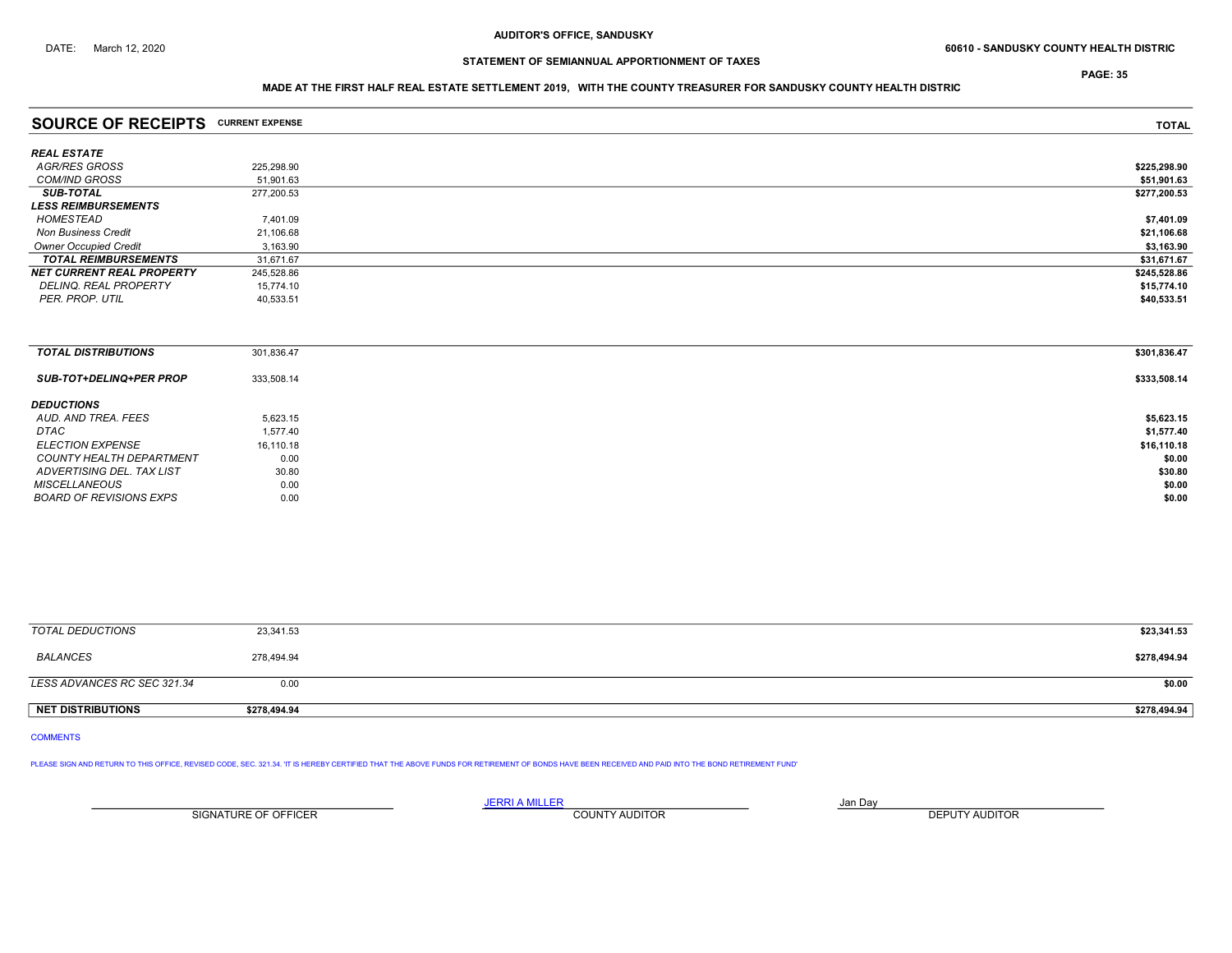ADVERTISING DEL. TAX LIST

# STATEMENT OF SEMIANNUAL APPORTIONMENT OF TAXES

PAGE: 35

## MADE AT THE FIRST HALF REAL ESTATE SETTLEMENT 2019, WITH THE COUNTY TREASURER FOR SANDUSKY COUNTY HEALTH DISTRIC

| <b>SOURCE OF RECEIPTS CURRENT EXPENSE</b> |            | <b>TOTAL</b> |
|-------------------------------------------|------------|--------------|
| <b>REAL ESTATE</b>                        |            |              |
| <b>AGR/RES GROSS</b>                      | 225,298.90 | \$225,298.90 |
| <b>COM/IND GROSS</b>                      | 51,901.63  | \$51,901.63  |
| <b>SUB-TOTAL</b>                          | 277,200.53 | \$277,200.53 |
| <b>LESS REIMBURSEMENTS</b>                |            |              |
| HOMESTEAD                                 | 7,401.09   | \$7,401.09   |
| <b>Non Business Credit</b>                | 21,106.68  | \$21,106.68  |
| <b>Owner Occupied Credit</b>              | 3,163.90   | \$3,163.90   |
| <b>TOTAL REIMBURSEMENTS</b>               | 31,671.67  | \$31,671.67  |
| <b>NET CURRENT REAL PROPERTY</b>          | 245,528.86 | \$245,528.86 |
| DELINQ. REAL PROPERTY                     | 15,774.10  | \$15,774.10  |
| PER. PROP. UTIL                           | 40,533.51  | \$40,533.51  |
|                                           |            |              |
| <b>TOTAL DISTRIBUTIONS</b>                | 301,836.47 | \$301,836.47 |
| SUB-TOT+DELINQ+PER PROP                   | 333,508.14 | \$333,508.14 |
| <b>DEDUCTIONS</b>                         |            |              |
| AUD. AND TREA. FEES                       | 5,623.15   | \$5,623.15   |
| DTAC                                      | 1,577.40   | \$1,577.40   |

ELECTION EXPENSE 16,110.18 16,110.18 16,110.18 COUNTY HEALTH DEPARTMENT  $10.00$ <br>ADVERTISING DEL. TAX LIST  $30.80$ 

MISCELLANEOUS 60.00 60.00 60.00 60.00 60.00 60.00 60.00 60.00 60.00 60.00 60.00 60.00 60.00 60.00 60.00 60.00 60.00 60.00 60.00 60.00 60.00 60.00 60.00 60.00 60.00 60.00 60.00 60.00 60.00 60.00 60.00 60.00 60.00 60.00 60.0 BOARD OF REVISIONS EXPS 0.00 \$0.00

| <b>TOTAL DEDUCTIONS</b>     | 23,341.53  |  | \$23,341.53  |
|-----------------------------|------------|--|--------------|
| BALANCES                    | 278,494.94 |  | \$278,494.94 |
| LESS ADVANCES RC SEC 321.34 | 0.00       |  | \$0.00       |

NET DISTRIBUTIONS \$278,494.94 \$278,494.94

COMMENTS

PLEASE SIGN AND RETURN TO THIS OFFICE, REVISED CODE, SEC. 321.34. IT IS HEREBY CERTIFIED THAT THE ABOVE FUNDS FOR RETIREMENT OF BONDS HAVE BEEN RECEIVED AND PAID INTO THE BOND RETIREMENT FUND'

SIGNATURE OF OFFICER **EXECUTE A THE COUNTY AUDITOR** COUNTY AUDITOR **DEPUTY AUDITOR** 

JERRI A MILLER JAN DAY JAN DAY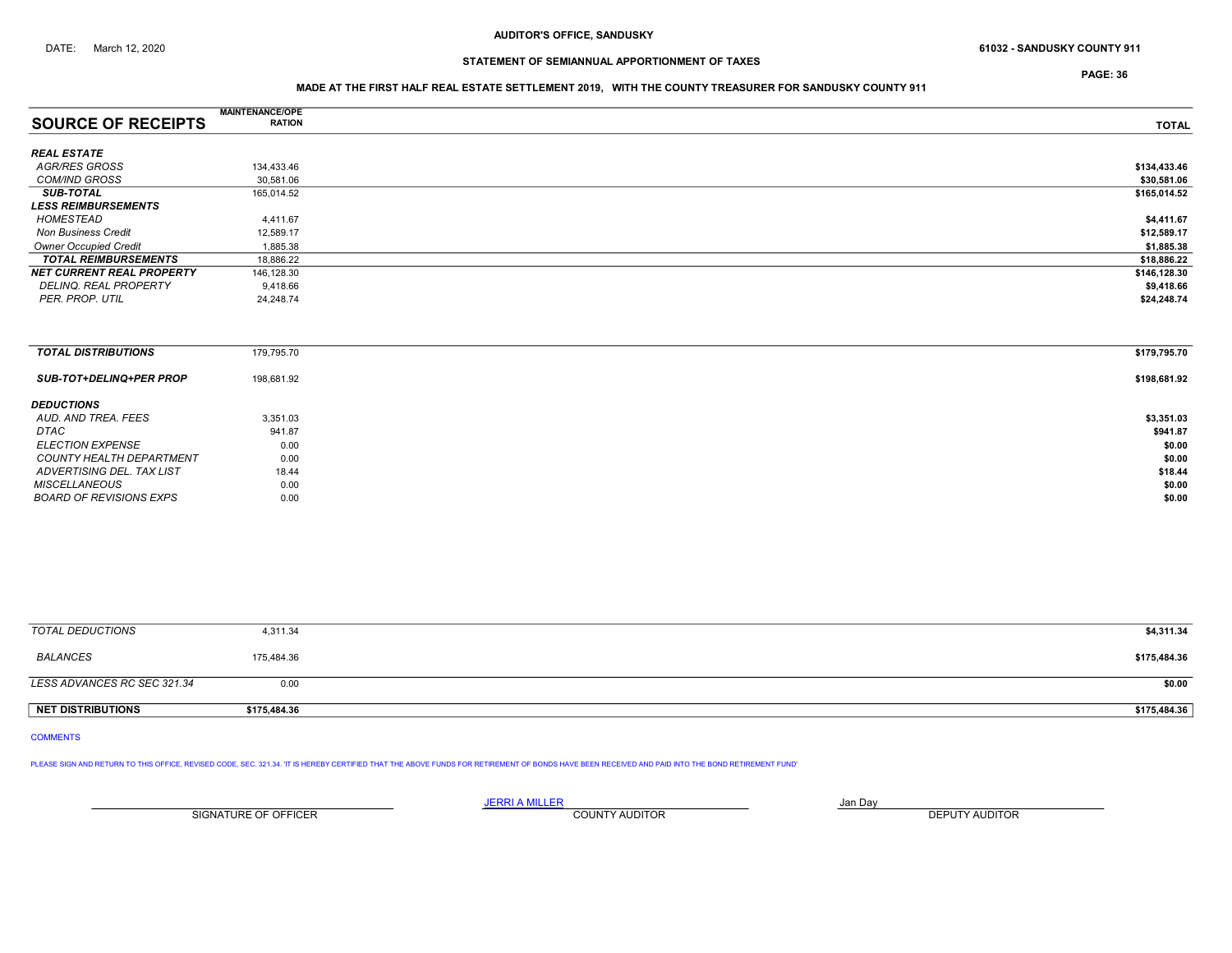PAGE: 36

## MADE AT THE FIRST HALF REAL ESTATE SETTLEMENT 2019, WITH THE COUNTY TREASURER FOR SANDUSKY COUNTY 911

|                                  | <b>MAINTENANCE/OPE</b> |              |
|----------------------------------|------------------------|--------------|
| <b>SOURCE OF RECEIPTS</b>        | <b>RATION</b>          | <b>TOTAL</b> |
|                                  |                        |              |
| <b>REAL ESTATE</b>               |                        |              |
| AGR/RES GROSS                    | 134,433.46             | \$134,433.46 |
| <b>COM/IND GROSS</b>             | 30,581.06              | \$30,581.06  |
| <b>SUB-TOTAL</b>                 | 165,014.52             | \$165,014.52 |
| <b>LESS REIMBURSEMENTS</b>       |                        |              |
| HOMESTEAD                        | 4,411.67               | \$4,411.67   |
| <b>Non Business Credit</b>       | 12,589.17              | \$12,589.17  |
| <b>Owner Occupied Credit</b>     | 1,885.38               | \$1,885.38   |
| <b>TOTAL REIMBURSEMENTS</b>      | 18,886.22              | \$18,886.22  |
| <b>NET CURRENT REAL PROPERTY</b> | 146,128.30             | \$146,128.30 |
| DELINQ. REAL PROPERTY            | 9,418.66               | \$9,418.66   |
| PER. PROP. UTIL                  | 24,248.74              | \$24,248.74  |
|                                  |                        |              |
|                                  |                        |              |
|                                  |                        |              |
| <b>TOTAL DISTRIBUTIONS</b>       | 179,795.70             | \$179,795.70 |
|                                  |                        |              |

| <b>SUB-TOT+DELINQ+PER PROP</b> | 198,681.92 | \$198,681.92 |
|--------------------------------|------------|--------------|
| <b>DEDUCTIONS</b>              |            |              |
| AUD. AND TREA. FEES            | 3,351.03   | \$3,351.03   |
| DTAC                           | 941.87     | \$941.87     |
| <b>ELECTION EXPENSE</b>        | 0.00       | \$0.00       |
| COUNTY HEALTH DEPARTMENT       | 0.00       | \$0.00       |
| ADVERTISING DEL. TAX LIST      | 18.44      | \$18.44      |
| <b>MISCELLANEOUS</b>           | 0.00       | \$0.00       |
| BOARD OF REVISIONS EXPS        | 0.00       | \$0.00       |

| TOTAL DEDUCTIONS            | 4,311.34     | \$4,311.34   |
|-----------------------------|--------------|--------------|
| <b>BALANCES</b>             | 175,484.36   | \$175,484.36 |
| LESS ADVANCES RC SEC 321.34 | 0.00         | \$0.00       |
| <b>NET DISTRIBUTIONS</b>    | \$175,484.36 | \$175,484.36 |

COMMENTS

PLEASE SIGN AND RETURN TO THIS OFFICE, REVISED CODE, SEC. 321.34. 'IT IS HEREBY CERTIFIED THAT THE ABOVE FUNDS FOR RETIREMENT OF BONDS HAVE BEEN RECEIVED AND PAID INTO THE BOND RETIREMENT FUND'

JERRI A MILLER COUNTY AUDITOR **Finally county and Day** SIGNATURE OF OFFICER **EXECUTE A RELATION COUNTY AUDITOR** COUNTY AUDITOR **DEPUTY AUDITOR**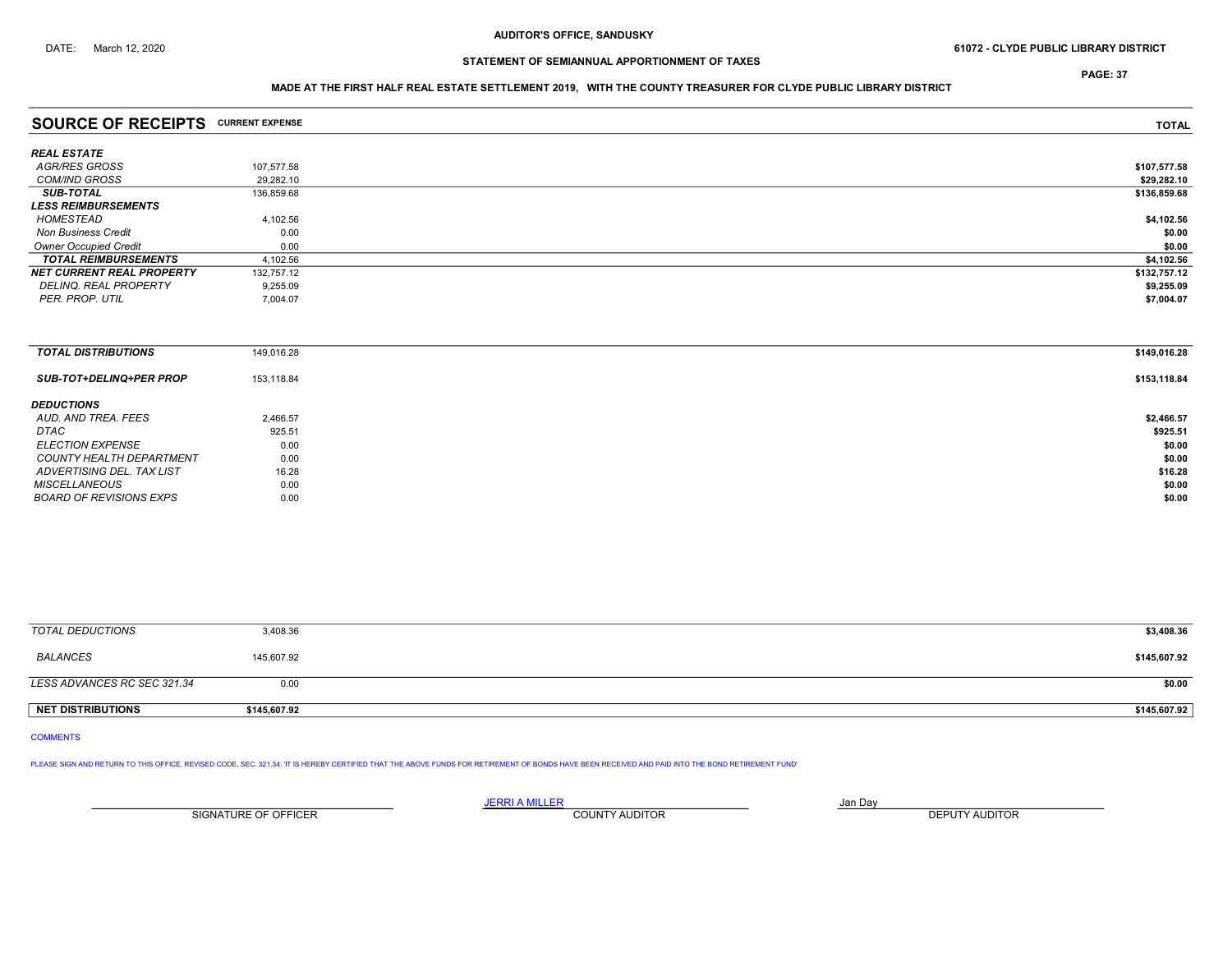PAGE: 37

## MADE AT THE FIRST HALF REAL ESTATE SETTLEMENT 2019, WITH THE COUNTY TREASURER FOR CLYDE PUBLIC LIBRARY DISTRICT

| <b>SOURCE OF RECEIPTS CURRENT EXPENSE</b> |            | <b>TOTAL</b> |
|-------------------------------------------|------------|--------------|
| <b>REAL ESTATE</b>                        |            |              |
| AGR/RES GROSS                             | 107,577.58 | \$107,577.58 |
| <b>COM/IND GROSS</b>                      | 29,282.10  | \$29,282.10  |
| <b>SUB-TOTAL</b>                          | 136,859.68 | \$136,859.68 |
| <b>LESS REIMBURSEMENTS</b>                |            |              |
| HOMESTEAD                                 | 4,102.56   | \$4,102.56   |
| <b>Non Business Credit</b>                | 0.00       | \$0.00       |
| <b>Owner Occupied Credit</b>              | 0.00       | \$0.00       |
| <b>TOTAL REIMBURSEMENTS</b>               | 4,102.56   | \$4,102.56   |
| <b>NET CURRENT REAL PROPERTY</b>          | 132,757.12 | \$132,757.12 |
| DELINQ. REAL PROPERTY                     | 9,255.09   | \$9,255.09   |
| PER. PROP. UTIL                           | 7,004.07   | \$7,004.07   |
|                                           |            |              |
|                                           |            |              |
| <b>TOTAL DISTRIBUTIONS</b>                | 149,016.28 | \$149,016.28 |
| <b>SUB-TOT+DELINQ+PER PROP</b>            | 153,118.84 | \$153,118.84 |
| <b>DEDUCTIONS</b>                         |            |              |
| AUD. AND TREA. FEES                       | 2,466.57   | \$2,466.57   |
| DTAC                                      | 925.51     | \$925.51     |

ELECTION EXPENSE  $0.00$   $0.00$ COUNTY HEALTH DEPARTMENT  $16.28$ <br>ADVERTISING DEL. TAX LIST  $16.28$  \$16.28 ADVERTISING DEL. TAX LIST 678.28 \$16.28 \$16.28 \$16.28 \$16.28 \$16.28 MISCELLANEOUS 60.00 60.00 60.00 60.00 60.00 60.00 60.00 60.00 60.00 60.00 60.00 60.00 60.00 60.00 60.00 60.00 60.00 60.00 60.00 60.00 60.00 60.00 60.00 60.00 60.00 60.00 60.00 60.00 60.00 60.00 60.00 60.00 60.00 60.00 60.0 BOARD OF REVISIONS EXPS 0.00 \$0.00

| 3,408.36   |  | \$3,408.36   |
|------------|--|--------------|
| 145,607.92 |  | \$145,607.92 |
| 0.00       |  |              |
|            |  |              |

NET DISTRIBUTIONS \$145,607.92 \$145,607.92

COMMENTS

PLEASE SIGN AND RETURN TO THIS OFFICE, REVISED CODE, SEC. 321.34. IT IS HEREBY CERTIFIED THAT THE ABOVE FUNDS FOR RETIREMENT OF BONDS HAVE BEEN RECEIVED AND PAID INTO THE BOND RETIREMENT FUND'

<u>JERRI A MILLER</u> JAN DAY AND A STREAM AND A STREAM OF THE STREAM OF THE STREAM OF THE STREAM OF THE STREAM OF THE STREAM OF THE STREAM OF THE STREAM OF THE STREAM OF THE STREAM OF THE STREAM OF THE STREAM OF THE STREAM OF SIGNATURE OF OFFICER **EXECUTE A THE COUNTY AUDITOR** COUNTY AUDITOR **DEPUTY AUDITOR**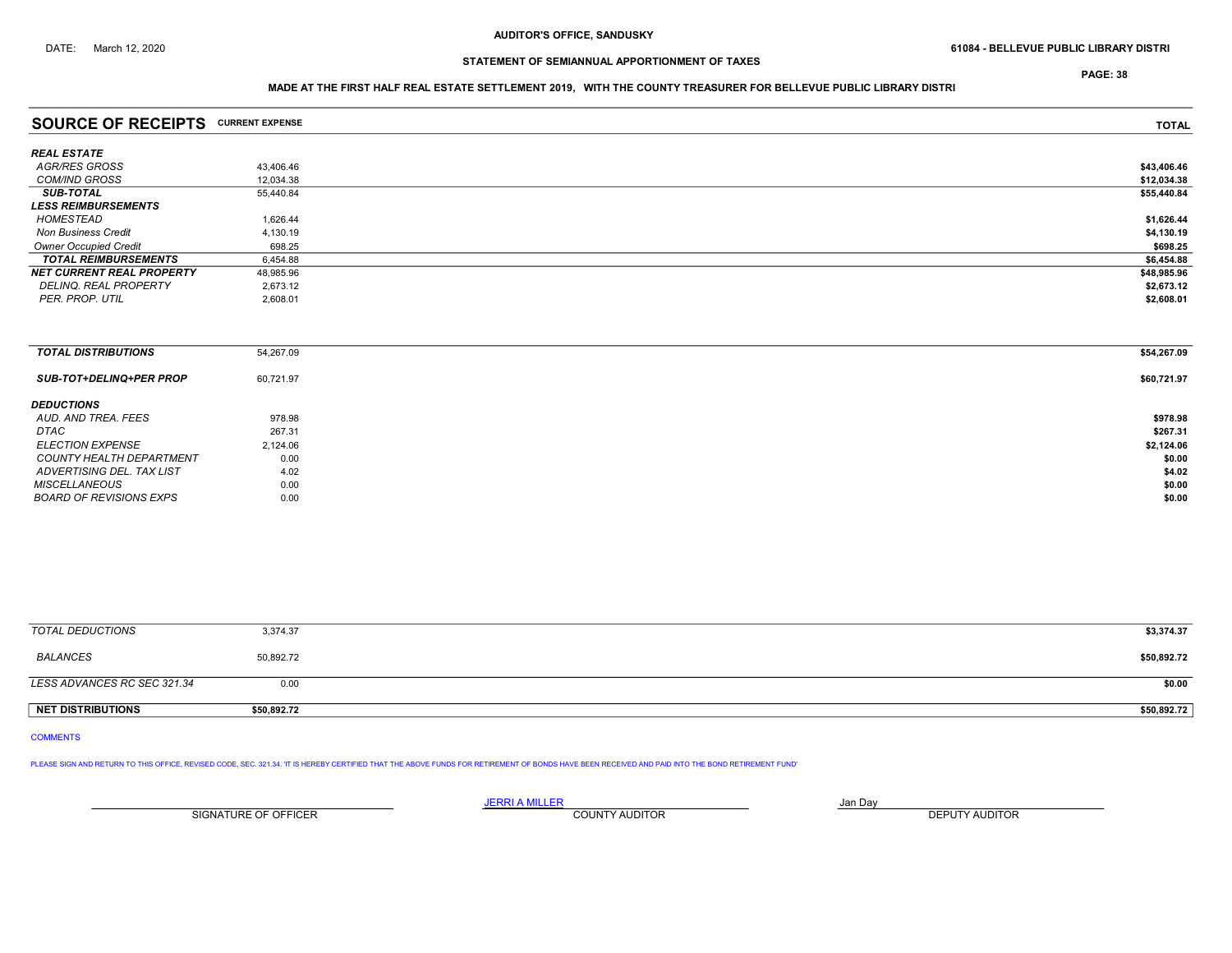PAGE: 38

## MADE AT THE FIRST HALF REAL ESTATE SETTLEMENT 2019, WITH THE COUNTY TREASURER FOR BELLEVUE PUBLIC LIBRARY DISTRI

| <b>SOURCE OF RECEIPTS</b>        | <b>CURRENT EXPENSE</b> | <b>TOTAL</b> |
|----------------------------------|------------------------|--------------|
| <b>REAL ESTATE</b>               |                        |              |
| AGR/RES GROSS                    | 43,406.46              | \$43,406.46  |
| <b>COM/IND GROSS</b>             | 12,034.38              | \$12,034.38  |
| <b>SUB-TOTAL</b>                 | 55,440.84              | \$55,440.84  |
| <b>LESS REIMBURSEMENTS</b>       |                        |              |
| HOMESTEAD                        | 1,626.44               | \$1,626.44   |
| <b>Non Business Credit</b>       | 4,130.19               | \$4,130.19   |
| <b>Owner Occupied Credit</b>     | 698.25                 | \$698.25     |
| <b>TOTAL REIMBURSEMENTS</b>      | 6,454.88               | \$6,454.88   |
| <b>NET CURRENT REAL PROPERTY</b> | 48,985.96              | \$48,985.96  |
| DELINQ. REAL PROPERTY            | 2,673.12               | \$2,673.12   |
| PER. PROP. UTIL                  | 2,608.01               | \$2,608.01   |
|                                  |                        |              |
|                                  |                        |              |
|                                  |                        |              |

| <b>TOTAL DISTRIBUTIONS</b>      | 54,267.09 | \$54,267.09 |
|---------------------------------|-----------|-------------|
| <b>SUB-TOT+DELINQ+PER PROP</b>  | 60,721.97 | \$60,721.97 |
| <b>DEDUCTIONS</b>               |           |             |
| AUD. AND TREA. FEES             | 978.98    | \$978.98    |
| DTAC                            | 267.31    | \$267.31    |
| <b>ELECTION EXPENSE</b>         | 2,124.06  | \$2,124.06  |
| <b>COUNTY HEALTH DEPARTMENT</b> | 0.00      | \$0.00      |
| ADVERTISING DEL. TAX LIST       | 4.02      | \$4.02      |
| <b>MISCELLANEOUS</b>            | 0.00      | \$0.00      |
| <b>BOARD OF REVISIONS EXPS</b>  | 0.00      | \$0.00      |

| TOTAL DEDUCTIONS            | 3,374.37    | \$3,374.37  |
|-----------------------------|-------------|-------------|
| <b>BALANCES</b>             | 50,892.72   | \$50,892.72 |
| LESS ADVANCES RC SEC 321.34 | 0.00        | \$0.00      |
| NET DISTRIBUTIONS           | \$50,892.72 | \$50,892.72 |

COMMENTS

PLEASE SIGN AND RETURN TO THIS OFFICE, REVISED CODE, SEC. 321.34. IT IS HEREBY CERTIFIED THAT THE ABOVE FUNDS FOR RETIREMENT OF BONDS HAVE BEEN RECEIVED AND PAID INTO THE BOND RETIREMENT FUND'

JERRI A MILLER COUNTY AUDITOR **Finally county and Day** SIGNATURE OF OFFICER **EXECUTE A RELATION COUNTY AUDITOR** COUNTY AUDITOR **DEPUTY AUDITOR**